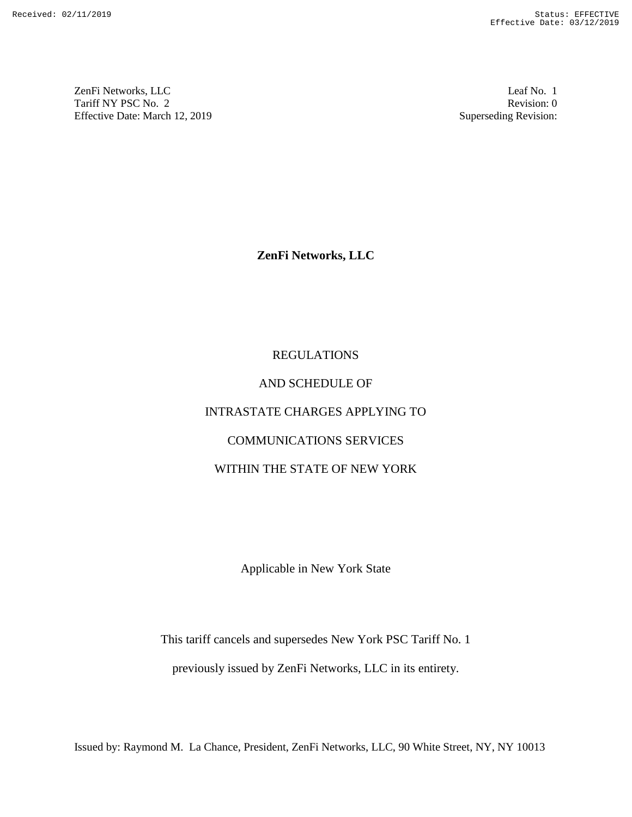ZenFi Networks, LLC ZenFi Networks, LLC Leaf No. 1 Tariff NY PSC No. 2 Tariff NY PSC No. 2 Revision: 0<br>
Effective Date: March 12, 2019 Superseding Revision: 0

Leaf No. 1 Revision: 0 Superseding Revision:

ZenFi Networks, LLC

# REGULATIONS AND SCHEDULE OF INTRASTATE CHARGES APPLYING TO<br>
COMMUNICATIONS SERVICES<br>
WITHIN THE STATE OF NEW YORK COMMUNICATIONS SERVICES WITHIN THE STATE OF NEW YORK **ISSUED ATIONS**<br> **ISSUED ATIONS**<br>
AND SCHEDULE OF<br>
INTRASTATE CHARGES APPLYING TO<br>
COMMUNICATIONS SERVICES<br>
WITHIN THE STATE OF NEW YORK<br>
Applicable in New York State<br>
This lariff cancels and supersedes New York PSC Tariff The tariff cancels and supersedes New York PSC Tariff No. 1<br>
This tariff PSC New York 21, 2019<br>
Interior Due March 12, 2019<br> **ZenFi Networks, LLC**<br> **ZenFi Networks, LLC**<br> **REGULATIONS**<br> **REGULATIONS**<br> **REGULATIONS**<br> **REGUL**

Applicable in New York State Applicable in New York State

This tariff cancels and supersedes New York PSC Tariff No. 1

previously issued by ZenFi Networks, LLC in its entirety.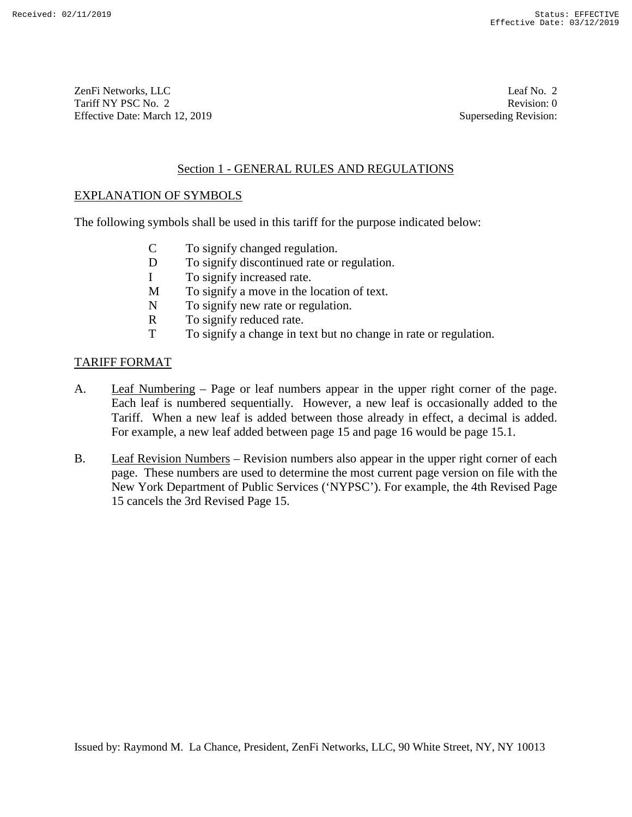ZenFi Networks, LLC Tariff NY PSC No. 2 Effective Date: March 12, 2019 ZenFi Networks, LLC Leaf No. 2<br>
Tariff NY PSC No. 2 Revision: 0<br>
Effective Date: March 12, 2019 Superseding Revision: 0

Leaf No. 2 Revision: 0 Superseding Revision:

# Section 1 - GENERAL RULES AND REGULATIONS

# EXPLANATION OF SYMBOLS

The following symbols shall be used in this tariff for the purpose indicated below:<br>
C To signify changed regulation.<br>
D To signify discontinued rate or regulation.

- C To signify changed regulation.
- D To signify discontinued rate or regulation.
- I To signify increased rate.
- I To signify increased rate.<br>
M To signify a move in the location of text.
- N To signify new rate or regulation.<br>R To signify reduced rate.
- R To signify reduced rate.
- T To signify a change in text but no change in rate or regulation.

# TARIFF FORMAT

- A. Leaf Numbering Page or leaf numbers appear in the upper right corner of the page. Each leaf is numbered sequentially. However, a new leaf is occasionally added to the Tariff. When a new leaf is added between those already in effect, a decimal is added. For example, a new leaf added between page 15 and page 16 would be page 15.1. TARIFF FORMAT<br>
TARIFF FORMAT<br>
A. Leaf Numbering – Page or leaf numbers appear in the upper right corner of the page.<br>
Each leaf is numbered sequentially. However, a new leaf is occasionally added to the<br>
Tariff. When a new For the UP (1971)/2019<br>
The Case of MC 2<br>
Tariff Networks, LTC 1<br>
1.6 The Case of MC 2<br>
Tariff Networks, LTC 1<br>
Tariff Networks, LTC 1<br>
Tariff Networks (LTC 1<br>
Tariff Networks Date (1971)<br>
Section 1 - GENNERAL RULLES AND
	- B. Leaf Revision Numbers Revision numbers also appear in the upper right corner of each page. These numbers are used to determine the most current page version on file with the New York Department of Public Services (`NYPSC'). For example, the 4th Revised Page 15 cancels the 3rd Revised Page 15. Section 1 - GENERAT, RIILES AND REGULATIONS<br>
	The following symbols shall be used in this tariff for the purpose indicated below:<br>
	C To signify discondinued rate or regulation.<br>
	D To signify discondinued rate or regulation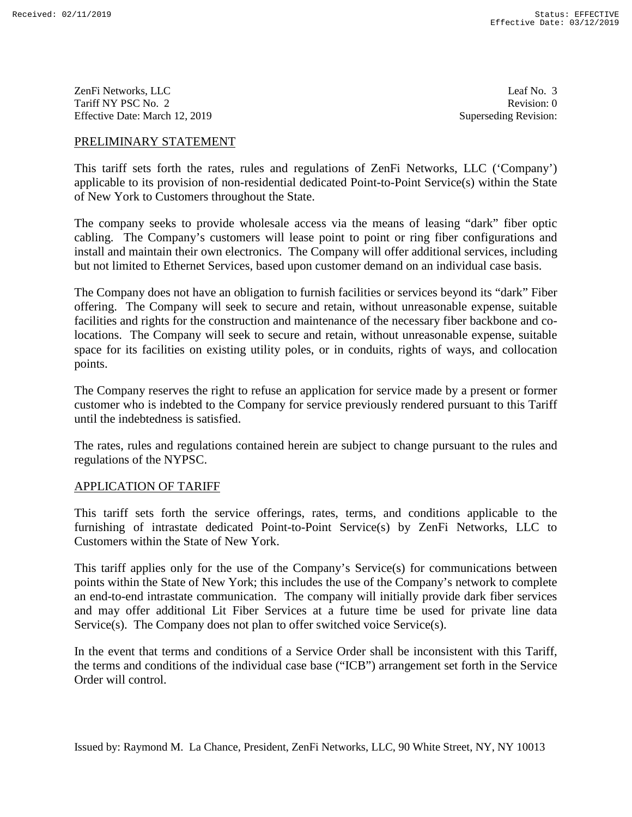ZenFi Networks, LLC ZenFi Networks, LLC Leaf No. 3 Tariff NY PSC No. 2 Tariff NY PSC No. 2 Revision: 0<br>
Effective Date: March 12, 2019 Superseding Revision: 0

Leaf No. 3 Revision: 0 Superseding Revision:

# PRELIMINARY STATEMENT

This tariff sets forth the rates, rules and regulations of ZenFi Networks, LLC (`Company') applicable to its provision of non-residential dedicated Point-to-Point Service(s) within the State of New York to Customers throughout the State.

The company seeks to provide wholesale access via the means of leasing "dark" fiber optic cabling. The Company's customers will lease point to point or ring fiber configurations and cabling. The Company's customers will lease point to point or ring fiber configurations and<br>install and maintain their own electronics. The Company will offer additional services, including but not limited to Ethernet Services, based upon customer demand on an individual case basis.

The Company does not have an obligation to furnish facilities or services beyond its "dark" Fiber but not limited to Ethernet Services, based upon customer demand on an individual case basis.<br>The Company does not have an obligation to furnish facilities or services beyond its "dark" Fiber<br>offering. The Company will see facilities and rights for the construction and maintenance of the necessary fiber backbone and co-facilities and rights for the construction and maintenance of the necessary fiber backbone and colocations. The Company will seek to secure and retain, without unreasonable expense, suitable space for its facilities on existing utility poles, or in conduits, rights of ways, and collocation points. **ERELIMINARY STATEMENT**<br>
This minit set from the meas, miles and regulations of ZenFi Networks, LLC (Company)<br>
This minit set for the meas, miles and regulations of ZenFi Networks, LLC (Company)<br>
applicable to its provisi locations. The Company will seek to secure and retain, without unreasonable expense, suitable<br>space for its facilities on existing utility poles, or in conduits, rights of ways, and collocation<br>points.<br>The Company reserves

The Company reserves the right to refuse an application for service made by a present or former customer who is indebted to the Company for service previously rendered pursuant to this Tariff customer who is indebted to the Company for service previously rendered pursuant to this Tariff until the indebtedness is satisfied.

The rates, rules and regulations contained herein are subject to change pursuant to the rules and regulations of the NYPSC.

### APPLICATION OF TARIFF

This tariff sets forth the service offerings, rates, terms, and conditions applicable to the furnishing of intrastate dedicated Point-to-Point Service(s) by ZenFi Networks, LLC to Customers within the State of New York. until the indebtedness is satisfied.<br>The rates, rules and regulations contained herein are subject to change pursuant to the rules and<br>regulations of the NYPSC.<br>APPLICATION OF TARIFF<br>This tariff sets forth the service offe

This tariff applies only for the use of the Company's Service(s) for communications between points within the State of New York; this includes the use of the Company's network to complete an end-to-end intrastate communication. The company will initially provide dark fiber services and may offer additional Lit Fiber Services at a future time be used for private line data Service(s). The Company does not plan to offer switched voice Service(s). an end-to-end intrastate communication. The company will initially provide dark fiber services<br>and may offer additional Lit Fiber Services at a future time be used for private line data<br>Service(s). The Company does not pla

In the event that terms and conditions of a Service Order shall be inconsistent with this Tariff, the terms and conditions of the individual case base ("ICB") arrangement set forth in the Service Order will control. Order will control.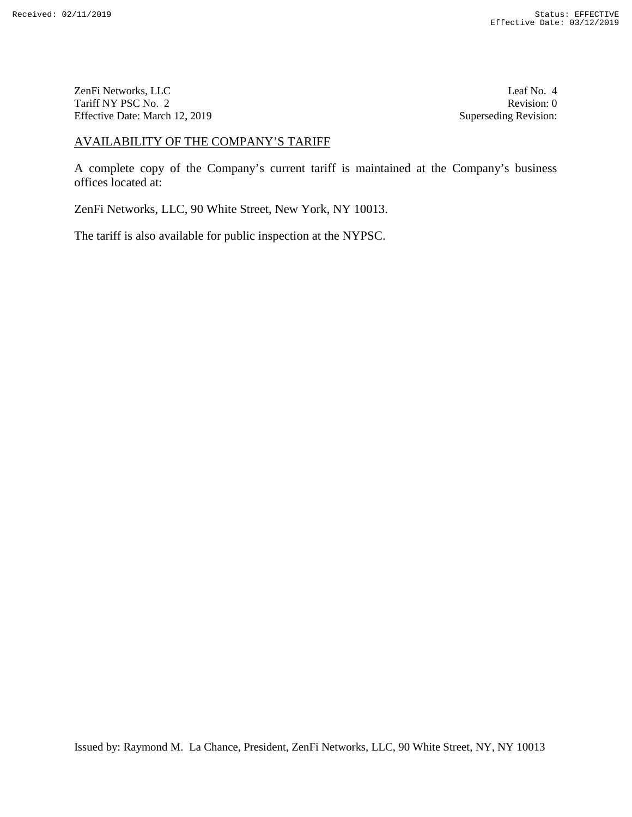ZenFi Networks, LLC Tariff NY PSC No. 2 Effective Date: March 12, 2019 ZenFi Networks, LLC Leaf No. 4 Leaf No. 4 Leaf No. 4 Revision: 0<br>
Tariff NY PSC No. 2 Revision: 0 Revision: 0 Revision: 0 Superseding Revision: 0

Leaf No. 4 Revision: 0 Superseding Revision:

# AVAILABILITY OF THE COMPANY'S TARIFF

A complete copy of the Company's current tariff is maintained at the Company's business<br>offices located at:<br>ZenFi Networks, LLC, 90 White Street, New York, NY 10013.<br>The tariff is also available for public inspection at th offices located at: AYAILABILITY OF THE COMPANY'S TARIFF.<br>
A complete copy of the Company's current thefit" is maintained at the Company's busine<br>
offices located at:<br>
ZenFi Networks, LLC, 90 White Street, New York, NY 10013.<br>
The tariff is a

ZenFi Networks, LLC, 90 White Street, New York, NY 10013.

The tariff is also available for public inspection at the NYPSC.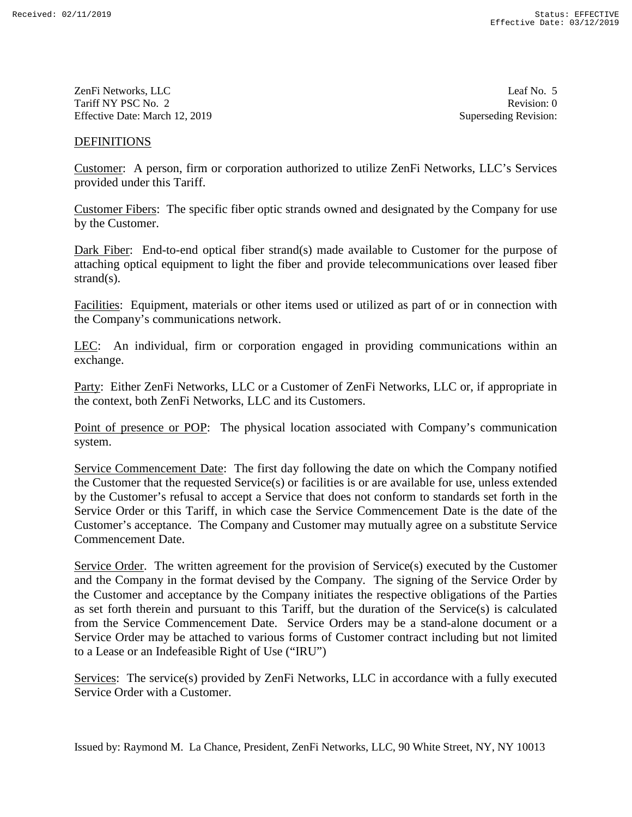ZenFi Networks, LLC ZenFi Networks, LLC Leaf No. 5 Tariff NY PSC No. 2 Tariff NY PSC No. 2 Revision: 0<br>
Effective Date: March 12, 2019 Superseding Revision: 0

Leaf No. 5 Revision: 0 Superseding Revision:

## DEFINITIONS

Customer: A person, firm or corporation authorized to utilize ZenFi Networks, LLC's Services provided under this Tariff.

Customer Fibers: The specific fiber optic strands owned and designated by the Company for use by the Customer.

Dark Fiber: End-to-end optical fiber strand(s) made available to Customer for the purpose of strand(s).

attaching optical equipment to light the fiber and provide telecommunications over leased fiber strand(s).<br> **Facilities:** Equipment, materials or other items used or utilized as part of or in connection with<br>
the Company's Facilities: Equipment, materials or other items used or utilized as part of or in connection with the Company's communications network.

LEC: An individual, firm or corporation engaged in providing communications within an exchange.

Party: Either ZenFi Networks, LLC or a Customer of ZenFi Networks, LLC or, if appropriate in the context, both ZenFi Networks, LLC and its Customers. **LEC:** An individual, firm or corporation engaged in providing communications within an exchange.<br> **Party:** Either ZenFi Networks, LLC or a Customer of ZenFi Networks, LLC or, if appropriate in the context, both ZenFi Netw

system.

Service Commencement Date: The first day following the date on which the Company notified the Customer that the requested Service(s) or facilities is or are available for use, unless extended by the Customer's refusal to accept a Service that does not conform to standards set forth in the Service Order or this Tariff, in which case the Service Commencement Date is the date of the Customer's acceptance. The Company and Customer may mutually agree on a substitute Service Commencement Date. Service Commencement Date: The first day following the date on which the Company notified<br>the Customer that the requested Service(s) or facilities is or are available for use, unless extended<br>by the Customer's refusal to a

Service Order. The written agreement for the provision of Service(s) executed by the Customer and the Company in the format devised by the Company. The signing of the Service Order by the Customer and acceptance by the Company initiates the respective obligations of the Parties as set forth therein and pursuant to this Tariff, but the duration of the Service(s) is calculated from the Service Commencement Date. Service Orders may be a stand-alone document or a Service Order may be attached to various forms of Customer contract including but not limited to a Lease or an Indefeasible Right of Use ("IRU") **DEFEVITIONS**<br> **Castimms:** A person, firm or corporation authorized to utilize ZenFi Networks, LLC's Services<br>
Castionar Fibers: The specific fiber optic strands owned and designated by the Company for use<br>
provided under Customer's acceptance. The Company and Customer may mutually agree on a substitute Service<br>Commencement Date.<br>Service Order. The written agreement for the provision of Service(s) executed by the Customer<br>and the Company in as set forth therein and pursuant to this Tariff, but the duration of the Service(s) is calculated<br>from the Service Commencement Date. Service Orders may be a stand-alone document or a<br>Service Order may be attached to vari Services:  $S^{2+2}$ The services: LLC in a function and the service Controller Service Controller (Service Controller Controller Controller Controller Controller Controller Controller Controller Controller Controller Contro

Services: The service(s) provided by ZenFi Networks, LLC in accordance with a fully executed Service Order with a Customer.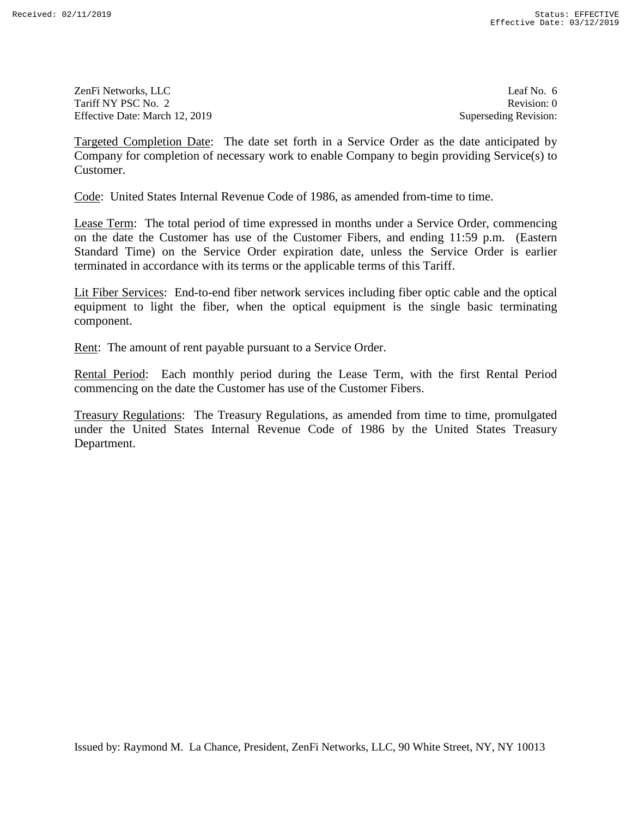ZenFi Networks, LLC ZenFi Networks, LLC Leaf No. 6 Tariff NY PSC No. 2 Tariff NY PSC No. 2 Revision: 0<br>
Effective Date: March 12, 2019 Superseding Revision: 0

Leaf No. 6 Revision: 0 Superseding Revision:

Targeted Completion Date: The date set forth in a Service Order as the date anticipated by Company for completion of necessary work to enable Company to begin providing Service(s) to Customer.

Code: United States Internal Revenue Code of 1986, as amended from-time to time.

Lease Term: The total period of time expressed in months under a Service Order, commencing on the date the Customer has use of the Customer Fibers, and ending 11:59 p.m. (Eastern Standard Time) on the Service Order expiration date, unless the Service Order is earlier terminated in accordance with its terms or the applicable terms of this Tariff. Targeted Completion Date: The due set forth in a Service Order as the due and<br>ejection Company for completion of necessary work to enable Company to begin providing Service(s) to<br>Consumer.<br>Consumer.<br>Consumer, the translat

Lit Fiber Services: End-to-end fiber network services including fiber optic cable and the optical equipment to light the fiber, when the optical equipment is the single basic terminating component.

component.<br><u>Rent</u>: The amount of rent payable pursuant to a Service Order.

**Rental Period:** Each monthly period during the Lease Term, with the first Rental Period commencing on the date the Customer has use of the Customer Fibers.<br>Treasury Regulations: The Treasury Regulations, as amended from t commencing on the date the Customer has use of the Customer Fibers.

Treasury Regulations: The Treasury Regulations, as amended from time to time, promulgated under the United States Internal Revenue Code of 1986 by the United States Treasury Department. Department.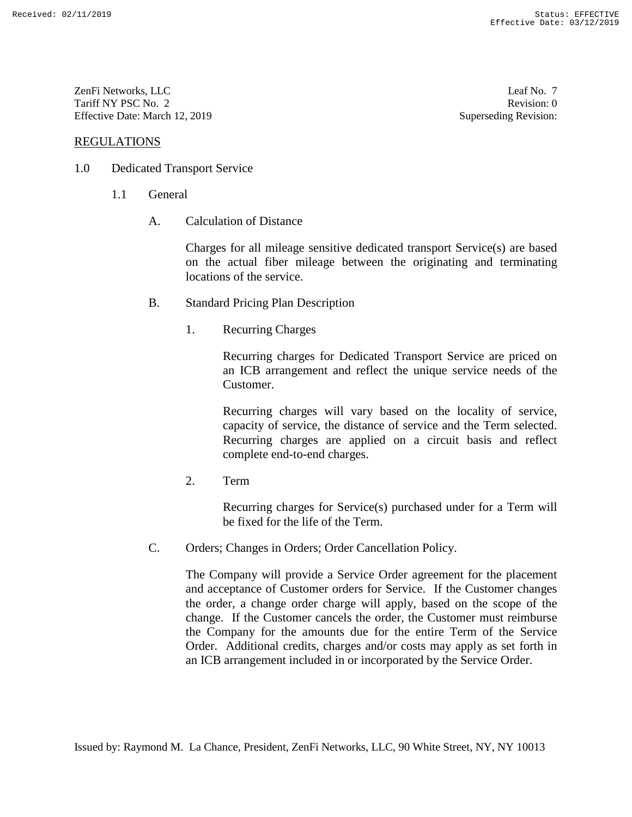ZenFi Networks, LLC ZenFi Networks, LLC Leaf No. 7 Tariff NY PSC No. 2 Tariff NY PSC No. 2 Revision: 0<br>
Effective Date: March 12, 2019 Superseding Revision: 0

REGULATIONS

- 1.0 Dedicated Transport Service
	- 1.1 General
		- A. Calculation of Distance

Charges for all mileage sensitive dedicated transport Service(s) are based on the actual fiber mileage between the originating and terminating on the actual fiber mileage between the originating and terminating locations of the service. locations of the service.<br>
B. Standard Pricing Plan Description<br>
1. Recurring Charges<br>
Recurring charges for Dedicated Transport Service are priced on

- B. Standard Pricing Plan Description
	- 1. Recurring Charges

an ICB arrangement and reflect the unique service needs of the Customer.

Recurring charges will vary based on the locality of service, capacity of service, the distance of service and the Term selected. Recurring charges are applied on a circuit basis and reflect complete end-to-end charges. complete end-to-end charges. an ICB arrangement and reflect the unique service needs of the<br>Customer.<br>Recurring charges will vary based on the locality of service,<br>capacity of service, the distance of service and the Term selected.<br>Recurring charges a

2. Tenn

Recurring charges for Service(s) purchased under for a Term will be fixed for the life of the Term.

C. Orders; Changes in Orders; Order Cancellation Policy.

The Company will provide a Service Order agreement for the placement and acceptance of Customer orders for Service. If the Customer changes the order, a change order charge will apply, based on the scope of the change. If the Customer cancels the order, the Customer must reimburse the Company for the amounts due for the entire Term of the Service Order. Additional credits, charges and/or costs may apply as set forth in an ICB arrangement included in or incorporated by the Service Order. REGULATIONS<br>
1.0 Dedicated Transport Service<br>
1.1 General<br>
1.1 General<br>
1.1 General<br>
1.1 General<br>
1.1 General<br>
1.1 Calculation of Distance<br>
Charges for all mileage services dedicated transport Services(s) are based<br>
1.0 f 2. Term<br>Recurring charges for Service(s) purchased under for a Term will<br>be fixed for the life of the Term.<br>C. Orders; Changes in Orders; Order Cancellation Policy.<br>The Company will provide a Service Order agreement for th **Carl Networks, L1.C**<br> **Carl No. 2**<br> **Carl No. 2**<br> **Carl No. 2**<br> **Carl No. 2**<br> **Carl No. 2**<br> **Carl No. 2**<br> **Carl No. 2**<br> **Carl No. 2**<br> **Carl No. 2**<br> **Carl No. 2**<br> **Carl No. 2**<br> **Carl No. 2**<br> **Carl No. 2**<br> **Carl No. 2**<br> **C** 

Leaf No. 7 Revision: 0 Superseding Revision: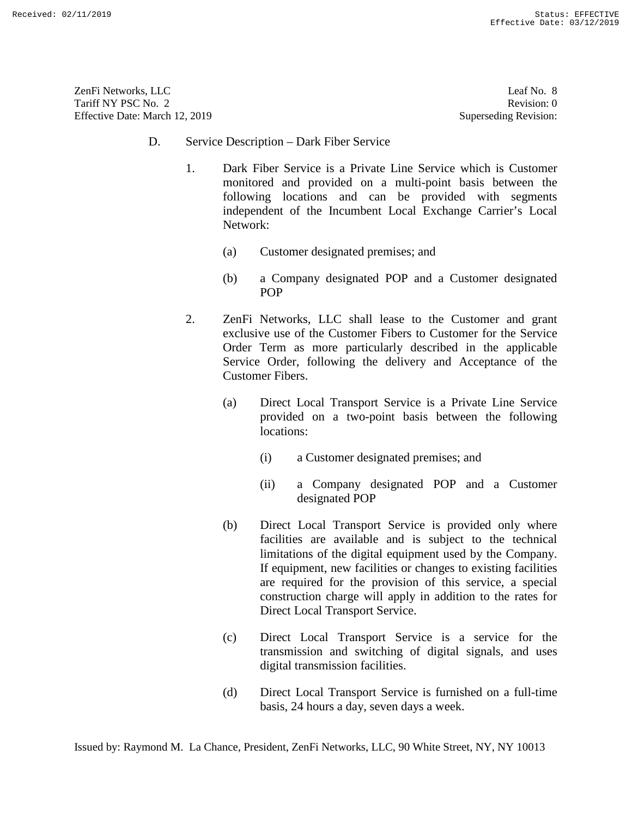ZenFi Networks, LLC ZenFi Networks, LLC Leaf No. 8 Tariff NY PSC No. 2 Tariff NY PSC No. 2 Revision: 0<br>
Effective Date: March 12, 2019 Superseding Revision: 0

Leaf No. 8 Revision: 0 Superseding Revision:

- D. Service Description Dark Fiber Service
	- 1. Dark Fiber Service is a Private Line Service which is Customer monitored and provided on a multi-point basis between the following locations and can be provided with segments independent of the Incumbent Local Exchange Carrier's Local Network:
		- Network:<br>(a) Customer designated premises; and
	- (b) a Company designated POP and a Customer designated POP 2. ZenFi Networks, LLC shall lease to the Customer and grant (b) a Company designated POP and a Customer designated POP 2. ZenFi Networks, LLC shall lease to the Customer and grant
	- exclusive use of the Customer Fibers to Customer for the Service Order Term as more particularly described in the applicable Service Order, following the delivery and Acceptance of the Customer Fibers. exclusive use of the Customer Fibers to Customer for the Service Order Term as more particularly described in the applicable Service Order, following the delivery and Acceptance of the Customer Fibers.
		- (a) Direct Local Transport Service is a Private Line Service (a) Direct Local Transport Service is a Private Line Service provided on a two-point basis between the following provided on a two-point basis between the following locations: locations:
			- (i) a Customer designated premises; and
			- (ii) a Company designated POP and a Customer designated POP
- (b) Direct Local Transport Service is provided only where facilities are available and is subject to the technical limitations of the digital equipment used by the Company. If equipment, new facilities or changes to existing facilities are required for the provision of this service, a special construction charge will apply in addition to the rates for Direct Local Transport Service. 13. Service Description – Dark Hiber Service<br>
1. Dark Hiber Service which is Customer<br>
1. Dark Hiber Service Uniter-Batis Service which is Customer<br>
monitored and provided on a multi-point basis between the<br>
following loc (i) a Customer designated premises; and<br>
(ii) a Company designated POP and a Customer<br>
designated POP<br>
(b) Direct Local Transport Service is provided only where<br>
facilities are available and is subject to the technical<br>
li construction charge will apply in addition to the rates for Direct Local Transport Service. (c) Direct Local Transport Service is a service for the transmission and switching of digital signals, and uses **Examples and transmission facilities**. (d) Lear May 121 weeks. (d) Direction facilities of the matrix of the service of the service of the service of the service of the service of the service of the service of the servic
	- (c) Direct Local Transport Service is a service for the transmission and switching of digital signals, and uses digital transmission facilities.
	- (d) Direct Local Transport Service is furnished on a full-time basis, 24 hours a day, seven days a week.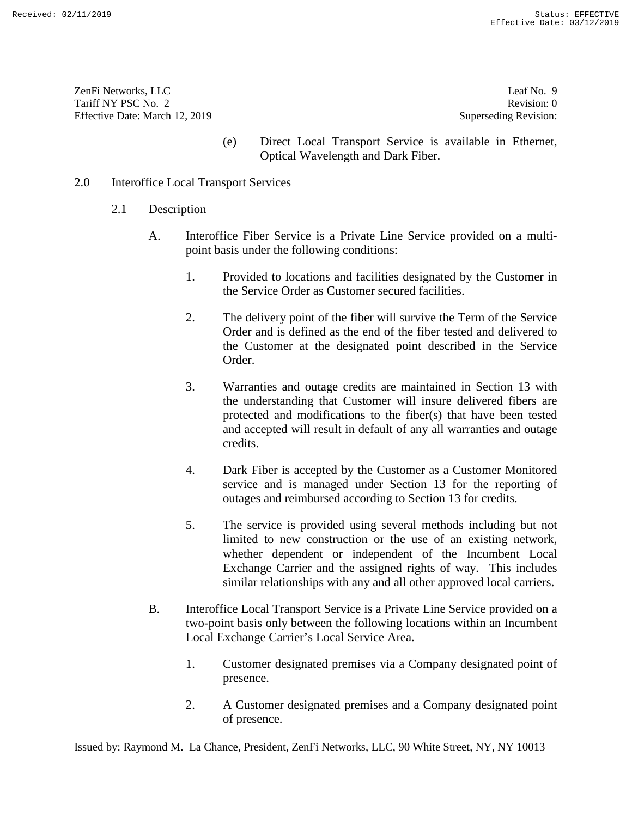ZenFi Networks, LLC ZenFi Networks, LLC Leaf No. 9 Tariff NY PSC No. 2 Tariff NY PSC No. 2 Revision: 0<br>
Effective Date: March 12, 2019 Superseding Revision: 0

Leaf No. 9 Revision: 0 Superseding Revision:

(e) Direct Local Transport Service is available in Ethernet, Optical Wavelength and Dark Fiber.

# 2.0 Interoffice Local Transport Services

- 2.1 Description
	- A. Interoffice Fiber Service is a Private Line Service provided on a multipoint basis under the following conditions:
		- 1. Provided to locations and facilities designated by the Customer in the Service Order as Customer secured facilities.
		- 2. The delivery point of the fiber will survive the Term of the Service Order and is defined as the end of the fiber tested and delivered to the Customer at the designated point described in the Service Order. 1. Provided to locations and facilities designated by the Customer in<br>
		1. Provided to locations and facilities designated by the Customer in<br>
		the Service Order as Customer secured facilities.<br>
		2. The delivery point of the
- 3. Warranties and outage credits are maintained in Section 13 with the understanding that Customer will insure delivered fibers are the Customer at the designated point described in the Service<br>Order.<br>3. Warranties and outage credits are maintained in Section 13 with<br>the understanding that Customer will insure delivered fibers are<br>protected and modific and accepted will result in default of any all warranties and outage credits. (c) Direct Local Transport Services is a while<br>help of the Direct Local Transport Services (c) Direct Une Service Data River<br>Fiber.<br>2.1 Description<br>2.1 Description<br>2.1 Meteroffice Fiber Service is a Private Line Service **Presence.** 2. A Customer designated presence in the status of presence. 2. A Customer designated presence. 2. A Customer designation of presence. 2. A Customer designation of presence. A Customer designation of presence
	- 4. Dark Fiber is accepted by the Customer as a Customer Monitored service and is managed under Section 13 for the reporting of outages and reimbursed according to Section 13 for credits. and accepted will result in default of any all warranties and outage credits. 4. Dark Fiber is accepted by the Customer as a Customer Monitored service and is managed under Section 13 for the reporting of
	- 5. The service is provided using several methods including but not limited to new construction or the use of an existing network, whether dependent or independent of the Incumbent Local Exchange Carrier and the assigned rights of way. This includes similar relationships with any and all other approved local carriers. 5. The service is provided using several methods including but not limited to new construction or the use of an existing network, whether dependent or independent of the Incumbent Local Exchange Carrier and the assigned ri
	- B. Interoffice Local Transport Service is a Private Line Service provided on a two-point basis only between the following locations within an Incumbent Local Exchange Carrier's Local Service Area. B. Interoffice Local Transport Service is a Private Line Service provided on a two-point basis only between the following locations within an Incumbent Local Exchange Carrier's Local Service Area.<br>1. Customer designated pr
		- 1. Customer designated premises via a Company designated point of presence.
		- 2. A Customer designated premises and a Company designated point of presence.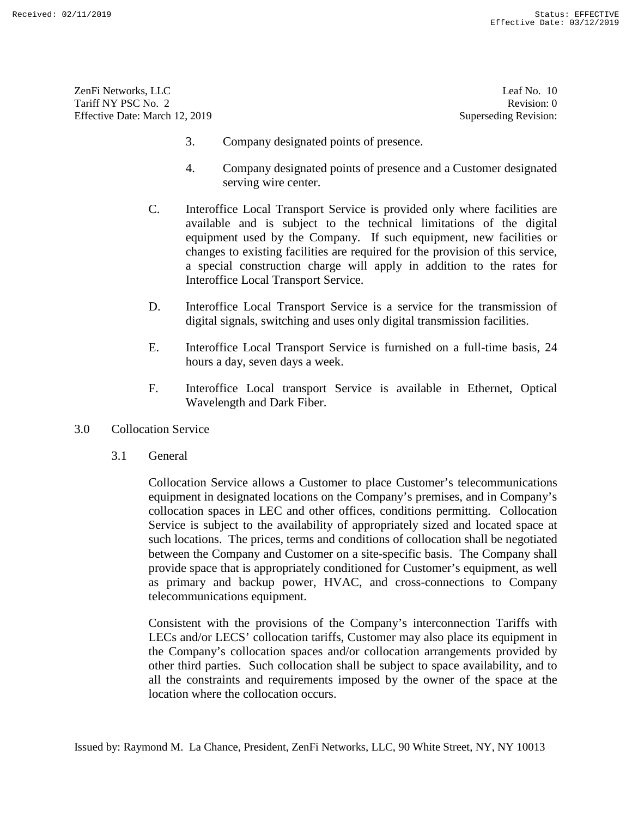ZenFi Networks, LLC ZenFi Networks, LLC Leaf No. 10 Tariff NY PSC No. 2 Tariff NY PSC No. 2 Revision: 0<br>
Effective Date: March 12, 2019 Superseding Revision: 0

Leaf No. 10 Revision: 0 Superseding Revision:

- 3. Company designated points of presence.
- 4. Company designated points of presence and a Customer designated serving wire center.
- C. Interoffice Local Transport Service is provided only where facilities are available and is subject to the technical limitations of the digital equipment used by the Company. If such equipment, new facilities or changes to existing facilities are required for the provision of this service, a special construction charge will apply in addition to the rates for Interoffice Local Transport Service.
- D. Interoffice Local Transport Service is a service for the transmission of D. Interoffice Local Transport Service is a service for the transmission of digital signals, switching and uses only digital transmission facilities.
- E. Interoffice Local Transport Service is furnished on a full-time basis, 24 hours a day, seven days a week.
- F. Interoffice Local transport Service is available in Ethernet, Optical Wavelength and Dark Fiber.
- 3.0 Collocation Service
	- 3.1 General

Collocation Service allows a Customer to place Customer's telecommunications equipment in designated locations on the Company's premises, and in Company's collocation spaces in LEC and other offices, conditions permitting. Collocation Service is subject to the availability of appropriately sized and located space at such locations. The prices, terms and conditions of collocation shall be negotiated between the Company and Customer on a site-specific basis. The Company shall provide space that is appropriately conditioned for Customer's equipment, as well as primary and backup power, HVAC, and cross-connections to Company telecommunications equipment. 3. Company designated points of presence.<br>
4. Company designated points of presence.<br>
1. Severage wire center.<br>
1. Severage wire center.<br>
1. C. Interoffice Local Transport Service is provided only where facilities are<br>
av digital signals, switching and uses only digital transmission facilities.<br>
E. Interoffice Local Transport Service is furnished on a full-time basis, 24<br>
hours a day, seven days a week.<br>
F. Interoffice Local transport Servi The<br>entry state of the UC (or No. 1)<br>
There is a state of the UC (or No U)<br>
There is a state of the UC<br>
There Due Mark 12, 2019<br>
3. Company designated points of presence.<br>
4. Company designated points of presence and a Cu

Consistent with the provisions of the Company's interconnection Tariffs with LECs and/or LECS' collocation tariffs, Customer may also place its equipment in the Company's collocation spaces and/or collocation arrangements provided by other third parties. Such collocation shall be subject to space availability, and to all the constraints and requirements imposed by the owner of the space at the location where the collocation occurs. telecommunications equipment.<br>Consistent with the provisions of the Company's interconnection Tariffs with<br>LECs and/or LECS' collocation tariffs, Customer may also place its equipment in<br>the Company's collocation spaces an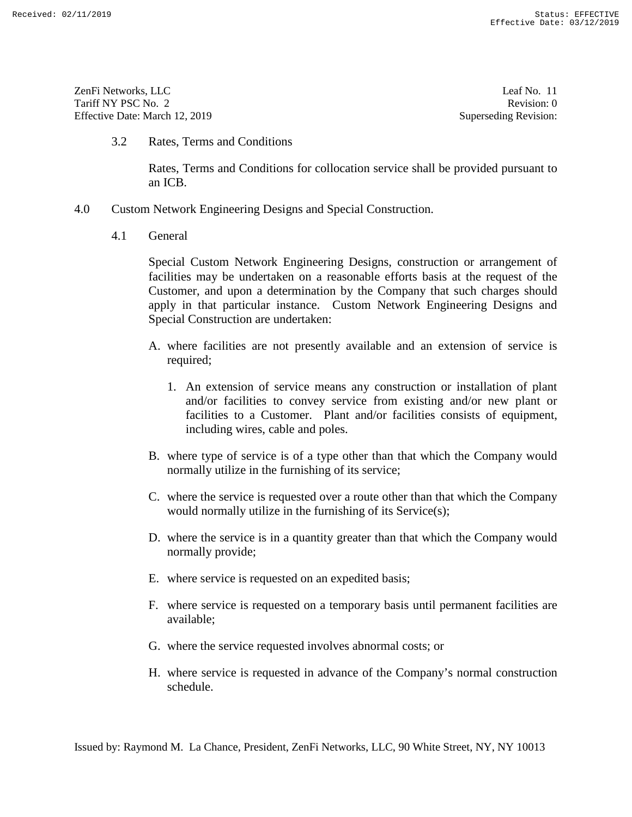ZenFi Networks, LLC ZenFi Networks, LLC Leaf No. 11 Tariff NY PSC No. 2 Tariff NY PSC No. 2 Revision: 0<br>
Effective Date: March 12, 2019 Superseding Revision: 0

Leaf No. 11 Revision: 0 Superseding Revision:

3.2 Rates, Terms and Conditions

Rates, Terms and Conditions for collocation service shall be provided pursuant to an ICB.

- 4.0 Custom Network Engineering Designs and Special Construction.
	- 4.1 General

Special Custom Network Engineering Designs, construction or arrangement of Special Custom Network Engineering Designs, construction or arrangement of facilities may be undertaken on a reasonable efforts basis at the request of the Customer, and upon a determination by the Company that such charges should apply in that particular instance. Custom Network Engineering Designs and Special Construction are undertaken: 3.2 Rates, Terms and Conditions<br>
Rates, Terms and Conditions for collocation service shall be provided pursuant to<br>
an ICB.<br>
4.0 Custom Network Engineering Designs and Special Construction.<br>
4.1 General<br>
Special Custom Ne facilities may be undertaken on a reasonable efforts basis at the request of the Customer, and upon a determination by the Company that such charges should apply in that particular instance. Custom Network Engineering Desi Earth Service requested in the service requested in a service requested in a service of the service of the service is requested in a service of the Company's normal construction schedule. The service of the Service of the

- required;
- A. where facilities are not presently available and an extension of service is<br>required;<br>1. An extension of service means any construction or installation of plant<br>and/or facilities to convey service from existing and/or n 1. An extension of service means any construction or installation of plant and/or facilities to convey service from existing and/or new plant or facilities to a Customer. Plant and/or facilities consists of equipment, including wires, cable and poles.
- B. where type of service is of a type other than that which the Company would normally utilize in the furnishing of its service; including wires, cable and poles.<br>
B. where type of service is of a type other than that which the Company would<br>
normally utilize in the furnishing of its service;<br>
C. where the service is requested over a route other tha
- C. where the service is requested over a route other than that which the Company would normally utilize in the furnishing of its Service(s);
- D. where the service is in a quantity greater than that which the Company would D. where the service is in a quantity greater than that which the Company would normally provide; normally provide;
- E. where service is requested on an expedited basis;
- F. where service is requested on a temporary basis until permanent facilities are available; E. where service is requested on an expedited basis; F. where service is requested on a temporary basis until permanent facilities are available;
- G. where the service requested involves abnormal costs; or
- H. where service is requested in advance of the Company's normal construction schedule.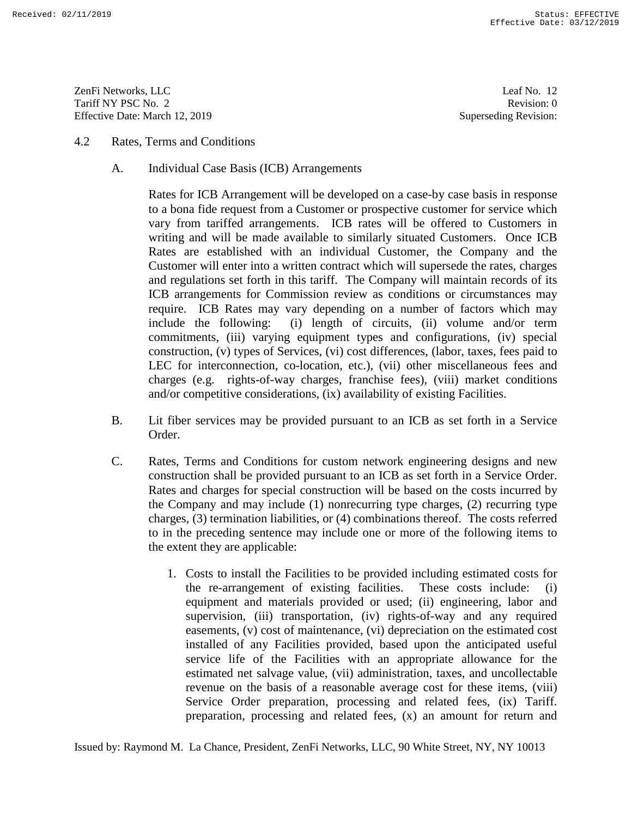ZenFi Networks, LLC Tariff NY PSC No. 2 Effective Date: March 12, 2019 ZenFi Networks, LLC Leaf No. 12<br>
Tariff NY PSC No. 2 Revision: 0<br>
Effective Date: March 12, 2019 Superseding Revision: 0

Leaf No. 12 Revision: 0 Superseding Revision:

- 4.2 Rates, Terms and Conditions
	- A. Individual Case Basis (ICB) Arrangements

Rates for ICB Arrangement will be developed on a case-by case basis in response to a bona fide request from a Customer or prospective customer for service which vary from tariffed arrangements. ICB rates will be offered to Customers in writing and will be made available to similarly situated Customers. Once ICB Rates are established with an individual Customer, the Company and the Customer will enter into a written contract which will supersede the rates, charges and regulations set forth in this tariff. The Company will maintain records of its writing and will be made available to similarly situated Customers. Once ICB<br>Rates are established with an individual Customer, the Company and the<br>Customer will enter into a written contract which will supersede the rates require. ICB Rates may vary depending on a number of factors which may include the following: (i) length of circuits, (ii) volume and/or term commitments, (iii) varying equipment types and configurations, (iv) special construction, (v) types of Services, (vi) cost differences, (labor, taxes, fees paid to LEC for interconnection, co-location, etc.), (vii) other miscellaneous fees and and/or competitive considerations, (ix) availability of existing Facilities. A. 2 Rates, Terms and Conditions<br>
Maxim Cane Basis (CB) Arrangements<br>
Rates for CE4 Arrangements (till developed on a case-by case hasis in response<br>
Rates for CE4 Arrangement will be developed on a case-by case hasis in require. ICB Rates may vary depending on a number of factors which may<br>include the following: (i) length of circuits, (ii) volume and/or term<br>commitments, (iii) varying equipment types and configurations, (iv) special<br>cons Service Order press, (ix) Tariff. (iii) Tariffees, (iii) Tariff. press, (iii) Tariff. 2013<br>
2. Tarif. 2019 Englished Case Basis (ICB) Arangements<br>
2. Undividual Case Basis (ICB) Arangements<br>
2. Undividual Case Basis (ICB)

- charges (e.g. rights-of-way charges, franchise fees), (viii) market conditions<br>and/or competitive considerations, (ix) availability of existing Facilities.<br>B. Lit fiber services may be provided pursuant to an ICB as set fo B. Lit fiber services may be provided pursuant to an ICB as set forth in a Service Order.
- C. Rates, Terms and Conditions for custom network engineering designs and new construction shall be provided pursuant to an ICB as set forth in a Service Order. Rates and charges for special construction will be based on the costs incurred by the Company and may include (1) nonrecurring type charges, (2) recurring type charges, (3) termination liabilities, or (4) combinations thereof. The costs referred to in the preceding sentence may include one or more of the following items to the extent they are applicable: construction shall be provided pursuant to an ICB as set forth in a Service Order.<br>Rates and charges for special construction will be based on the costs incurred by<br>the Company and may include (1) nonrecurring type charges
	- 1. Costs to install the Facilities to be provided including estimated costs for the re-arrangement of existing facilities. These costs include: (i) the extent they are applicable:<br>
	1. Costs to install the Facilities to be provided including estimated costs for<br>
	the re-arrangement of existing facilities. These costs include: (i)<br>
	equipment and materials provided or use supervision, (iii) transportation, (iv) rights-of-way and any required<br>easements, (v) cost of maintenance, (vi) depreciation on the estimated cost<br>installed of any Facilities provided, based upon the anticipated useful<br>ser easements, (v) cost of maintenance, (vi) depreciation on the estimated cost installed of any Facilities provided, based upon the anticipated useful service life of the Facilities with an appropriate allowance for the estimated net salvage value, (vii) administration, taxes, and uncollectable revenue on the basis of a reasonable average cost for these items, (viii) revenue on the basis of a reasonable average cost for these items, (viii) Service Order preparation, processing and related fees, (ix) Tariff. preparation, processing and related fees, (x) an amount for return and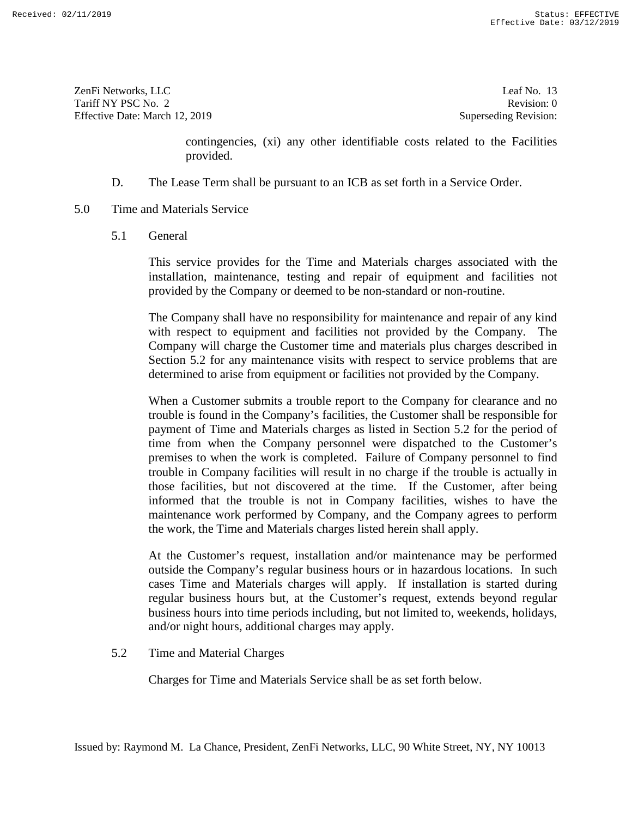ZenFi Networks, LLC ZenFi Networks, LLC Leaf No. 13 Tariff NY PSC No. 2 Tariff NY PSC No. 2 Revision: 0<br>
Effective Date: March 12, 2019 Superseding Revision: 0

Leaf No. 13 Revision: 0 Superseding Revision:

contingencies, (xi) any other identifiable costs related to the Facilities provided.

- D. The Lease Term shall be pursuant to an ICB as set forth in a Service Order.
- 5.0 Time and Materials Service
	- 5.1 General

This service provides for the Time and Materials charges associated with the installation, maintenance, testing and repair of equipment and facilities not provided by the Company or deemed to be non-standard or non-routine. 9.1 D. The Lease Term shall be pursuant to an ICB as set forth in a Service Order.<br>
5.0 Time and Materials Service<br>
5.1 General<br>
5.1 General<br>
5.1 This service provides for the Time and Materials charges associated with the

> The Company shall have no responsibility for maintenance and repair of any kind<br>with respect to equipment and facilities not provided by the Company. The with respect to equipment and facilities not provided by the Company. The Company will charge the Customer time and materials plus charges described in Section 5.2 for any maintenance visits with respect to service problems that are Company will charge the Customer time and materials plus charges described in Section 5.2 for any maintenance visits with respect to service problems that are determined to arise from equipment or facilities not provided b

When a Customer submits a trouble report to the Company for clearance and no When a Customer submits a trouble report to the Company for clearance and no<br>trouble is found in the Company's facilities, the Customer shall be responsible for payment of Time and Materials charges as listed in Section 5.2 for the period of time from when the Company personnel were dispatched to the Customer's premises to when the work is completed. Failure of Company personnel to find trouble in Company facilities will result in no charge if the trouble is actually in those facilities, but not discovered at the time. If the Customer, after being informed that the trouble is not in Company facilities, wishes to have the maintenance work performed by Company, and the Company agrees to perform the work, the Time and Materials charges listed herein shall apply. informed that the trouble is not in Company facilities, wishes to have the maintenance work performed by Company, and the Company agrees to perform the work, the Time and Materials charges listed herein shall apply.<br>At the continguous provided. (xi) any other identifiable costs related to the Facilities D.<br>
Time and Materials Service<br>
5.1 General<br>
19. General<br>
19. General<br>
19. General<br>
19. General<br>
19. General<br>
19. General<br>
19. General<br>
19. payment of Time and Materials charges as listed in Section 5.2 for the period of<br>time from when the Company personnel were dispatched to the Customer's<br>premises to when the work is completed. Failure of Company personnel t **FRACTION**<br> **FRACTION**<br> **FRACTION**<br> **FRACTION**<br> **FRACTION**<br> **FRACTION**<br> **FRACTION**<br> **FRACTION**<br> **FRACTION**<br> **FRACTION**<br> **FRACTION**<br> **FRACTION**<br> **FRACTION**<br> **FRACTION**<br> **FRACTION**<br> **FRACTION**<br> **FRACTION**<br> **FRACTION**<br> **FRAC** 

outside the Company's regular business hours or in hazardous locations. In such cases Time and Materials charges will apply. If installation is started during regular business hours but, at the Customer's request, extends beyond regular business hours into time periods including, but not limited to, weekends, holidays, and/or night hours, additional charges may apply. cases Time and Materials charges will apply. If installation is started during<br>regular business hours but, at the Customer's request, extends beyond regular<br>business hours into time periods including, but not limited to, w

5.2 Time and Material Charges

Charges for Time and Materials Service shall be as set forth below.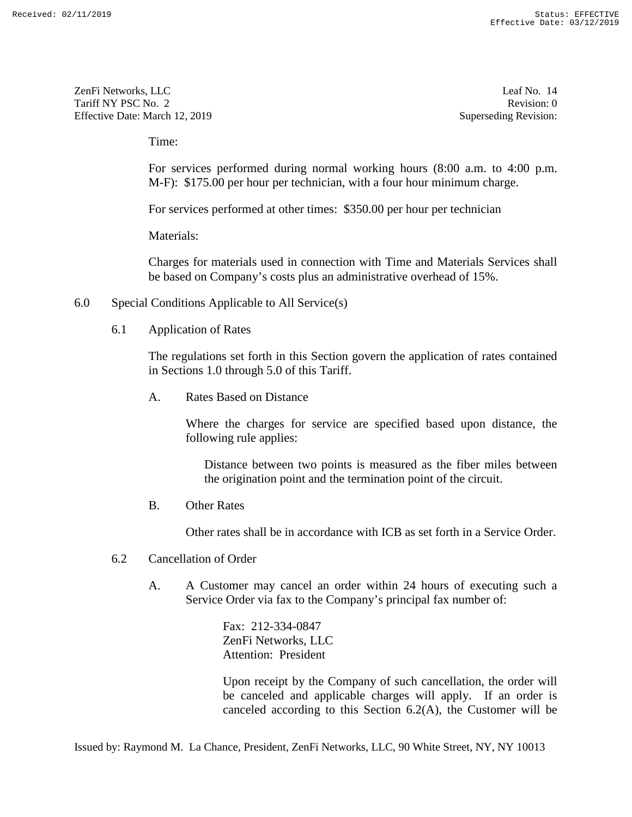ZenFi Networks, LLC Tariff NY PSC No. 2 Effective Date: March 12, 2019 ZenFi Networks, LLC Leaf No. 14 Revision: 0<br>
Tariff NY PSC No. 2 Revision: 0<br>
Effective Date: March 12, 2019 Superseding Revision: 0

Leaf No. 14 Revision: 0 Superseding Revision:

Time:

For services performed during normal working hours (8:00 a.m. to 4:00 p.m. M-F): \$175.00 per hour per technician, with a four hour minimum charge. For services performed during normal working hours (8:00 a.m. to 4:00 p.m. M-F): \$175.00 per hour per technician, with a four hour minimum charge.<br>For services performed at other times: \$350.00 per hour per technician<br>Mate

For services performed at other times: \$350.00 per hour per technician

Materials:

Charges for materials used in connection with Time and Materials Services shall be based on Company's costs plus an administrative overhead of 15%. Charges for materials used in connection with Time and Materials Services shall<br>be based on Company's costs plus an administrative overhead of 15%.<br>6.0 Special Conditions Applicable to All Service(s)<br>6.1 Application of Rat

- 6.0 Special Conditions Applicable to All Service(s)
	- 6.1 Application of Rates

The regulations set forth in this Section govern the application of rates contained in Sections 1.0 through 5.0 of this Tariff.

A. Rates Based on Distance

Where the charges for service are specified based upon distance, the following rule applies: in Sections 1.0 through 5.0 of this Tariff. A. Rates Based on Distance Where the charges for service are specified based upon distance, the following rule applies:

> Distance between two points is measured as the fiber miles between Distance between two points is measured as the fiber miles between the origination point and the termination point of the circuit.

B. Other Rates

Other rates shall be in accordance with ICB as set forth in a Service Order.

- 6.2 Cancellation of Order
- A. A Customer may cancel an order within 24 hours of executing such a Service Order via fax to the Company's principal fax number of: the origination point and the termination point of the circuit.<br>
B. Other Rates<br>
Other rates shall be in accordance with ICB as set forth in a Service Order.<br>
6.2 Cancellation of Order<br>
A. A Customer may cancel an order wi

Fax: 212-334-0847 ZenFi Networks, LLC Attention: President

Upon receipt by the Company of such cancellation, the order will be canceled and applicable charges will apply. If an order is canceled according to this Section 6.2(A), the Customer will be Time:<br>
For services performed during normal working hours (8:00 a.m. to 4:00 p<br>
M-F); \$175.00 per hour per technician, with a four hour minimum charge.<br>
For services performed at other times: \$350.00 per hour per technici Exercise Section 2.12<br>
2.2016 Network, LtC<br>
2.2016 Network, LtC<br>
2.2016 Network, LtC<br>
1.2016 Network, LtC<br>
1.2016 Network L2016<br>
2.2016 Network L2016<br>
2.2016 Network Constraint and the state of September Revises of Sectio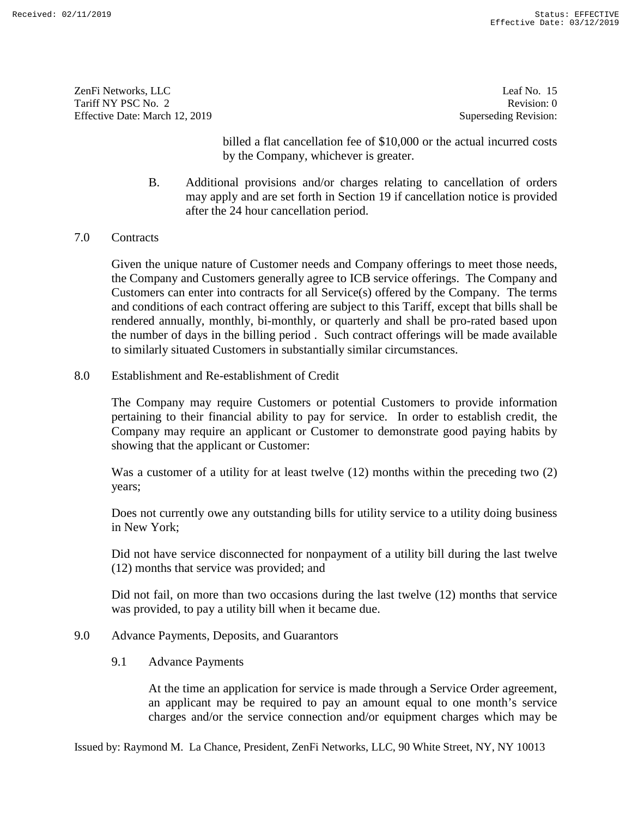ZenFi Networks, LLC ZenFi Networks, LLC Leaf No. 15 Tariff NY PSC No. 2 Tariff NY PSC No. 2 Revision: 0<br>
Effective Date: March 12, 2019 Superseding Revision: 0

Leaf No. 15 Revision: 0 Superseding Revision:

billed a flat cancellation fee of \$10,000 or the actual incurred costs by the Company, whichever is greater.

- B. Additional provisions and/or charges relating to cancellation of orders may apply and are set forth in Section 19 if cancellation notice is provided after the 24 hour cancellation period. after the 24 hour cancellation period.
- 7.0 Contracts

Given the unique nature of Customer needs and Company offerings to meet those needs, the Company and Customers generally agree to ICB service offerings. The Company and Customers can enter into contracts for all Service(s) offered by the Company. The terms and conditions of each contract offering are subject to this Tariff, except that bills shall be rendered annually, monthly, bi-monthly, or quarterly and shall be pro-rated based upon the number of days in the billing period . Such contract offerings will be made available to similarly situated Customers in substantially similar circumstances. rendered annually, monthly, bi-monthly, or quarterly and shall be pro-rated based upon<br>the number of days in the billing period. Such contract offerings will be made available<br>to similarly situated Customers in substantial bild a flat cancellation fee of S10,000 or the actual incurred costs<br>by the Company, whichever is greaser.<br>B. Additional provisions and/or charges relating to cancellation of orders<br>may apply and are set forth in Section 1 7.0 Contracts<br>Given the unique nature of Customer needs and Company offerings to meet those needs,<br>the Company and Customers generally agree to ICB service offerings. The Company and<br>Customers can enter into contracts for Each may be required to pay and the service connection and to one month or the service charges and  $\mu$  to the service charges and  $\mu$  to one month or the service connection and  $\mu$  to one month of the service charges a

8.0 Establishment and Re-establishment of Credit

pertaining to their financial ability to pay for service. In order to establish credit, the Company may require an applicant or Customer to demonstrate good paying habits by showing that the applicant or Customer: pertaining to their financial ability to pay for service. In order to establish credit, the Company may require an applicant or Customer to demonstrate good paying habits by showing that the applicant or Customer:<br>Was a cu

Was a customer of a utility for at least twelve (12) months within the preceding two (2) years;

Does not currently owe any outstanding bills for utility service to a utility doing business in New York;

Did not have service disconnected for nonpayment of a utility bill during the last twelve (12) months that service was provided; and Does not currently owe any outstanding bills for utility service to a utility doing business<br>in New York;<br>Did not have service disconnected for nonpayment of a utility bill during the last twelve<br>(12) months that service w

was provided, to pay a utility bill when it became due. was provided, to pay a utility bill when it became due.

# 9.0 Advance Payments, Deposits, and Guarantors

9.1 Advance Payments

9.0 Advance Payments, Deposits, and Guarantors<br>9.1 Advance Payments<br>At the time an application for service is made through a Service Order agreement, an applicant may be required to pay an amount equal to one month's service charges and/or the service connection and/or equipment charges which may be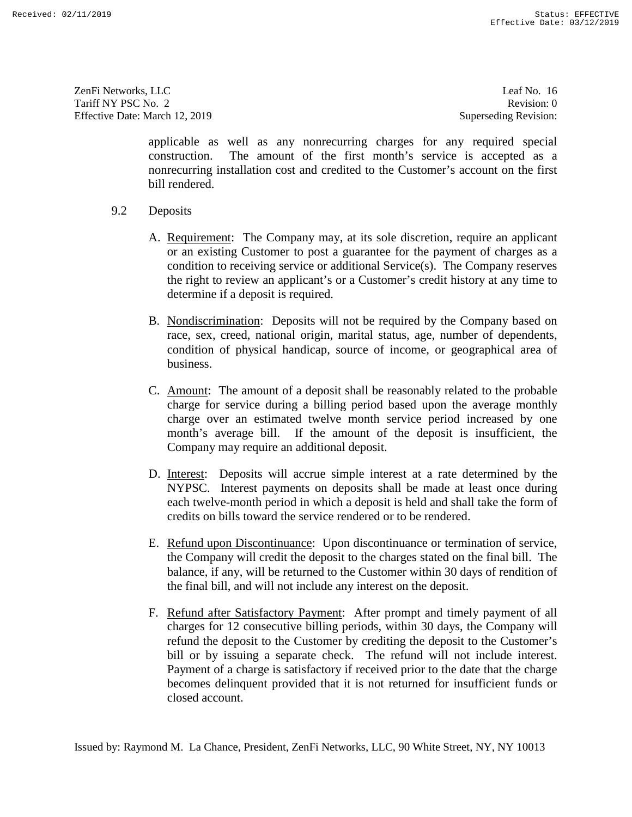ZenFi Networks, LLC ZenFi Networks, LLC Leaf No. 16 Tariff NY PSC No. 2 Tariff NY PSC No. 2 Revision: 0<br>
Effective Date: March 12, 2019 Superseding Revision: 0

Leaf No. 16 Revision: 0 Superseding Revision:

applicable as well as any nonrecurring charges for any required special construction. The amount of the first month's service is accepted as a nonrecurring installation cost and credited to the Customer's account on the first bill rendered.

- 9.2 Deposits
	- A. <u>Requirement</u>: The Company may, at its sole discretion, require an applicant<br>or an existing Customer to post a guarantee for the payment of charges as a<br>condition to receiving service or additional Service(s). The Compa or an existing Customer to post a guarantee for the payment of charges as a condition to receiving service or additional Service(s). The Company reserves the right to review an applicant's or a Customer's credit history at any time to determine if a deposit is required.
	- B. Nondiscrimination: Deposits will not be required by the Company based on race, sex, creed, national origin, marital status, age, number of dependents, condition of physical handicap, source of income, or geographical area of business. B. Nondiscrimination: Deposits will not be required by the Company based on race, sex, creed, national origin, marital status, age, number of dependents, condition of physical handicap, source of income, or geographical ar
	- charge for service during a billing period based upon the average monthly charge over an estimated twelve month service period increased by one month's average bill. If the amount of the deposit is insufficient, the Company may require an additional deposit. charge for service during a billing period based upon the average monthly charge over an estimated twelve month service period increased by one month's average bill. If the amount of the deposit is insufficient, the Compan
	- D. Interest: Deposits will accrue simple interest at a rate determined by the NYPSC. Interest payments on deposits shall be made at least once during NYPSC. Interest payments on deposits shall be made at least once during each twelve-month period in which a deposit is held and shall take the form of each twelve-month period in which a deposit is held and shall take the form of credits on bills toward the service rendered or to be rendered.
	- E. Refund upon Discontinuance: Upon discontinuance or termination of service, credits on bills toward the service rendered or to be rendered.<br>E. <u>Refund upon Discontinuance</u>: Upon discontinuance or termination of service,<br>the Company will credit the deposit to the charges stated on the final bill. T balance, if any, will be returned to the Customer within 30 days of rendition of balance, if any, will be returned to the Customer within 30 days of rendition of the final bill, and will not include any interest on the deposit.
- F. Refund after Satisfactory Payment: After prompt and timely payment of all charges for 12 consecutive billing periods, within 30 days, the Company will refund the deposit to the Customer by crediting the deposit to the Customer's<br>bill or by issuing a separate check. The refund will not include interest.<br>Payment of a charge is satisfactory if received prior to the date tha bill or by issuing a separate check. The refund will not include interest. Payment of a charge is satisfactory if received prior to the date that the charge becomes delinquent provided that it is not returned for insufficient funds or closed account. applicable as well as my nonceruring charges for any required species<br>construction. The amount of the first month's service is accepted as a<br>numeraring installation cent and credited to the Customer's account on the first the final bill, and will not include any interest on the deposit.<br>F. Refund after Satisfactory Payment: After prompt and timely payment of all charges for 12 consecutive billing periods, within 30 days, the Company will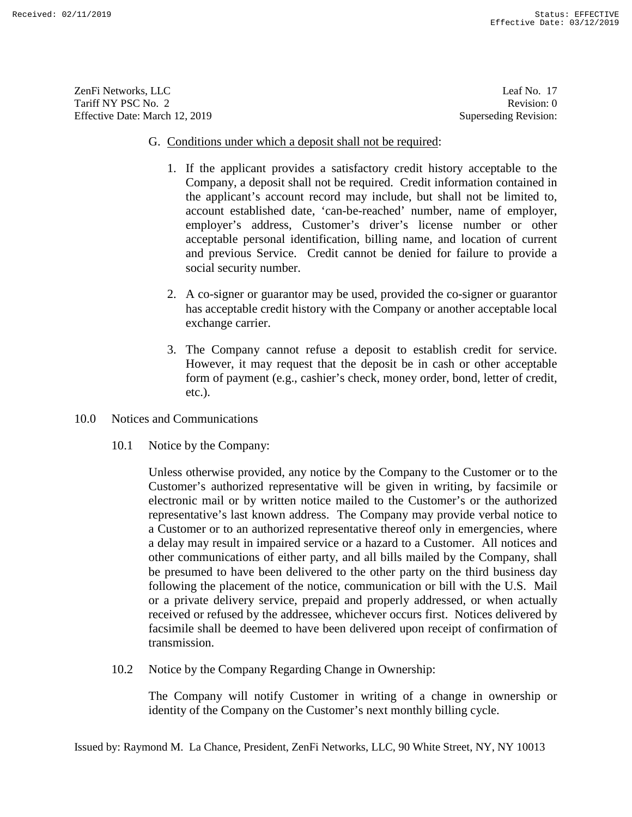ZenFi Networks, LLC ZenFi Networks, LLC Leaf No. 17 Tariff NY PSC No. 2 Tariff NY PSC No. 2 Revision: 0<br>
Effective Date: March 12, 2019 Superseding Revision: 0

Leaf No. 17 Revision: 0 Superseding Revision:

### G. Conditions under which a deposit shall not be required:

- 1. If the applicant provides a satisfactory credit history acceptable to the Company, a deposit shall not be required. Credit information contained in the applicant's account record may include, but shall not be limited to, account established date, 'can-be-reached' number, name of employer, employer's address, Customer's driver's license number or other acceptable personal identification, billing name, and location of current and previous Service. Credit cannot be denied for failure to provide a social security number.
- 2. A co-signer or guarantor may be used, provided the co-signer or guarantor 2. A co-signer or guarantor may be used, provided the co-signer or guarantor has acceptable credit history with the Company or another acceptable local exchange carrier. exchange carrier.
- 3. The Company cannot refuse a deposit to establish credit for service.<br>However, it may request that the deposit be in cash or other acceptable<br>form of payment (e.g., cashier's check, money order, bond, letter of credit, However, it may request that the deposit be in cash or other acceptable form of payment (e.g., cashier's check, money order, bond, letter of credit, etc.).
- 10.0 Notices and Communications
	- 10.1 Notice by the Company:

Unless otherwise provided, any notice by the Company to the Customer or to the Customer's authorized representative will be given in writing, by facsimile or electronic mail or by written notice mailed to the Customer's or the authorized representative's last known address. The Company may provide verbal notice to a Customer or to an authorized representative thereof only in emergencies, where a delay may result in impaired service or a hazard to a Customer. All notices and other communications of either party, and all bills mailed by the Company, shall be presumed to have been delivered to the other party on the third business day following the placement of the notice, communication or bill with the U.S. Mail or a private delivery service, prepaid and properly addressed, or when actually received or refused by the addressee, whichever occurs first. Notices delivered by facsimile shall be deemed to have been delivered upon receipt of confirmation of facsimile shall be deemed to have been delivered upon receipt of confirmation of transmission. 3. Conditions under which a deposit shall not be required:<br>
1. If the applicant provides a surfatchry excite history acceptable to the<br>
1. If the applicant vacuum recursion and include put into the mapping the compary a d etc.).<br>
10.0 Notices and Communications<br>
10.1 Notice by the Company:<br>
Unless otherwise provided, any notice by the Company to the Customer or to the<br>
Customer's authorized representative will be given in writing, by facsim Exercise Section 12.<br>
Each Between L2C<br>
Lead Nev 12<br>
Lead Nev 12<br>
Lead Nev 12<br>
Contribute L2D<br>
To the New Hendington and the strength of the strength of the strength of the Control Control Control Control Control Control

10.2 Notice by the Company Regarding Change in Ownership:

The Company will notify Customer in writing of a change in ownership or identity of the Company on the Customer's next monthly billing cycle.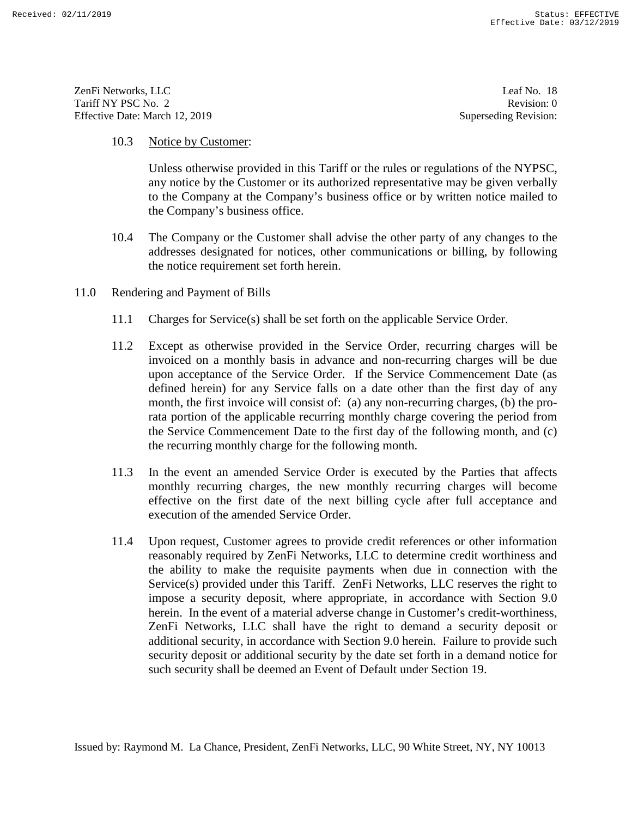ZenFi Networks, LLC ZenFi Networks, LLC Leaf No. 18 Tariff NY PSC No. 2 Tariff NY PSC No. 2 Revision: 0<br>
Effective Date: March 12, 2019 Superseding Revision: 0

Leaf No. 18 Revision: 0 Superseding Revision:

### 10.3 Notice by Customer:

Unless otherwise provided in this Tariff or the rules or regulations of the NYPSC, any notice by the Customer or its authorized representative may be given verbally to the Company at the Company's business office or by written notice mailed to the Company's business office.

- 10.4 The Company or the Customer shall advise the other party of any changes to the 10.4 The Company or the Customer shall advise the other party of any changes to the addresses designated for notices, other communications or billing, by following the notice requirement set forth herein. the notice requirement set forth herein.
- 11.0 Rendering and Payment of Bills
- 11.0 Rendering and Payment of Bills<br>11.1 Charges for Service(s) shall be set forth on the applicable Service Order.
	- 11.2 Except as otherwise provided in the Service Order, recurring charges will be invoiced on a monthly basis in advance and non-recurring charges will be due upon acceptance of the Service Order. If the Service Commencement Date (as defined herein) for any Service falls on a date other than the first day of any month, the first invoice will consist of: (a) any non-recurring charges, (b) the prorata portion of the applicable recurring monthly charge covering the period from the Service Commencement Date to the first day of the following month, and (c) the recurring monthly charge for the following month. 11.2 Except as otherwise provided in the Service Order, recurring charges will be invoiced on a monthly basis in advance and non-recurring charges will be due upon acceptance of the Service Order. If the Service Commenceme rata portion of the applicable recurring monthly charge covering the period from the Service Commencement Date to the first day of the following month, and (c) the recurring monthly charge for the following month.
	- 11.3 In the event an amended Service Order is executed by the Parties that affects 11.3 In the event an amended Service Order is executed by the Parties that affects monthly recurring charges, the new monthly recurring charges will become effective on the first date of the next billing cycle after full acceptance and effective on the first date of the next billing cycle after full acceptance and execution of the amended Service Order. execution of the amended Service Order.
- 11.4 Upon request, Customer agrees to provide credit references or other information reasonably required by ZenFi Networks, LLC to determine credit worthiness and the ability to make the requisite payments when due in connection with the Service(s) provided under this Tariff. ZenFi Networks, LLC reserves the right to impose a security deposit, where appropriate, in accordance with Section 9.0 herein. In the event of a material adverse change in Customer's credit-worthiness, ZenFi Networks, LLC shall have the right to demand a security deposit or additional security, in accordance with Section 9.0 herein. Failure to provide such security deposit or additional security by the date set forth in a demand notice for such security shall be deemed an Event of Default under Section 19. 10.3 Notice by Customer:<br>
Unless orbetwise provided in this Tariff or the rules or regulations of the NYPSC,<br>
unless orbetwise provided in this Tariff or the rules or regulations of the NYPSC,<br>
any notice by the Classomer 11.4 Upon request, Customer agrees to provide credit references or other information reasonably required by ZenFi Networks, LLC to determine credit worthiness and the ability to make the requisite payments when due in conn Service(s) provided under this Tariff. ZenFi Networks, LLC reserves the right to impose a security deposit, where appropriate, in accordance with Section 9.0 herein. In the event of a material adverse change in Customer's **EXAMPLE 2008**<br>
EVALUATE EVALUATE EVALUATE EVALUATE EVALUATE EVALUATE EVALUATE EVALUATE EVALUATE EVALUATE EVALUATE EVALUATE EVALUATE EVALUATE EVALUATE EVALUATE EVALUATE EVALUATE EVALUATE EVALUATE EVALUATE EVALUATE EVALUAT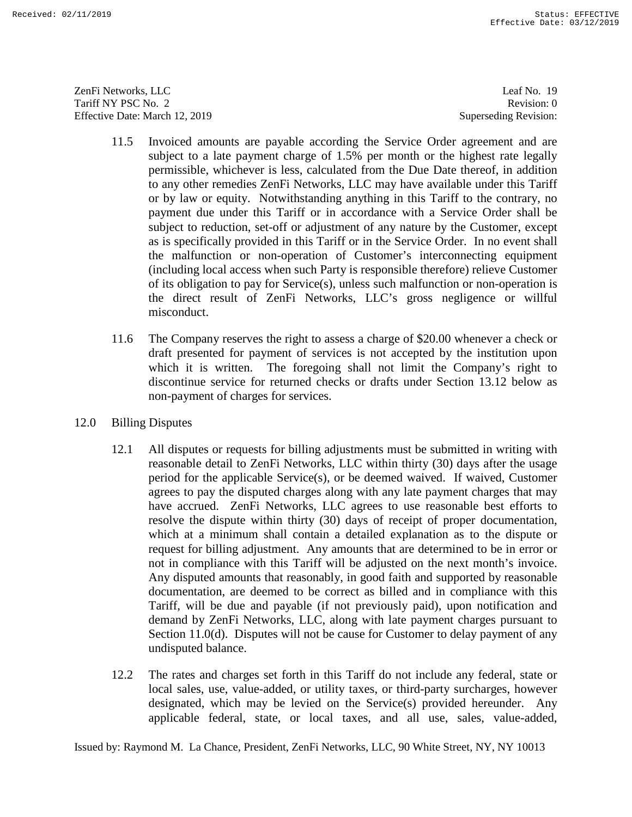ZenFi Networks, LLC ZenFi Networks, LLC Leaf No. 19 Tariff NY PSC No. 2 Tariff NY PSC No. 2 Revision: 0<br>
Effective Date: March 12, 2019 Superseding Revision: 0

Leaf No. 19 Revision: 0 Superseding Revision:

- 11.5 Invoiced amounts are payable according the Service Order agreement and are subject to a late payment charge of 1.5% per month or the highest rate legally permissible, whichever is less, calculated from the Due Date thereof, in addition to any other remedies ZenFi Networks, LLC may have available under this Tariff or by law or equity. Notwithstanding anything in this Tariff to the contrary, no payment due under this Tariff or in accordance with a Service Order shall be subject to reduction, set-off or adjustment of any nature by the Customer, except as is specifically provided in this Tariff or in the Service Order. In no event shall the malfunction or non-operation of Customer's interconnecting equipment (including local access when such Party is responsible therefore) relieve Customer of its obligation to pay for Service(s), unless such malfunction or non-operation is the direct result of ZenFi Networks, LLC's gross negligence or willful misconduct. or by law or equity. Notwithstanding anything in this Tariff to the contrary, no<br>payment due under this Tariff or in accordance with a Service Order shall be<br>subject to reduction, set-off or adjustment of any nature by the of its obligation to pay for Service(s), unless such malfunction or non-operation is<br>the direct result of ZenFi Networks, LLC's gross negligence or willful<br>misconduct.<br>11.6 The Company reserves the right to assess a charge
- 11.6 The Company reserves the right to assess a charge of \$20.00 whenever a check or draft presented for payment of services is not accepted by the institution upon which it is written. The foregoing shall not limit the Company's right to discontinue service for returned checks or drafts under Section 13.12 below as non-payment of charges for services. which it is written. The foregoing shall not limit the Company's right to discontinue service for returned checks or drafts under Section 13.12 below as non-payment of charges for services.
- 12.0 Billing Disputes
- 12.0 Billing Disputes<br>12.1 All disputes or requests for billing adjustments must be submitted in writing with reasonable detail to ZenFi Networks, LLC within thirty (30) days after the usage period for the applicable Service(s), or be deemed waived. If waived, Customer agrees to pay the disputed charges along with any late payment charges that may have accrued. ZenFi Networks, LLC agrees to use reasonable best efforts to resolve the dispute within thirty (30) days of receipt of proper documentation, which at a minimum shall contain a detailed explanation as to the dispute or request for billing adjustment. Any amounts that are determined to be in error or not in compliance with this Tariff will be adjusted on the next month's invoice. Any disputed amounts that reasonably, in good faith and supported by reasonable documentation, are deemed to be correct as billed and in compliance with this Tariff, will be due and payable (if not previously paid), upon notification and demand by ZenFi Networks, LLC, along with late payment charges pursuant to Section 11.0(d). Disputes will not be cause for Customer to delay payment of any undisputed balance. 11.5 Invoiced amounts are payable according the Seviron Order agreement and are<br>noised to a late payament charge of 1.5% per month or the highest rate legally<br>permissible, whichever is less, calculated from the Dav Dave a reasonable detail to ZenFi Networks, LLC within thirty (30) days after the usage<br>period for the applicable Service(s), or be deemed waived. If waived, Customer<br>agrees to pay the disputed charges along with any late payment which at a minimum shall contain a detailed explanation as to the dispute or<br>request for billing adjustment. Any amounts that are determined to be in error or<br>not in compliance with this Tariff will be adjusted on the next documentation, are deemed to be correct as billed and in compliance with this Tariff, will be due and payable (if not previously paid), upon notification and demand by ZenFi Networks, LLC, along with late payment charges p Example 182<sup>-1</sup>23011<br>
Teat NY 1800-1841 11:<br>
Teat NY 1800-1842 11:<br>
Teat NY 1800-1842 11:<br>
Teat NY 1800-1842 21:<br>
Teat NY 1800-1842 21:<br>
Teat NY 1800-1842 21:<br>
ILLS Invoiced amounts are ranged<br>the accordang like Service O
	- 12.2 The rates and charges set forth in this Tariff do not include any federal, state or local sales, use, value-added, or utility taxes, or third-party surcharges, however designated, which may be levied on the Service(s) provided hereunder. Any applicable federal, state, or local taxes, and all use, sales, value-added,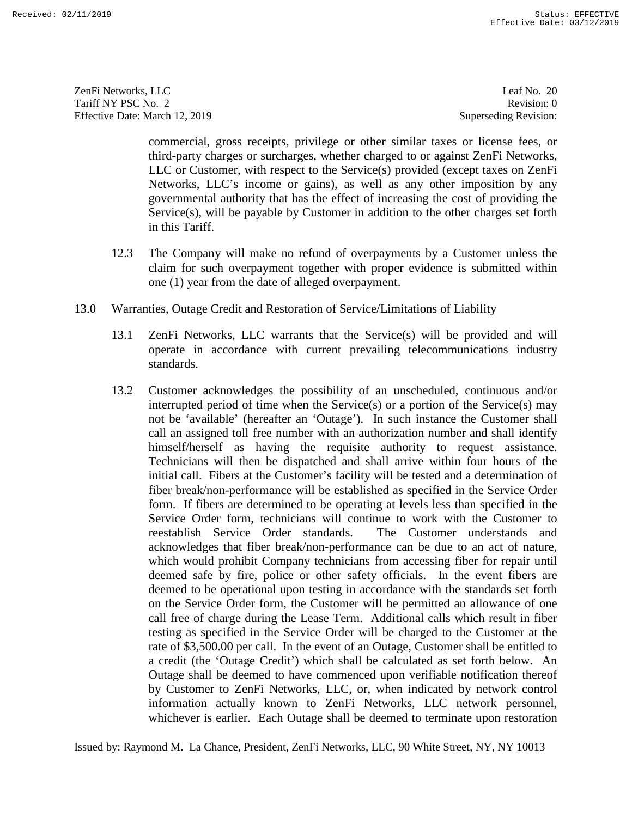ZenFi Networks, LLC ZenFi Networks, LLC Leaf No. 20 Tariff NY PSC No. 2 Tariff NY PSC No. 2 Revision: 0<br>
Effective Date: March 12, 2019 Superseding Revision: 0

Leaf No. 20 Revision: 0 Superseding Revision:

commercial, gross receipts, privilege or other similar taxes or license fees, or third-party charges or surcharges, whether charged to or against ZenFi Networks, LLC or Customer, with respect to the Service(s) provided (except taxes on ZenFi Networks, LLC's income or gains), as well as any other imposition by any governmental authority that has the effect of increasing the cost of providing the Service(s), will be payable by Customer in addition to the other charges set forth Service(s), will be payable by Customer in addition to the other charges set forth in this Tariff. in this Tariff.

- 12.3 The Company will make no refund of overpayments by a Customer unless the claim for such overpayment together with proper evidence is submitted within one (1) year from the date of alleged overpayment. claim for such overpayment together with proper evidence is submitted within one (1) year from the date of alleged overpayment.
- 13.0 Warranties, Outage Credit and Restoration of Service/Limitations of Liability
- 13.1 ZenFi Networks, LLC warrants that the Service(s) will be provided and will operate in accordance with current prevailing telecommunications industry standards. Warranties, Outage Credit and Restoration of Service/Limitations of Liability<br>13.1 ZenFi Networks, LLC warrants that the Service(s) will be provided and will<br>operate in accordance with current prevailing telecommunications
- interrupted period of time when the Service(s) or a portion of the Service(s) may not be 'available' (hereafter an 'Outage'). In such instance the Customer shall call an assigned toll free number with an authorization number and shall identify himself/herself as having the requisite authority to request assistance. Technicians will then be dispatched and shall arrive within four hours of the initial call. Fibers at the Customer's facility will be tested and a determination of initial call. Fibers at the Customer's facility will be tested and a determination of fiber break/non-performance will be established as specified in the Service Order form. If fibers are determined to be operating at levels less than specified in the Service Order form, technicians will continue to work with the Customer to reestablish Service Order standards. The Customer understands and acknowledges that fiber break/non-performance can be due to an act of nature, which would prohibit Company technicians from accessing fiber for repair until deemed safe by fire, police or other safety officials. In the eve which would prohibit Company technicians from accessing fiber for repair until deemed safe by fire, police or other safety officials. In the event fibers are deemed to be operational upon testing in accordance with the standards set forth on the Service Order form, the Customer will be permitted an allowance of one call free of charge during the Lease Term. Additional calls which result in fiber testing as specified in the Service Order will be charged to the Customer at the rate of \$3,500.00 per call. In the event of an Outage, Customer shall be entitled to a credit (the 'Outage Credit') which shall be calculated as set forth below. An Outage shall be deemed to have commenced upon verifiable notification thereof Outage shall be deemed to have commenced upon verifiable notification thereof by Customer to ZenFi Networks, LLC, or, when indicated by network control information actually known to ZenFi Networks, LLC network personnel, whichever is earlier. Each Outage shall be deemed to terminate upon restoration commeterial, grows receives the priories or other similar taxes or license fees, or<br>the third-party charges or succhanges, whether charged to or against ZenFi Networks.<br>
11.C or Customer, with respect to the ServiceQ) prov interrupted period of time when the Service(s) or a portion of the Service(s) may<br>not be 'available' (hereafter an 'Outage'). In such instance the Customer shall<br>call an assigned toll free number with an authorization numb fiber break/non-performance will be established as specified in the Service Order<br>form. If fibers are determined to be operating at levels less than specified in the<br>Service Order form, technicians will continue to work wi on the Service Order form, the Customer will be permitted an allowance of one<br>call free of charge during the Lease Term. Additional calls which result in fiber<br>testing as specified in the Service Order will be charged to t Example 18.<sup>2</sup> 12.3014<br>
Teach Nowton, 11 C1<br>
Teach Nowton, 11 C1<br>
Teach Nowton, 21 C1<br>
Teach Nowton, 21 C1<br>
Teach Nowton, 21 C1<br>
Teach Nowton, 21 C1<br>
C1 C1 Nowton, 21 C1<br>
C1 C1 Nowton, 2019<br>
Superget of the simular state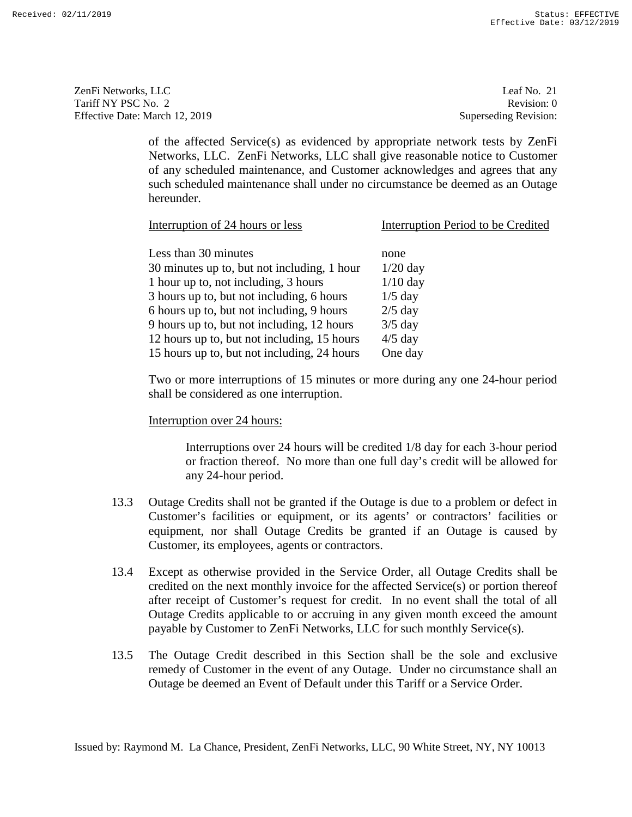ZenFi Networks, LLC ZenFi Networks, LLC Leaf No. 21 Tariff NY PSC No. 2 Tariff NY PSC No. 2 Revision: 0<br>
Effective Date: March 12, 2019 Superseding Revision: 0

Leaf No. 21 Revision: 0 Superseding Revision:

|      | of the affected Service(s) as evidenced by appropriate network tests by ZenFi<br>Networks, LLC. ZenFi Networks, LLC shall give reasonable notice to Customer<br>of any scheduled maintenance, and Customer acknowledges and agrees that any<br>such scheduled maintenance shall under no circumstance be deemed as an Outage<br>hereunder.                                                                              |                                                                                                 |
|------|-------------------------------------------------------------------------------------------------------------------------------------------------------------------------------------------------------------------------------------------------------------------------------------------------------------------------------------------------------------------------------------------------------------------------|-------------------------------------------------------------------------------------------------|
|      | Interruption of 24 hours or less                                                                                                                                                                                                                                                                                                                                                                                        | Interruption Period to be Credited                                                              |
|      | Less than 30 minutes<br>30 minutes up to, but not including, 1 hour<br>1 hour up to, not including, 3 hours<br>3 hours up to, but not including, 6 hours<br>6 hours up to, but not including, 9 hours<br>9 hours up to, but not including, 12 hours<br>12 hours up to, but not including, 15 hours<br>15 hours up to, but not including, 24 hours                                                                       | none<br>$1/20$ day<br>$1/10$ day<br>$1/5$ day<br>$2/5$ day<br>$3/5$ day<br>$4/5$ day<br>One day |
|      | Two or more interruptions of 15 minutes or more during any one 24-hour period<br>shall be considered as one interruption.                                                                                                                                                                                                                                                                                               |                                                                                                 |
|      | Interruption over 24 hours:                                                                                                                                                                                                                                                                                                                                                                                             |                                                                                                 |
|      | Interruptions over 24 hours will be credited 1/8 day for each 3-hour period<br>or fraction thereof. No more than one full day's credit will be allowed for<br>any 24-hour period.                                                                                                                                                                                                                                       |                                                                                                 |
| 13.3 | Outage Credits shall not be granted if the Outage is due to a problem or defect in<br>Customer's facilities or equipment, or its agents' or contractors' facilities or<br>equipment, nor shall Outage Credits be granted if an Outage is caused by<br>Customer, its employees, agents or contractors.                                                                                                                   |                                                                                                 |
| 13.4 | Except as otherwise provided in the Service Order, all Outage Credits shall be<br>credited on the next monthly invoice for the affected Service(s) or portion thereof<br>after receipt of Customer's request for credit. In no event shall the total of all<br>Outage Credits applicable to or accruing in any given month exceed the amount<br>payable by Customer to ZenFi Networks, LLC for such monthly Service(s). |                                                                                                 |
| 13.5 | The Outage Credit described in this Section shall be the sole and exclusive<br>remedy of Customer in the event of any Outage. Under no circumstance shall an<br>Outage be deemed an Event of Default under this Tariff or a Service Order.                                                                                                                                                                              |                                                                                                 |
|      | Issued by: Raymond M. La Chance, President, ZenFi Networks, LLC, 90 White Street, NY, NY 10013                                                                                                                                                                                                                                                                                                                          |                                                                                                 |

### Interruption over 24 hours:

- 13.3 Outage Credits shall not be granted if the Outage is due to a problem or defect in Customer's facilities or equipment, or its agents' or contractors' facilities or equipment, nor shall Outage Credits be granted if an Outage is caused by Customer, its employees, agents or contractors. any 24-hour period.<br>
13.3 Outage Credits shall not be granted if the Outage is due to a problem or defect in<br>
Customer's facilities or equipment, or its agents' or contractors' facilities or<br>
equipment, nor shall Outage Cr
- 13.4 Except as otherwise provided in the Service Order, all Outage Credits shall be 13.4 Except as otherwise provided in the Service Order, all Outage Credits shall be credited on the next monthly invoice for the affected Service(s) or portion thereof after receipt of Customer's request for credit. In no event shall the total of all after receipt of Customer's request for credit. In no event shall the total of all Outage Credits applicable to or accruing in any given month exceed the amount payable by Customer to ZenFi Networks, LLC for such monthly Service(s).
- 13.5 The Outage Credit described in this Section shall be the sole and exclusive remedy of Customer in the event of any Outage. Under no circumstance shall an Outage be deemed an Event of Default under this Tariff or a Service Order. payable by Customer to ZenFi Networks, LLC for such monthly Service(s).<br>13.5 The Outage Credit described in this Section shall be the sole and exclusive<br>remedy of Customer in the event of any Outage. Under no circumstance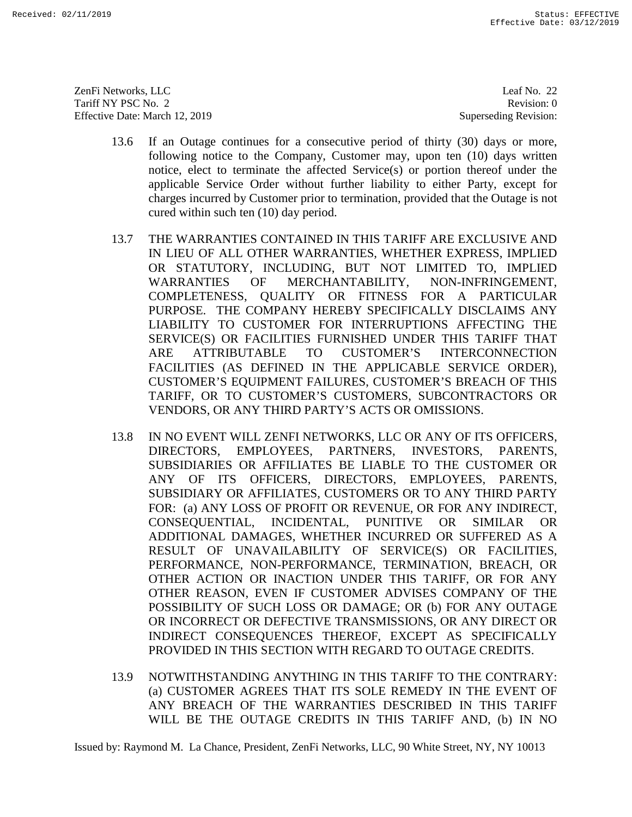ZenFi Networks, LLC Tariff NY PSC No. 2 Effective Date: March 12, 2019 ZenFi Networks, LLC Leaf No. 22<br>
Tariff NY PSC No. 2 Revision: 0<br>
Effective Date: March 12, 2019 Superseding Revision: 0

Leaf No. 22 Revision: 0 Superseding Revision:

- 13.6 If an Outage continues for a consecutive period of thirty (30) days or more, following notice to the Company, Customer may, upon ten (10) days written notice, elect to terminate the affected Service(s) or portion thereof under the applicable Service Order without further liability to either Party, except for charges incurred by Customer prior to termination, provided that the Outage is not cured within such ten (10) day period.
- 13.7 THE WARRANTIES CONTAINED IN THIS TARIFF ARE EXCLUSIVE AND IN LIEU OF ALL OTHER WARRANTIES, WHETHER EXPRESS, IMPLIED OR STATUTORY, INCLUDING, BUT NOT LIMITED TO, IMPLIED WARRANTIES OF MERCHANTABILITY, NON-INFRINGEMENT, COMPLETENESS, QUALITY OR FITNESS FOR A PARTICULAR PURPOSE. THE COMPANY HEREBY SPECIFICALLY DISCLAIMS ANY LIABILITY TO CUSTOMER FOR INTERRUPTIONS AFFECTING THE SERVICE(S) OR FACILITIES FURNISHED UNDER THIS TARIFF THAT ARE ATTRIBUTABLE TO CUSTOMER'S INTERCONNECTION ARE ATTRIBUTABLE TO CUSTOMER'S INTERCONNECTION FACILITIES (AS DEFINED IN THE APPLICABLE SERVICE ORDER), CUSTOMER'S EQUIPMENT FAILURES, CUSTOMER'S BREACH OF THIS TARIFF, OR TO CUSTOMER'S CUSTOMERS, SUBCONTRACTORS OR VENDORS, OR ANY THIRD PARTY'S ACTS OR OMISSIONS. cured within such ten (10) day period.<br>
13.7 THE WARRANTIES CONTAINED IN THIS TARIFF ARE EXCLUSIVE AND<br>
IN LIEU OF ALL OTHER WARRANTIES, WHETHER EXPRESS, IMPLIED<br>
OR STATUTORY, INCLUDING, BUT NOT LIMITED TO, IMPLIED<br>
WARRA
- 13.8 IN NO EVENT WILL ZENFI NETWORKS, LLC OR ANY OF ITS OFFICERS, DIRECTORS, EMPLOYEES, PARTNERS, INVESTORS, PARENTS, SUBSIDIARIES OR AFFILIATES BE LIABLE TO THE CUSTOMER OR ANY OF ITS OFFICERS, DIRECTORS, EMPLOYEES, PARENTS, SUBSIDIARY OR AFFILIATES, CUSTOMERS OR TO ANY THIRD PARTY FOR: (a) ANY LOSS OF PROFIT OR REVENUE, OR FOR ANY INDIRECT, CONSEQUENTIAL, INCIDENTAL, PUNITIVE OR SIMILAR OR ADDITIONAL DAMAGES, WHETHER INCURRED OR SUFFERED AS A RESULT OF UNAVAILABILITY OF SERVICE(S) OR FACILITIES, PERFORMANCE, NON-PERFORMANCE, TERMINATION, BREACH, OR OTHER ACTION OR INACTION UNDER THIS TARIFF, OR FOR ANY OTHER REASON, EVEN IF CUSTOMER ADVISES COMPANY OF THE POSSIBILITY OF SUCH LOSS OR DAMAGE; OR (b) FOR ANY OUTAGE OR INCORRECT OR DEFECTIVE TRANSMISSIONS, OR ANY DIRECT OR INDIRECT CONSEQUENCES THEREOF, EXCEPT AS SPECIFICALLY PROVIDED IN THIS SECTION WITH REGARD TO OUTAGE CREDITS. 13.6 If an Outage continues for a consecutive prior of this in Gold sys or more, leading the field to the matric be a consecutive prior in the specifical except of the matric specifical except of the specifical except of t FACILITIES (AS DEFINED IN THE APPLICABLE SERVICE ORDER),<br>CUSTOMER'S EQUIPMENT FAILURES, CUSTOMER'S BREACH OF THIS<br>TARIFF, OR TO CUSTOMER'S CUSTOMERS, SUBCONTRACTORS OR<br>VENDORS, OR ANY THIRD PARTY'S ACTS OR OMISSIONS.<br>13.8 FOR: (a) ANY LOSS OF PROFIT OR REVENUE, OR FOR ANY INDIRECT,<br>CONSEQUENTIAL, INCIDENTAL, PUNITIVE OR SIMILAR OR<br>ADDITIONAL DAMAGES, WHETHER INCURRED OR SUFFERED AS A<br>RESULT OF UNAVAILABILITY OF SERVIC OTHER ACTION OR INACTION UNDER THIS TARIFF, OR FOR ANY OTHER REASON, EVEN IF CUSTOMER ADVISES COMPANY OF THE POSSIBILITY OF SUCH LOSS OR DAMAGE; OR (b) FOR ANY OUTAGE OR INCORRECT OR DEFECTIVE TRANSMISSIONS, OR ANY DIRECT
	- 13.9 NOTWITHSTANDING ANYTHING IN THIS TARIFF TO THE CONTRARY: (a) CUSTOMER AGREES THAT ITS SOLE REMEDY IN THE EVENT OF ANY BREACH OF THE WARRANTIES DESCRIBED IN THIS TARIFF ANY BREACH OF THE WARRANTIES DESCRIBED IN THIS TARIFF WILL BE THE OUTAGE CREDITS IN THIS TARIFF AND, (b) IN NO WILL BE THE OUTAGE CREDITS IN THIS TARIFF AND, (b) IN NO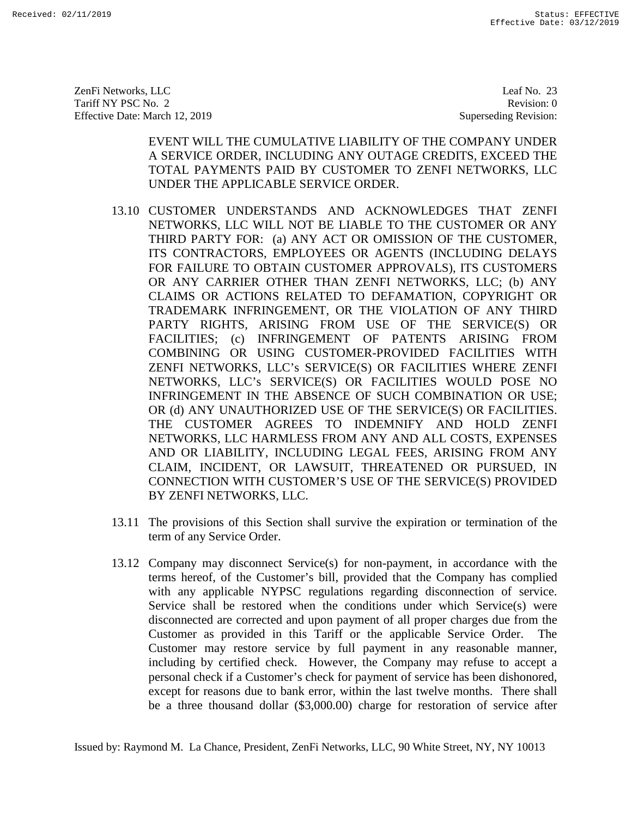ZenFi Networks, LLC ZenFi Networks, LLC Leaf No. 23 Tariff NY PSC No. 2 Tariff NY PSC No. 2 Revision: 0<br>
Effective Date: March 12, 2019 Superseding Revision: 0

Leaf No. 23 Revision: 0 Superseding Revision:

EVENT WILL THE CUMULATIVE LIABILITY OF THE COMPANY UNDER A SERVICE ORDER, INCLUDING ANY OUTAGE CREDITS, EXCEED THE TOTAL PAYMENTS PAID BY CUSTOMER TO ZENFI NETWORKS, LLC UNDER THE APPLICABLE SERVICE ORDER.

- 13.10 CUSTOMER UNDERSTANDS AND ACKNOWLEDGES THAT ZENFI NETWORKS, LLC WILL NOT BE LIABLE TO THE CUSTOMER OR ANY THIRD PARTY FOR: (a) ANY ACT OR OMISSION OF THE CUSTOMER, ITS CONTRACTORS, EMPLOYEES OR AGENTS (INCLUDING DELAYS FOR FAILURE TO OBTAIN CUSTOMER APPROVALS), ITS CUSTOMERS OR ANY CARRIER OTHER THAN ZENFI NETWORKS, LLC; (b) ANY CLAIMS OR ACTIONS RELATED TO DEFAMATION, COPYRIGHT OR TRADEMARK INFRINGEMENT, OR THE VIOLATION OF ANY THIRD PARTY RIGHTS, ARISING FROM USE OF THE SERVICE(S) OR FACILITIES; (c) INFRINGEMENT OF PATENTS ARISING FROM COMBINING OR USING CUSTOMER-PROVIDED FACILITIES WITH ZENFI NETWORKS, LLC's SERVICE(S) OR FACILITIES WHERE ZENFI NETWORKS, LLC's SERVICE(S) OR FACILITIES WOULD POSE NO INFRINGEMENT IN THE ABSENCE OF SUCH COMBINATION OR USE; OR (d) ANY UNAUTHORIZED USE OF THE SERVICE(S) OR FACILITIES. THE CUSTOMER AGREES TO INDEMNIFY AND HOLD ZENFI NETWORKS, LLC HARMLESS FROM ANY AND ALL COSTS, EXPENSES AND OR LIABILITY, INCLUDING LEGAL FEES, ARISING FROM ANY CLAIM, INCIDENT, OR LAWSUIT, THREATENED OR PURSUED, IN CONNECTION WITH CUSTOMER'S USE OF THE SERVICE(S) PROVIDED BY ZENFI NETWORKS, LLC. BY ZENFI NETWORKS, LLC. EVENT WILL THE CUNNULATIVE LIABILITY OF THE COMPANY UNDER THE COMPANY UNDER THE COMPANY CONDUCTS. EXCEED THE TOTAL PAYMENTS FAID BY CUSTOMER TO ZEY AND METHOD CONDUCTS THAT ARE UNDERCANDED UNDER THE APPLICABLE SERVICE ORDE COMBINING OR USING CUSTOMER-PROVIDED FACILITIES WITH<br>ZENFI NETWORKS, LLC's SERVICE(S) OR FACILITIES WHERE ZENFI<br>NETWORKS, LLC's SERVICE(S) OR FACILITIES WOULD POSE NO<br>INFRINGEMENT IN THE ABSENCE OF SUCH COMBINATION OR USE; **EXAMPLE 120**<br> **EXAMPLE 120**<br> **EXAMPLE 120**<br> **EXAMPLE 120**<br> **EXAMPLE 120**<br> **EXAMPLE 120**<br> **EXAMPLE 120**<br> **EXAMPLE 120**<br> **EXAMPLE 120**<br> **EXAMPLE 120**<br> **EXAMPLE 120**<br> **EXAMPLE 120**<br> **EXAMPLE 120**<br> **EXAMPLE 120**<br> **EXAMPLE 12** 
	- 13.11 The provisions of this Section shall survive the expiration or termination of the term of any Service Order.
	- 13.12 Company may disconnect Service(s) for non-payment, in accordance with the 13.11 The provisions of this Section shall survive the expiration or termination of the<br>term of any Service Order.<br>13.12 Company may disconnect Service(s) for non-payment, in accordance with the<br>terms hereof, of the Custom with any applicable NYPSC regulations regarding disconnection of service. Service shall be restored when the conditions under which Service(s) were disconnected are corrected and upon payment of all proper charges due from the Customer as provided in this Tariff or the applicable Service Order. Customer may restore service by full payment in any reasonable manner, including by certified check. However, the Company may refuse to accept a personal check if a Customer's check for payment of service has been dishonored, except for reasons due to bank error, within the last twelve months. There shall be a three thousand dollar (\$3,000.00) charge for restoration of service after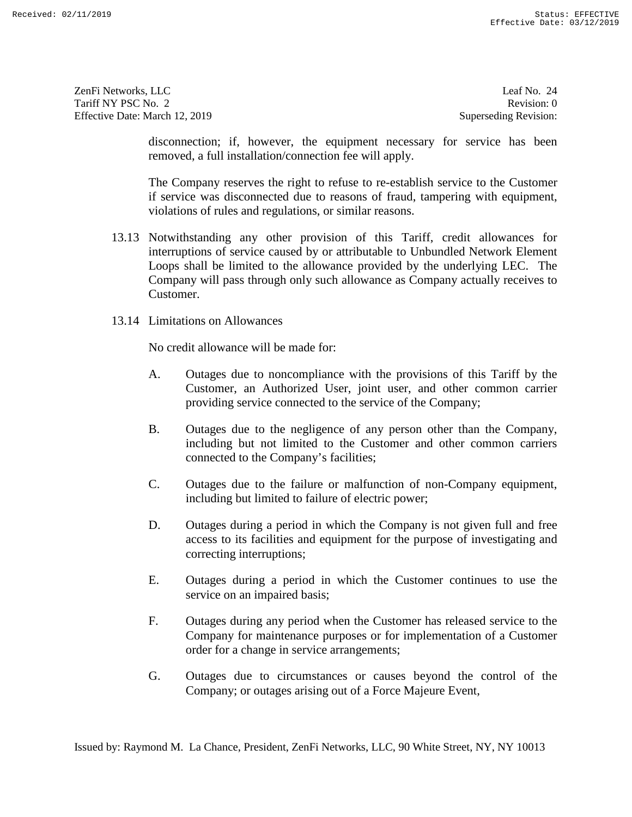ZenFi Networks, LLC Tariff NY PSC No. 2 Effective Date: March 12, 2019 ZenFi Networks, LLC Leaf No. 24 Revision: 0<br>
Tariff NY PSC No. 2 Revision: 0<br>
Effective Date: March 12, 2019 Superseding Revision: 0

Leaf No. 24 Revision: 0 Superseding Revision:

disconnection; if, however, the equipment necessary for service has been removed, a full installation/connection fee will apply.

The Company reserves the right to refuse to re-establish service to the Customer if service was disconnected due to reasons of fraud, tampering with equipment, violations of rules and regulations, or similar reasons.

- 13.13 Notwithstanding any other provision of this Tariff, credit allowances for interruptions of service caused by or attributable to Unbundled Network Element Loops shall be limited to the allowance provided by the underlying LEC. The Company will pass through only such allowance as Company actually receives to Customer. disconnection; if, however, the equipment necessary for service has been<br>encoved, a full installation/connection fee will apply.<br>The Company reserves the right to refuse to re-stablish service to the Customer<br>if service wa Company is the effect of a Force Majeure Company is the status of a Force Majeure Company is the company of the status of a Force Majeure Event, Received:  $\frac{1}{2}$  The Company is the centroid, a full insultation connecti
	- 13.14 Limitations on Allowances

No credit allowance will be made for:

- A. Outages due to noncompliance with the provisions of this Tariff by the Customer, an Authorized User, joint user, and other common carrier providing service connected to the service of the Company; providing service connected to the service of the Company;
- B. Outages due to the negligence of any person other than the Company, including but not limited to the Customer and other common carriers connected to the Company's facilities; B. Outages due to the negligence of any person other than the Company,<br>including but not limited to the Customer and other common carriers<br>connected to the Company's facilities;<br>C. Outages due to the failure or malfunction
- C. Outages due to the failure or malfunction of non-Company equipment, including but limited to failure of electric power;
- D. Outages during a period in which the Company is not given full and free access to its facilities and equipment for the purpose of investigating and correcting interruptions; D. Outages during a period in which the Company is not given full and free access to its facilities and equipment for the purpose of investigating and correcting interruptions;
- E. Outages during a period in which the Customer continues to use the E. Outages during a period in which the Customer continues to use the service on an impaired basis; service on an impaired basis;
- F. Outages during any period when the Customer has released service to the Company for maintenance purposes or for implementation of a Customer order for a change in service arrangements; F. Outages during any period when the Customer has released service to the Company for maintenance purposes or for implementation of a Customer order for a change in service arrangements;<br>G. Outages due to circumstances or
- Company; or outages arising out of a Force Majeure Event,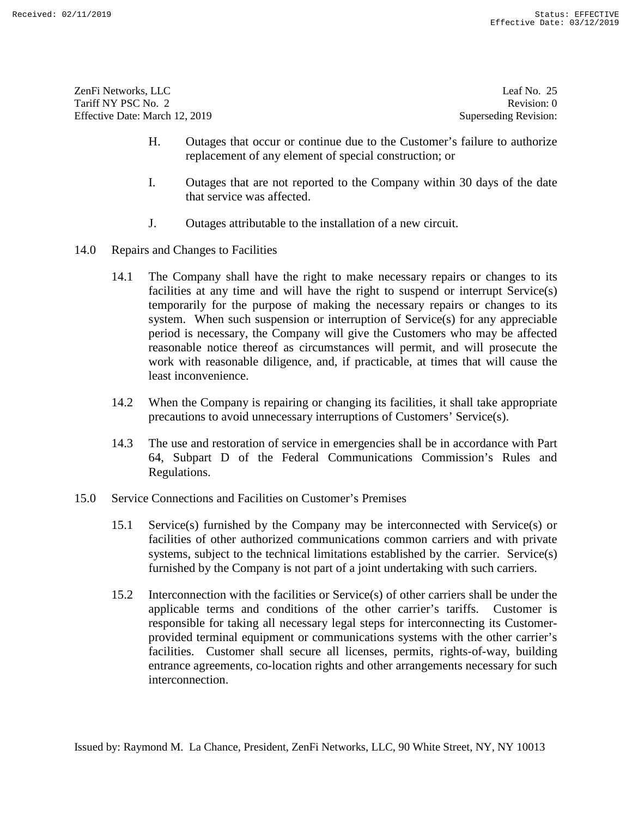| ZenFi Networks, LLC            | Leaf No. $25$         |
|--------------------------------|-----------------------|
| Tariff NY PSC No. 2            | Revision: 0           |
| Effective Date: March 12, 2019 | Superseding Revision: |

- H. Outages that occur or continue due to the Customer's failure to authorize replacement of any element of special construction; or
- I. Outages that are not reported to the Company within 30 days of the date that service was affected.
- J. Outages attributable to the installation of a new circuit.
- 14.0 Repairs and Changes to Facilities
- 14.1 The Company shall have the right to make necessary repairs or changes to its facilities at any time and will have the right to suspend or interrupt Service(s) temporarily for the purpose of making the necessary repairs or changes to its system. When such suspension or interruption of  $S$ ervice $(s)$  for any appreciable period is necessary, the Company will give the Customers who may be affected reasonable notice thereof as circumstances will permit, and will prosecute the work with reasonable diligence, and, if practicable, at times that will cause the least inconvenience. H. Cotrages that occur or continue due to the Costomer's fittines to authorize<br>
replacement of any element of secial construction: or<br>
1. Outages that are not reported to the Company within 30 days of the date<br>
that serv period is necessary, the Company will give the Customers who may be affected<br>reasonable notice thereof as circumstances will permit, and will prosecute the<br>work with reasonable diligence, and, if practicable, at times that
	- 14.2 When the Company is repairing or changing its facilities, it shall take appropriate precautions to avoid unnecessary interruptions of Customers' Service(s).
- 14.3 The use and restoration of service in emergencies shall be in accordance with Part 64, Subpart D of the Federal Communications Commission's Rules and Regulations. precautions to avoid unnecessary interruptions of Customers' Service(s).<br>14.3 The use and restoration of service in emergencies shall be in accordance with Part<br>64, Subpart D of the Federal Communications Commission's Rule
- 15.0 Service Connections and Facilities on Customer's Premises
	- 15.1 Service(s) furnished by the Company may be interconnected with Service(s) or facilities of other authorized communications common carriers and with private systems, subject to the technical limitations established by the carrier. Service(s) furnished by the Company is not part of a joint undertaking with such carriers. 15.1 Service(s) furnished by the Company may be interconnected with Service(s) or<br>facilities of other authorized communications common carriers and with private<br>systems, subject to the technical limitations established by
	- 15.2 Interconnection with the facilities or Service(s) of other carriers shall be under the applicable terms and conditions of the other carrier's tariffs. Customer is applicable terms and conditions of the other carrier's tariffs. Customer is responsible for taking all necessary legal steps for interconnecting its Customerprovided terminal equipment or communications systems with the other carrier's provided terminal equipment or communications systems with the other carrier's facilities. Customer shall secure all licenses, permits, rights-of-way, building entrance agreements, co-location rights and other arrangements necessary for such interconnection. interconnection.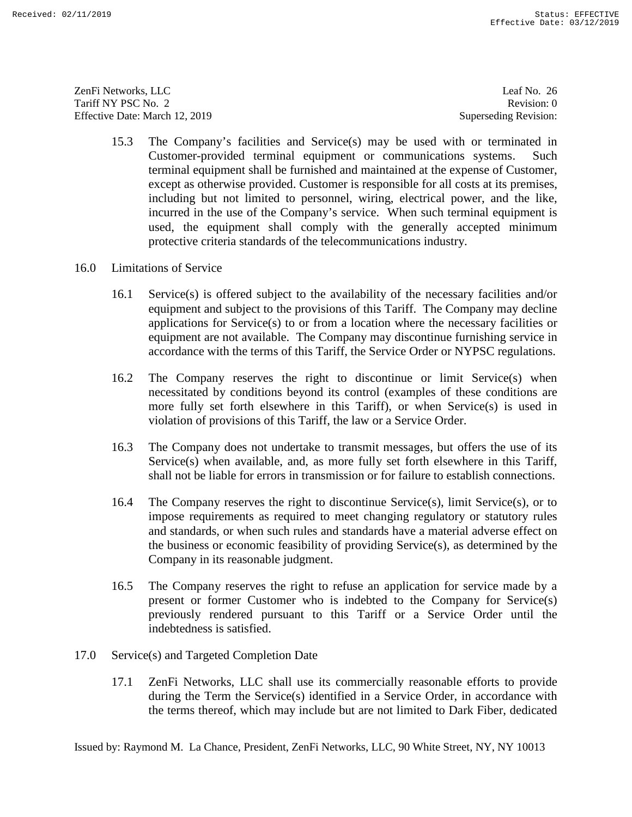ZenFi Networks, LLC ZenFi Networks, LLC Leaf No. 26 Tariff NY PSC No. 2 Tariff NY PSC No. 2 Revision: 0<br>
Effective Date: March 12, 2019 Superseding Revision: 0

Leaf No. 26 Revision: 0 Superseding Revision:

- 15.3 The Company's facilities and Service(s) may be used with or terminated in Customer-provided terminal equipment or communications systems. Such terminal equipment shall be furnished and maintained at the expense of Customer, except as otherwise provided. Customer is responsible for all costs at its premises, including but not limited to personnel, wiring, electrical power, and the like, incurred in the use of the Company's service. When such terminal equipment is used, the equipment shall comply with the generally accepted minimum protective criteria standards of the telecommunications industry. 15.3 The Company's findlites and Service(s) may be used with or terminated in<br>
Custome-povided terminal equipment or communications systems. Such<br>
terminal equipment shall be furmished and maintained at the experse of Cus incurred in the use of the Company's service. When such terminal equipment is<br>used, the equipment shall comply with the generally accepted minimum<br>protective criteria standards of the telecommunications industry.<br>16.0 Limi
- 16.0 Limitations of Service
	- 16.1 Service(s) is offered subject to the availability of the necessary facilities and/or equipment and subject to the provisions of this Tariff. The Company may decline applications for Service(s) to or from a location where the necessary facilities or equipment are not available. The Company may discontinue furnishing service in accordance with the terms of this Tariff, the Service Order or NYPSC regulations. equipment and subject to the provisions of this Tariff. The Company may decline<br>applications for Service(s) to or from a location where the necessary facilities or<br>equipment are not available. The Company may discontinue f
	- 16.2 The Company reserves the right to discontinue or limit Service(s) when necessitated by conditions beyond its control (examples of these conditions are more fully set forth elsewhere in this Tariff), or when Service(s) is used in violation of provisions of this Tariff, the law or a Service Order.
	- 16.3 The Company does not undertake to transmit messages, but offers the use of its Service(s) when available, and, as more fully set forth elsewhere in this Tariff, shall not be liable for errors in transmission or for failure to establish connections.
	- 16.4 The Company reserves the right to discontinue Service(s), limit Service(s), or to impose requirements as required to meet changing regulatory or statutory rules and standards, or when such rules and standards have a material adverse effect on the business or economic feasibility of providing Service(s), as determined by the Company in its reasonable judgment. necessitated by conditions beyond its control (examples of these conditions are<br>more fully set forth elsewhere in this Tariff), or when Service(s) is used in<br>violation of provisions of this Tariff, the law or a Service Ord
	- 16.5 The Company reserves the right to refuse an application for service made by a present or former Customer who is indebted to the Company for Service(s) previously rendered pursuant to this Tariff or a Service Order until the indebtedness is satisfied. Company in its reasonable judgment.<br>16.5 The Company reserves the right to refuse an application for service made by a<br>present or former Customer who is indebted to the Company for Service(s)<br>previously rendered pursuant t
- 17.0 Service(s) and Targeted Completion Date
- 17.1 ZenFi Networks, LLC shall use its commercially reasonable efforts to provide during the Tenn the Service(s) identified in a Service Order, in accordance with the terms thereof, which may include but are not limited to Dark Fiber, dedicated indebtedness is satisfied.<br>
17.0 Service(s) and Targeted Completion Date<br>
17.1 ZenFi Networks, LLC shall use its commercially reasonable efforts to provide<br>
during the Term the Service(s) identified in a Service Order, in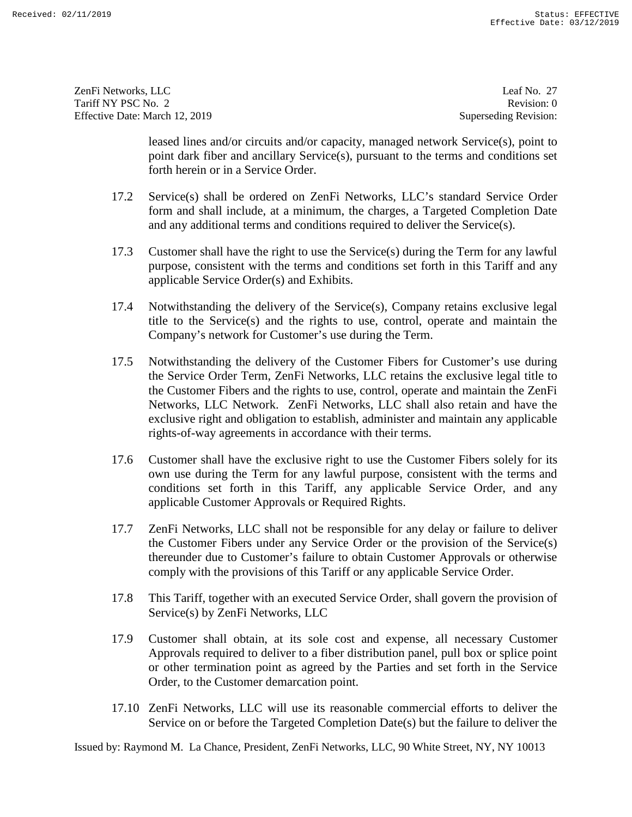ZenFi Networks, LLC ZenFi Networks, LLC Leaf No. 27 Tariff NY PSC No. 2 Tariff NY PSC No. 2 Revision: 0<br>
Effective Date: March 12, 2019 Superseding Revision: 0

Leaf No. 27 Revision: 0 Superseding Revision:

leased lines and/or circuits and/or capacity, managed network Service(s), point to point dark fiber and ancillary Service(s), pursuant to the terms and conditions set forth herein or in a Service Order.

- 17.2 Service(s) shall be ordered on ZenFi Networks, LLC's standard Service Order form and shall include, at a minimum, the charges, a Targeted Completion Date and any additional terms and conditions required to deliver the Service(s). and any additional terms and conditions required to deliver the Service(s).
- 17.3 Customer shall have the right to use the Service(s) during the Term for any lawful purpose, consistent with the terms and conditions set forth in this Tariff and any applicable Service Order(s) and Exhibits. 17.3 Customer shall have the right to use the Service(s) during the Term for any lawful<br>purpose, consistent with the terms and conditions set forth in this Tariff and any<br>applicable Service Order(s) and Exhibits.<br>17.4 Notw
- 17.4 Notwithstanding the delivery of the Service(s), Company retains exclusive legal title to the Service(s) and the rights to use, control, operate and maintain the Company's network for Customer's use during the Term.
- 17.5 Notwithstanding the delivery of the Customer Fibers for Customer's use during the Service Order Term, ZenFi Networks, LLC retains the exclusive legal title to the Customer Fibers and the rights to use, control, operate and maintain the ZenFi Networks, LLC Network. ZenFi Networks, LLC shall also retain and have the exclusive right and obligation to establish, administer and maintain any applicable rights-of-way agreements in accordance with their terms. feased fines and/or circuits and/or expacting managed network Service<br>(s) point dark liber and ancillary Service(s), pursuant to the terms and conditions set<br>form herein or in a Service Order.<br>
17.2 Service(s) all he orde title to the Service(s) and the rights to use, control, operate and maintain the<br>Company's network for Customer's use during the Term.<br>17.5 Notwithstanding the delivery of the Customer Fibers for Customer's use during<br>the
	- 17.6 Customer shall have the exclusive right to use the Customer Fibers solely for its own use during the Term for any lawful purpose, consistent with the terms and conditions set forth in this Tariff, any applicable Service Order, and any applicable Customer Approvals or Required Rights.
	- 17.7 ZenFi Networks, LLC shall not be responsible for any delay or failure to deliver the Customer Fibers under any Service Order or the provision of the Service(s) thereunder due to Customer's failure to obtain Customer Approvals or otherwise comply with the provisions of this Tariff or any applicable Service Order. conditions set forth in this Tariff, any applicable Service Order, and any<br>applicable Customer Approvals or Required Rights.<br>17.7 ZenFi Networks, LLC shall not be responsible for any delay or failure to deliver<br>the Custome
	- comply with the provisions of this Tariff or any applicable Service Order.<br>17.8 This Tariff, together with an executed Service Order, shall govern the provision of Service(s) by ZenFi Networks, LLC Service(s) by ZenFi Networks, LLC
	- 17.9 Customer shall obtain, at its sole cost and expense, all necessary Customer 17.9 Customer shall obtain, at its sole cost and expense, all necessary Customer Approvals required to deliver to a fiber distribution panel, pull box or splice point or other termination point as agreed by the Parties and set forth in the Service Order, to the Customer demarcation point. Approvals required to deliver to a fiber distribution panel, pull box or splice point<br>or other termination point as agreed by the Parties and set forth in the Service<br>Order, to the Customer demarcation point.<br>17.10 ZenFi N
	- 17.10 ZenFi Networks, LLC will use its reasonable commercial efforts to deliver the Service on or before the Targeted Completion Date(s) but the failure to deliver the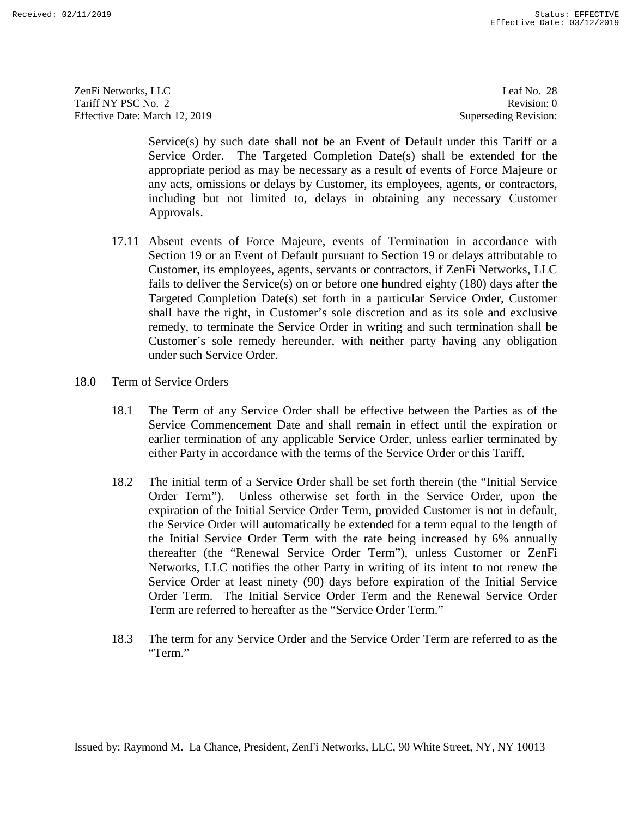ZenFi Networks, LLC ZenFi Networks, LLC Leaf No. 28 Tariff NY PSC No. 2 Tariff NY PSC No. 2 Revision: 0<br>
Effective Date: March 12, 2019 Superseding Revision: 0

Leaf No. 28 Revision: 0 Superseding Revision:

Service(s) by such date shall not be an Event of Default under this Tariff or a Service Order. The Targeted Completion Date(s) shall be extended for the appropriate period as may be necessary as a result of events of Force Majeure or any acts, omissions or delays by Customer, its employees, agents, or contractors, including but not limited to, delays in obtaining any necessary Customer Approvals.

- 17.11 Absent events of Force Majeure, events of Termination in accordance with Section 19 or an Event of Default pursuant to Section 19 or delays attributable to Customer, its employees, agents, servants or contractors, if ZenFi Networks, LLC fails to deliver the Service(s) on or before one hundred eighty (180) days after the fails to deliver the Service(s) on or before one hundred eighty (180) days after the Targeted Completion Date(s) set forth in a particular Service Order, Customer shall have the right, in Customer's sole discretion and as its sole and exclusive remedy, to terminate the Service Order in writing and such termination shall be Customer's sole remedy hereunder, with neither party having any obligation under such Service Order.<br>
18.0 Term of Service Orders Approvals.<br>17.11 Absent events of Force Majeure, events of Termination in accordance with<br>Section 19 or an Event of Default pursuant to Section 19 or delays attributable to<br>Customer, its employees, agents, servants or cont Targeted Completion Date(s) set forth in a particular Service Order, Customer shall have the right, in Customer's sole discretion and as its sole and exclusive remedy, to terminate the Service Order in writing and such ter
- 18.0 Term of Service Orders
	- 18.1 The Term of any Service Order shall be effective between the Parties as of the Service Commencement Date and shall remain in effect until the expiration or earlier termination of any applicable Service Order, unless earlier terminated by either Party in accordance with the terms of the Service Order or this Tariff. either Party in accordance with the terms of the Service Order or this Tariff. 18.1 The Term of any Service Order shall be effective between the Parties as of the Service Commencement Date and shall remain in effect until the expiration or earlier termination of any applicable Service Order, unless e
- 18.2 The initial term of a Service Order shall be set forth therein (the "Initial Service Order Term"). Unless otherwise set forth in the Service Order, upon the expiration of the Initial Service Order Term, provided Customer is not in default, the Service Order will automatically be extended for a term equal to the length of the Initial Service Order Term with the rate being increased by 6% annually thereafter (the "Renewal Service Order Term"), unless Customer or ZenFi Networks, LLC notifies the other Party in writing of its intent to not renew the Service Order at least ninety (90) days before expiration of the Initial Service Order Term. The Initial Service Order Term and the Renewal Service Order Term are referred to hereafter as the "Service Order Term." Service 6) where due to hall not be an iveral of Definit under this Tariff or a<br>Service Order. The Targeted Completion Date(s) shall be extended for the<br>appropriate period in may be reacesary as a result of events of Forc 18.2 The initial term of a Service Order shall be set forth therein (the "Initial Service Order Term"). Unless otherwise set forth in the Service Order, upon the expiration of the Initial Service Order Term, provided Custo thereafter (the "Renewal Service Order Term"), unless Customer or ZenFi<br>Networks, LLC notifies the other Party in writing of its intent to not renew the<br>Service Order at least ninety (90) days before expiration of the Init The referred to here in the service Order and the service Order and the Service Order and the Service Order any Service Order and the Service Order any Service Order and Service Order Term are referred to the Service Orde
	- 18.3 The term for any Service Order and the Service Order Term are referred to as the "Term."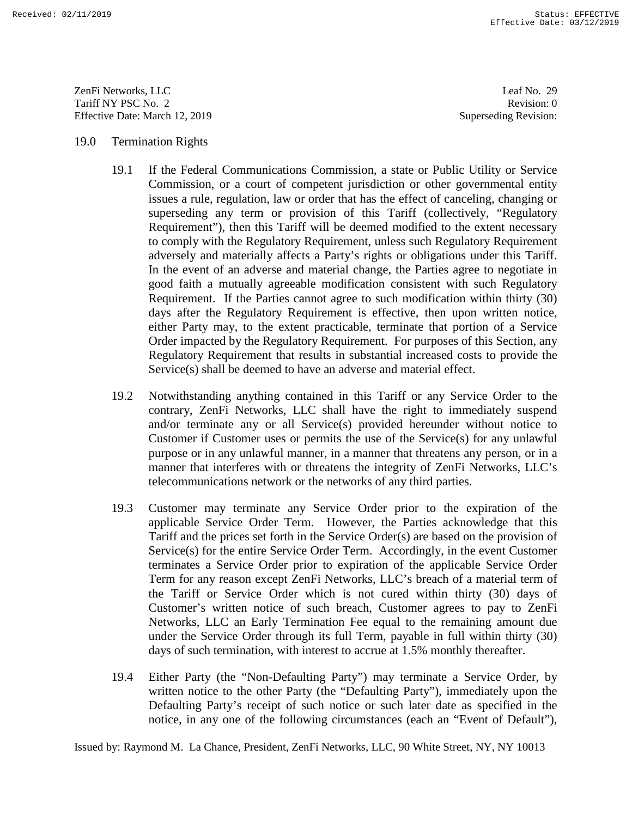ZenFi Networks, LLC ZenFi Networks, LLC Leaf No. 29 Tariff NY PSC No. 2 Tariff NY PSC No. 2 Revision: 0<br>
Effective Date: March 12, 2019 Superseding Revision: 0

Leaf No. 29 Revision: 0 Superseding Revision:

## 19.0 Termination Rights

- 19.1 If the Federal Communications Commission, a state or Public Utility or Service Commission, or a court of competent jurisdiction or other governmental entity issues a rule, regulation, law or order that has the effect of canceling, changing or superseding any term or provision of this Tariff (collectively, "Regulatory Requirement"), then this Tariff will be deemed modified to the extent necessary to comply with the Regulatory Requirement, unless such Regulatory Requirement adversely and materially affects a Party's rights or obligations under this Tariff. In the event of an adverse and material change, the Parties agree to negotiate in good faith a mutually agreeable modification consistent with such Regulatory good faith a mutually agreeable modification consistent with such Regulatory Requirement. If the Parties cannot agree to such modification within thirty (30) days after the Regulatory Requirement is effective, then upon written notice, either Party may, to the extent practicable, terminate that portion of a Service Order impacted by the Regulatory Requirement. For purposes of this Section, any Regulatory Requirement that results in substantial increased costs to provide the Service(s) shall be deemed to have an adverse and material effect. 19.0 Termination Rights<br>
19.1 The Federal Communications Commission, a state or Public Ucitity or Service<br>
17.1 In Evelential Communications Communications of other governmental entity<br>
19.1 The Technical Ray and the cont superseding any term or provision of this Tariff (collectively, "Regulatory<br>Requirement"), then this Tariff will be deemed modified to the extent necessary<br>to comply with the Regulatory Requirement, unless such Regulatory Requirement. If the Parties cannot agree to such modification within thirty (30) days after the Regulatory Requirement is effective, then upon written notice, either Party may, to the extent practicable, terminate that por Example 1827-12074<br>
Example 1827<br>
22-1838 Version 12-1218<br>
22-1838 Version 12-1218<br>
22-1838 Version 12-1218<br>
22-1838 Version 12-1218<br>
22-1838 Version 12-1218<br>
22-1838 Version 12-1218<br>
23-1838 Version 12-1218<br>
23-1838 Vers
	- 19.2 Notwithstanding anything contained in this Tariff or any Service Order to the contrary, ZenFi Networks, LLC shall have the right to immediately suspend and/or terminate any or all Service(s) provided hereunder without notice to Customer if Customer uses or permits the use of the Service(s) for any unlawful purpose or in any unlawful manner, in a manner that threatens any person, or in a manner that interferes with or threatens the integrity of ZenFi Networks, LLC's telecommunications network or the networks of any third parties. Regulatory Requirement that results in substantial increased costs to provide the<br>Service(s) shall be deemed to have an adverse and material effect.<br>19.2 Notwithstanding anything contained in this Tariff or any Service Ord Customer if Customer uses or permits the use of the Service(s) for any unlawful<br>purpose or in any unlawful manner, in a manner that threatens any person, or in a<br>manner that interferes with or threatens the integrity of Ze
	- 19.3 Customer may terminate any Service Order prior to the expiration of the 19.3 Customer may terminate any Service Order prior to the expiration of the applicable Service Order Term. However, the Parties acknowledge that this Tariff and the prices set forth in the Service Order(s) are based on the provision of Tariff and the prices set forth in the Service Order(s) are based on the provision of Service(s) for the entire Service Order Term. Accordingly, in the event Customer terminates a Service Order prior to expiration of the applicable Service Order Service(s) for the entire Service Order Term. Accordingly, in the event Customer<br>terminates a Service Order prior to expiration of the applicable Service Order<br>Term for any reason except ZenFi Networks, LLC's breach of a m the Tariff or Service Order which is not cured within thirty (30) days of the Tariff or Service Order which is not cured within thirty (30) days of Customer's written notice of such breach, Customer agrees to pay to ZenFi Networks, LLC an Early Termination Fee equal to the remaining amount due under the Service Order through its full Term, payable in full within thirty (30) days of such termination, with interest to accrue at 1.5% monthly thereafter. Customer's written notice of such breach, Customer agrees to pay to ZenFi<br>Networks, LLC an Early Termination Fee equal to the remaining amount due<br>under the Service Order through its full Term, payable in full within thirt
	- 19.4 Either Party (the "Non-Defaulting Party") may terminate a Service Order, by written notice to the other Party (the "Defaulting Party"), immediately upon the Defaulting Party's receipt of such notice or such later date as specified in the notice, in any one of the following circumstances (each an "Event of Default"),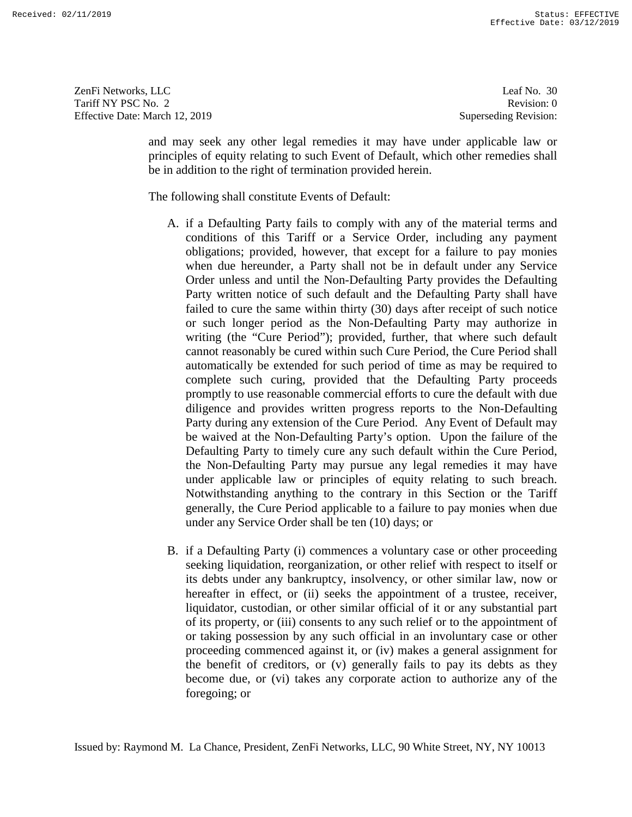ZenFi Networks, LLC ZenFi Networks, LLC Leaf No. 30 Tariff NY PSC No. 2 Tariff NY PSC No. 2 Revision: 0<br>
Effective Date: March 12, 2019 Superseding Revision: 0

Leaf No. 30 Revision: 0 Superseding Revision:

and may seek any other legal remedies it may have under applicable law or principles of equity relating to such Event of Default, which other remedies shall be in addition to the right of termination provided herein.

The following shall constitute Events of Default: The following shall constitute Events of Default:

- A. if a Defaulting Party fails to comply with any of the material terms and A. if a Defaulting Party fails to comply with any of the material terms and conditions of this Tariff or a Service Order, including any payment obligations; provided, however, that except for a failure to pay monies when due hereunder, a Party shall not be in default under any Service Order unless and until the Non-Defaulting Party provides the Defaulting Party written notice of such default and the Defaulting Party shall have Party written notice of such default and the Defaulting Party shall have failed to cure the same within thirty (30) days after receipt of such notice or such longer period as the Non-Defaulting Party may authorize in writing (the "Cure Period"); provided, further, that where such default cannot reasonably be cured within such Cure Period, the Cure Period shall automatically be extended for such period of time as may be required to complete such curing, provided that the Defaulting Party proceeds promptly to use reasonable commercial efforts to cure the default with due complete such curing, provided that the Defaulting Party proceeds<br>promptly to use reasonable commercial efforts to cure the default with due<br>diligence and provides written progress reports to the Non-Defaulting Party during any extension of the Cure Period. Any Event of Default may be waived at the Non-Defaulting Party's option. Upon the failure of the Defaulting Party to timely cure any such default within the Cure Period, the Non-Defaulting Party may pursue any legal remedies it may have under applicable law or principles of equity relating to such breach. Notwithstanding anything to the contrary in this Section or the Tariff generally, the Cure Period applicable to a failure to pay monies when due generally, the Cure Period applicable to a failure to pay monies when due under any Service Order shall be ten (10) days; or under any Service Order shall be ten (10) days; or and may seek any other logal remedies it may have under applicable law or propinelate law or propinelation to the right of termination provided herein.<br>The following shall cosmith the right of termination provided herein, conditions of this Tariff or a Service Order, including any payment<br>obligations; provided, however, that except for a failure to pay monies<br>when due hereunder, a Party shall not be in default under any Service<br>Order unless failed to cure the same within thirty (30) days after receipt of such notice<br>or such longer period as the Non-Defaulting Party may authorize in<br>writing (the "Cure Period"); provided, further, that where such default<br>cannot Party during any extension of the Cure Period. Any Event of Default may<br>be waived at the Non-Defaulting Party's option. Upon the failure of the<br>Defaulting Party to timely cure any such default within the Cure Period,<br>the N The creditors, or (vi) generally fails to pay its debts as the pay in the status of corporation and the status of the status of the status of the status of the status of the status of the foregoing fails to pay it also th
	- B. if a Defaulting Party (i) commences a voluntary case or other proceeding seeking liquidation, reorganization, or other relief with respect to itself or its debts under any bankruptcy, insolvency, or other similar law, now or hereafter in effect, or (ii) seeks the appointment of a trustee, receiver, liquidator, custodian, or other similar official of it or any substantial part of its property, or (iii) consents to any such relief or to the appointment of or taking possession by any such official in an involuntary case or other proceeding commenced against it, or (iv) makes a general assignment for the benefit of creditors, or (v) generally fails to pay its debts as they become due, or (vi) takes any corporate action to authorize any of the foregoing; or B. if a Defaulting Party (i) commences a voluntary case or other proceeding seeking liquidation, reorganization, or other relief with respect to itself or its debts under any bankruptcy, insolvency, or other similar law, n liquidator, custodian, or other similar official of it or any substantial part<br>of its property, or (iii) consents to any such relief or to the appointment of<br>or taking possession by any such official in an involuntary case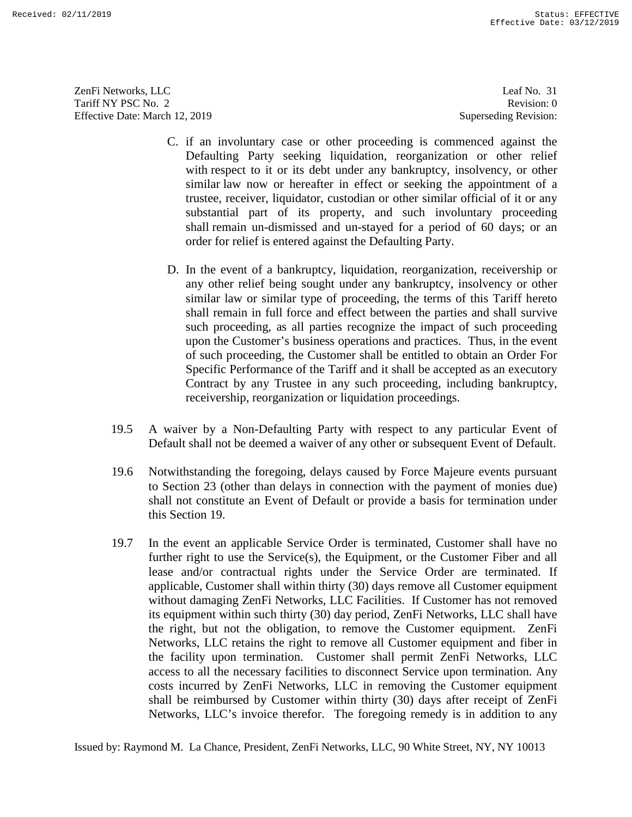ZenFi Networks, LLC ZenFi Networks, LLC Leaf No. 31 Tariff NY PSC No. 2 Tariff NY PSC No. 2 Revision: 0<br>
Effective Date: March 12, 2019 Superseding Revision: 0

Leaf No. 31 Revision: 0 Superseding Revision:

- C. if an involuntary case or other proceeding is commenced against the Defaulting Party seeking liquidation, reorganization or other relief with respect to it or its debt under any bankruptcy, insolvency, or other similar law now or hereafter in effect or seeking the appointment of a trustee, receiver, liquidator, custodian or other similar official of it or any with respect to it or its debt under any bankruptcy, insolvency, or other<br>similar law now or hereafter in effect or seeking the appointment of a<br>trustee, receiver, liquidator, custodian or other similar official of it or a shall remain un-dismissed and un-stayed for a period of 60 days; or an order for relief is entered against the Defaulting Party.
- D. In the event of a bankruptcy, liquidation, reorganization, receivership or shall remain un-dismissed and un-stayed for a period of 60 days; or an order for relief is entered against the Defaulting Party.<br>D. In the event of a bankruptcy, liquidation, reorganization, receivership or any other relie similar law or similar type of proceeding, the terms of this Tariff hereto shall remain in full force and effect between the parties and shall survive such proceeding, as all parties recognize the impact of such proceeding upon the Customer's business operations and practices. Thus, in the event of such proceeding, the Customer shall be entitled to obtain an Order For Specific Performance of the Tariff and it shall be accepted as an executory Contract by any Trustee in any such proceeding, including bankruptcy, receivership, reorganization or liquidation proceedings. of such proceeding, the Customer shall be entitled to obtain an Order For<br>Specific Performance of the Tariff and it shall be accepted as an executory<br>Contract by any Trustee in any such proceeding, including bankruptcy,<br>re similar law or similar type of proceeding, the terms of this Tariff hereto shall remain in full force and effect between the parties and shall survive such proceeding, as all parties recognize the impact of such proceeding
- Default shall not be deemed a waiver of any other or subsequent Event of Default.
- Default shall not be deemed a waiver of any other or subsequent Event of Default.<br>19.6 Notwithstanding the foregoing, delays caused by Force Majeure events pursuant to Section 23 (other than delays in connection with the payment of monies due) shall not constitute an Event of Default or provide a basis for termination under this Section 19. to Section 23 (other than delays in connection with the payment of monies due)<br>shall not constitute an Event of Default or provide a basis for termination under<br>this Section 19.<br>19.7 In the event an applicable Service Orde
- 19.7 In the event an applicable Service Order is terminated, Customer shall have no lease and/or contractual rights under the Service Order are terminated. If lease and/or contractual rights under the Service Order are terminated. If applicable, Customer shall within thirty (30) days remove all Customer equipment without damaging ZenFi Networks, LLC Facilities. If Customer has not removed its equipment within such thirty (30) day period, ZenFi Networks, LLC shall have the right, but not the obligation, to remove the Customer equipment. ZenFi Networks, LLC retains the right to remove all Customer equipment and fiber in the facility upon termination. Customer shall permit ZenFi Networks, LLC access to all the necessary facilities to disconnect Service upon termination. Any costs incurred by ZenFi Networks, LLC in removing the Customer equipment shall be reimbursed by Customer within thirty (30) days after receipt of ZenFi shall be reimbursed by Customer within thirty (30) days after receipt of ZenFi Networks, LLC's invoice therefor. The foregoing remedy is in addition to any C if an involuntury case or other proceduring is contunented agains the formation is cointered in the rail to risk under my harhardpet, insultance is similar faw now or hereafter in effect or seeking the applimment of a t applicable, Customer shall within thirty (30) days remove all Customer equipment<br>without damaging ZenFi Networks, LLC Facilities. If Customer has not removed<br>its equipment within such thirty (30) day period, ZenFi Networks Let  $\alpha$  Let  $\alpha$  Let  $\alpha$  Let  $\alpha$  Let  $\alpha$  Let  $\alpha$  Let  $\alpha$  Let  $\alpha$  Let  $\alpha$  Let  $\alpha$  Let  $\alpha$  Let  $\alpha$  Let  $\alpha$  Let  $\alpha$  Let  $\alpha$  Let  $\alpha$  Let  $\alpha$  Let  $\alpha$  Let  $\alpha$  Let  $\alpha$  Let  $\alpha$  Let  $\alpha$  Let  $\alpha$  Let  $\alpha$  Let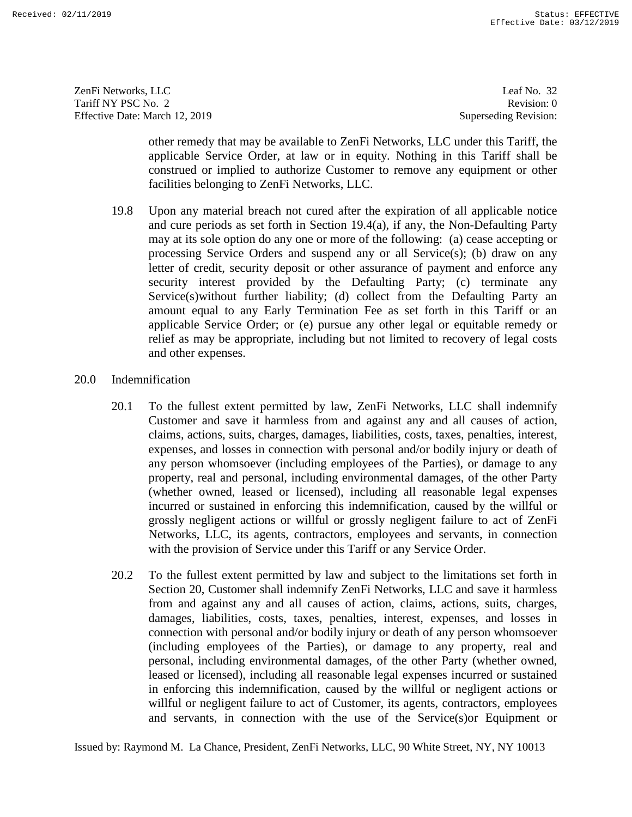ZenFi Networks, LLC Tariff NY PSC No. 2 Effective Date: March 12, 2019 ZenFi Networks, LLC Leaf No. 32<br>
Tariff NY PSC No. 2 Revision: 0<br>
Effective Date: March 12, 2019 Superseding Revision: 0

Leaf No. 32 Revision: 0 Superseding Revision:

other remedy that may be available to ZenFi Networks, LLC under this Tariff, the applicable Service Order, at law or in equity. Nothing in this Tariff shall be construed or implied to authorize Customer to remove any equipment or other facilities belonging to ZenFi Networks, LLC.

- 19.8 Upon any material breach not cured after the expiration of all applicable notice 19.8 Upon any material breach not cured after the expiration of all applicable notice and cure periods as set forth in Section 19.4(a), if any, the Non-Defaulting Party may at its sole option do any one or more of the following: (a) cease accepting or processing Service Orders and suspend any or all Service(s); (b) draw on any letter of credit, security deposit or other assurance of payment and enforce any security interest provided by the Defaulting Party; (c) terminate any Service(s)without further liability; (d) collect from the Defaulting Party an amount equal to any Early Termination Fee as set forth in this Tariff or an applicable Service Order; or (e) pursue any other legal or equitable remedy or relief as may be appropriate, including but not limited to recovery of legal costs and other expenses. other termed that may be a waishble to Zeni-Rickythe Like to the Hirektin final that the constructed or in equity. Nothing in this Tariff, the constructed or under the spiral field to unluminate the field that fields the and cure periods as set forth in Section 19.4(a), if any, the Non-Defaulting Party<br>may at its sole option do any one or more of the following: (a) cease accepting or<br>processing Service Orders and suspend any or all Service Service(s)without further liability; (d) collect from the Defaulting Party an amount equal to any Early Termination Fee as set forth in this Tariff or an applicable Service Order; or (e) pursue any other legal or equitable Example that 11 (2)  $1$  and 18 (4)  $1$  and 18 (4)  $1$  and 18 (4)  $1$  and 18 (4)  $1$  and 18 (4)  $1$  and 18 (4)  $1$  and 18 (4)  $1$  and 18 (4)  $1$  and 18 (4)  $1$  and 18 (4)  $1$  and 18 (4)  $1$  and 18 (4)  $1$  and 18 (4)  $1$  an
	- 20.0 Indemnification
	- 20.1 To the fullest extent permitted by law, ZenFi Networks, LLC shall indemnify Customer and save it harmless from and against any and all causes of action, claims, actions, suits, charges, damages, liabilities, costs, taxes, penalties, interest, expenses, and losses in connection with personal and/or bodily injury or death of any person whomsoever (including employees of the Parties), or damage to any property, real and personal, including environmental damages, of the other Party (whether owned, leased or licensed), including all reasonable legal expenses incurred or sustained in enforcing this indemnification, caused by the willful or grossly negligent actions or willful or grossly negligent failure to act of ZenFi Networks, LLC, its agents, contractors, employees and servants, in connection with the provision of Service under this Tariff or any Service Order. Networks, LLC, its agents, contractors, employees and servants, in connection<br>with the provision of Service under this Tariff or any Service Order.<br>20.2 To the fullest extent permitted by law and subject to the limitations 20.0 Indemnification<br>
	20.1 To the fullest extent permitted by law, ZenFi Networks, LLC shall indemnify<br>
	Customer and save it harmless from and against any and all causes of action,<br>
	claims, actions, suits, charges, damages any person whomsoever (including employees of the Parties), or damage to any<br>property, real and personal, including environmental damages, of the other Party<br>(whether owned, leased or licensed), including all reasonable le
		- 20.2 To the fullest extent permitted by law and subject to the limitations set forth in from and against any and all causes of action, claims, actions, suits, charges, damages, liabilities, costs, taxes, penalties, interest, expenses, and losses in connection with personal and/or bodily injury or death of any person whomsoever (including employees of the Parties), or damage to any property, real and personal, including environmental damages, of the other Party (whether owned, leased or licensed), including all reasonable legal expenses incurred or sustained in enforcing this indemnification, caused by the willful or negligent actions or willful or negligent failure to act of Customer, its agents, contractors, employees and servants, in connection with the use of the Service(s)or Equipment or from and against any and all causes of action, claims, actions, suits, charges, damages, liabilities, costs, taxes, penalties, interest, expenses, and losses in connection with personal and/or bodily injury or death of any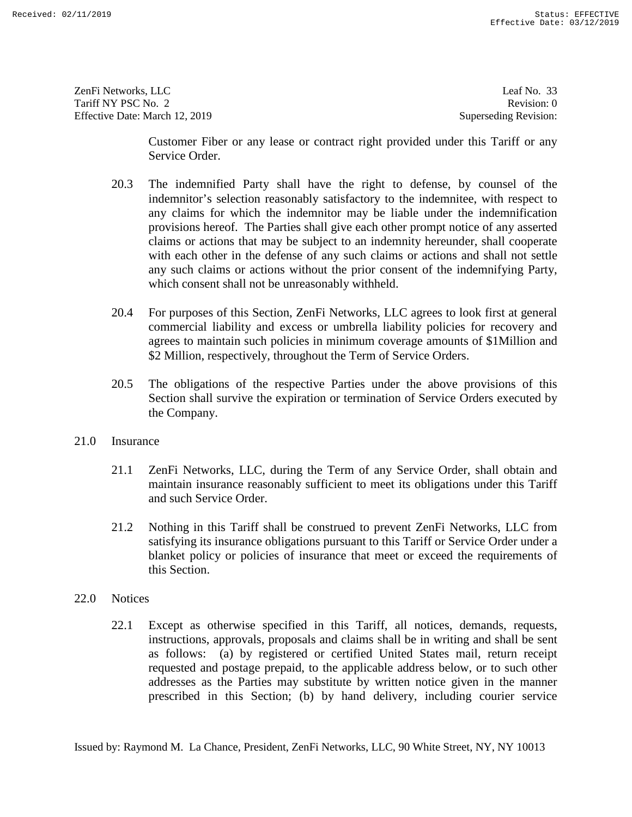ZenFi Networks, LLC ZenFi Networks, LLC Leaf No. 33 Tariff NY PSC No. 2 Tariff NY PSC No. 2 Revision: 0<br>
Effective Date: March 12, 2019 Superseding Revision: 0

Leaf No. 33 Revision: 0 Superseding Revision:

Customer Fiber or any lease or contract right provided under this Tariff or any Service Order.

- 20.3 The indemnified Party shall have the right to defense, by counsel of the indemnitor's selection reasonably satisfactory to the indemnitee, with respect to any claims for which the indemnitor may be liable under the indemnification provisions hereof. The Parties shall give each other prompt notice of any asserted claims or actions that may be subject to an indemnity hereunder, shall cooperate with each other in the defense of any such claims or actions and shall not settle any such claims or actions without the prior consent of the indemnifying Party, which consent shall not be unreasonably withheld. Customer Ficher or any lease or contract right provided under this Tariff or any<br>
Service Order.<br>
20.3 The indemutior's selection reasonably siaislatory to the indemution<br>
20.3 The indemutior's selection reasonably satisf any claims for which the indemnitor may be liable under the indemnification<br>provisions hereof. The Parties shall give each other prompt notice of any asserted<br>claims or actions that may be subject to an indemnity hereunder Easter services as the Parties may substitute by the Parties may substitute by the Parties may substitute by the matrix of the matrix of the matrix of the matrix of the matrix of the matrix of the matrix of the matrix of
	- 20.4 For purposes of this Section, ZenFi Networks, LLC agrees to look first at general commercial liability and excess or umbrella liability policies for recovery and agrees to maintain such policies in minimum coverage amounts of \$1Million and \$2 Million, respectively, throughout the Term of Service Orders. \$2 Million, respectively, throughout the Term of Service Orders. 20.4 For purposes of this Section, ZenFi Networks, LLC agrees to look first at general commercial liability and excess or umbrella liability policies for recovery and agrees to maintain such policies in minimum coverage am
	- 20.5 The obligations of the respective Parties under the above provisions of this 20.5 The obligations of the respective Parties under the above provisions of this Section shall survive the expiration or termination of Service Orders executed by the Company. Section shall survive the expiration or termination of Service Orders executed by<br>the Company.<br>21.0 Insurance<br>21.1 ZenFi Networks, LLC, during the Term of any Service Order, shall obtain and
	- 21.0 Insurance
		- maintain insurance reasonably sufficient to meet its obligations under this Tariff maintain insurance reasonably sufficient to meet its obligations under this Tariff and such Service Order.
		- 21.2 Nothing in this Tariff shall be construed to prevent ZenFi Networks, LLC from satisfying its insurance obligations pursuant to this Tariff or Service Order under a blanket policy or policies of insurance that meet or exceed the requirements of this Section. this Section. and such Service Order.<br>
		21.2 Nothing in this Tariff shall be construed to prevent ZenFi Networks, LLC from<br>
		satisfying its insurance obligations pursuant to this Tariff or Service Order under a<br>
		blanket policy or policies
	- 22.0 Notices
	- 22.1 Except as otherwise specified in this Tariff, all notices, demands, requests, instructions, approvals, proposals and claims shall be in writing and shall be sent 22.0 Notices<br>22.1 Except as otherwise specified in this Tariff, all notices, demands, requests,<br>12.1 Except as otherwise specified in this Tariff, all notices, demands, requests,<br>15.1 instructions, approvals, proposals and requested and postage prepaid, to the applicable address below, or to such other requested and postage prepaid, to the applicable address below, or to such other addresses as the Parties may substitute by written notice given in the manner prescribed in this Section; (b) by hand delivery, including courier service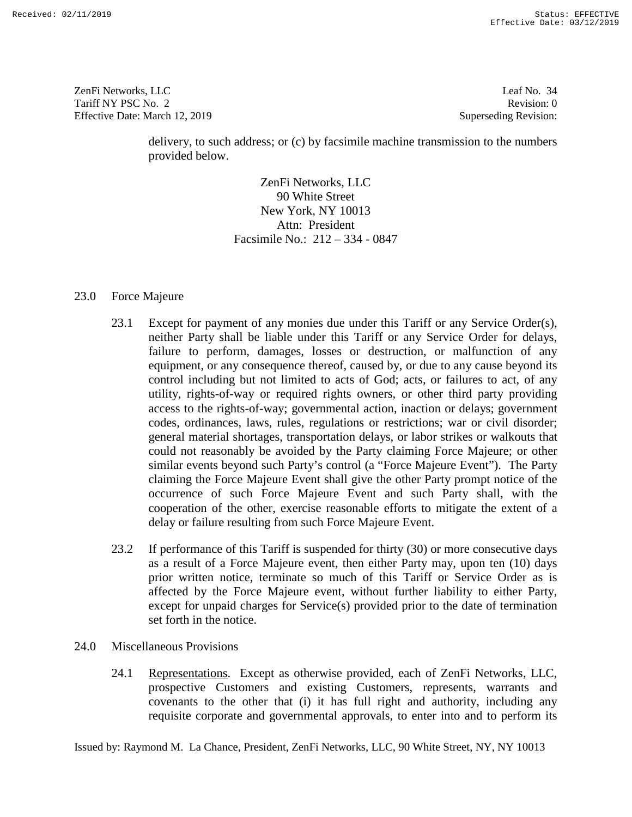ZenFi Networks, LLC Tariff NY PSC No. 2 Effective Date: March 12, 2019 ZenFi Networks, LLC Leaf No. 34 Revision: 0<br>
Tariff NY PSC No. 2 Revision: 0<br>
Effective Date: March 12, 2019 Superseding Revision: 0

Leaf No. 34 Revision: 0 Superseding Revision:

delivery, to such address; or (c) by facsimile machine transmission to the numbers provided below.

> ZenFi Networks, LLC 90 White Street New York, NY 10013 90 White Street New York, NY 10013 Attn: President Facsimile No.: 212 — 334 - 0847

# 23.0 Force Majeure

- 23.1 Except for payment of any monies due under this Tariff or any Service Order(s), neither Party shall be liable under this Tariff or any Service Order for delays, failure to perform, damages, losses or destruction, or malfunction of any equipment, or any consequence thereof, caused by, or due to any cause beyond its control including but not limited to acts of God; acts, or failures to act, of any utility, rights-of-way or required rights owners, or other third party providing access to the rights-of-way; governmental action, inaction or delays; government codes, ordinances, laws, rules, regulations or restrictions; war or civil disorder; general material shortages, transportation delays, or labor strikes or walkouts that could not reasonably be avoided by the Party claiming Force Majeure; or other similar events beyond such Party's control (a "Force Majeure Event"). The Party claiming the Force Majeure Event shall give the other Party prompt notice of the occurrence of such Force Majeure Event and such Party shall, with the cooperation of the other, exercise reasonable efforts to mitigate the extent of a delay or failure resulting from such Force Majeure Event. Is the most of the most of the most of the most of the numbers provided below.<br> **20.** The value Street Heat New York, NY 10013 density<br>
20. Aften York, NY 10013 costs and the Street Networks, After<br>
20. The value of the s Attn: President<br>
Facsimile No.: 212 – 334 - 0847<br>
23.0 Force Majeure<br>
23.1 Except for payment of any monies due under this Tariff or any Service Order(s),<br>
neither Party shall be liable under this Tariff or any Service Ord control including but not limited to acts of God; acts, or failures to act, of any<br>utility, rights-of-way or required rights owners, or other third party providing<br>access to the rights-of-way; governmental action, inaction could not reasonably be avoided by the Party claiming Force Majeure; or other similar events beyond such Party's control (a "Force Majeure Event"). The Party claiming the Force Majeure Event shall give the other Party prom Covered into the other that (iii) is the other that (iii) is the other that (iii) is the other than the other that is the other than the other than the other that (iii) is the other that (iii) is the other that (iii) is t
	- 23.2 If performance of this Tariff is suspended for thirty (30) or more consecutive days as a result of a Force Majeure event, then either Party may, upon ten (10) days delay or failure resulting from such Force Majeure Event.<br>23.2 If performance of this Tariff is suspended for thirty (30) or more consecutive days<br>as a result of a Force Majeure event, then either Party may, upon ten (10) affected by the Force Majeure event, without further liability to either Party, except for unpaid charges for Service(s) provided prior to the date of termination set forth in the notice. affected by the Force Majeure event, without further liability to either Party,<br>except for unpaid charges for Service(s) provided prior to the date of termination<br>set forth in the notice.<br>24.0 Miscellaneous Provisions<br>24.1
	- 24.0 Miscellaneous Provisions
		- 24.1 Representations. Except as otherwise provided, each of ZenFi Networks, LLC, prospective Customers and existing Customers, represents, warrants and prospective Customers and existing Customers, represents, warrants and covenants to the other that (i) it has full right and authority, including any requisite corporate and governmental approvals, to enter into and to perform its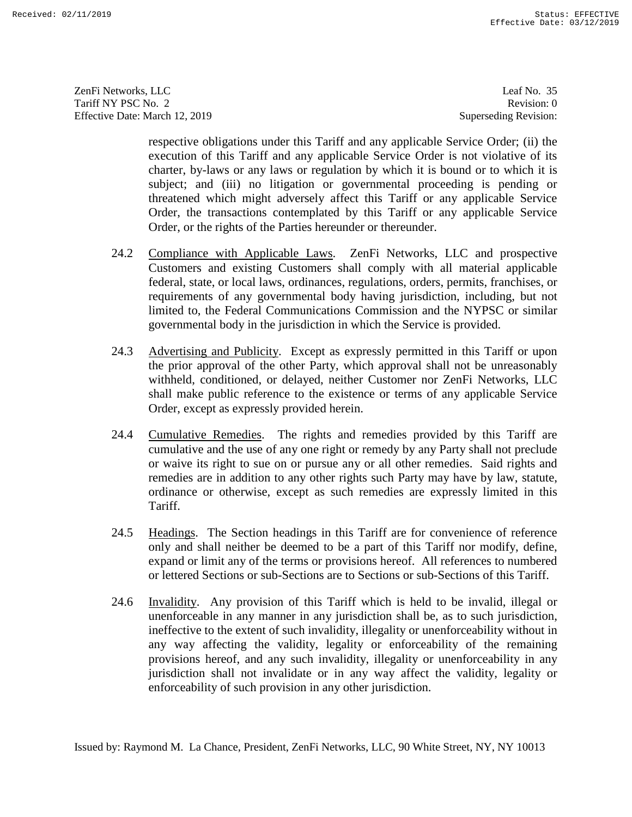ZenFi Networks, LLC ZenFi Networks, LLC Leaf No. 35 Tariff NY PSC No. 2 Tariff NY PSC No. 2 Revision: 0<br>
Effective Date: March 12, 2019 Superseding Revision: 0

Leaf No. 35 Revision: 0 Superseding Revision:

respective obligations under this Tariff and any applicable Service Order; (ii) the execution of this Tariff and any applicable Service Order is not violative of its charter, by-laws or any laws or regulation by which it is bound or to which it is subject; and (iii) no litigation or governmental proceeding is pending or threatened which might adversely affect this Tariff or any applicable Service Order, the transactions contemplated by this Tariff or any applicable Service Order, or the rights of the Parties hereunder or thereunder. Order, or the rights of the Parties hereunder or thereunder.

- 24.2 Compliance with Applicable Laws. ZenFi Networks, LLC and prospective Customers and existing Customers shall comply with all material applicable federal, state, or local laws, ordinances, regulations, orders, permits, Customers and existing Customers shall comply with all material applicable federal, state, or local laws, ordinances, regulations, orders, permits, franchises, or requirements of any governmental body having jurisdiction, including, but not limited to, the Federal Communications Commission and the NYPSC or similar governmental body in the jurisdiction in which the Service is provided. requirements of any governmental body having jurisdiction, including, but not limited to, the Federal Communications Commission and the NYPSC or similar governmental body in the jurisdiction in which the Service is provided.
- 24.3 Advertising and Publicity. Except as expressly permitted in this Tariff or upon the prior approval of the other Party, which approval shall not be unreasonably the prior approval of the other Party, which approval shall not be unreasonably withheld, conditioned, or delayed, neither Customer nor ZenFi Networks, LLC shall make public reference to the existence or terms of any applicable Service Order, except as expressly provided herein. withheld, conditioned, or delayed, neither Customer nor ZenFi Networks, LLC<br>shall make public reference to the existence or terms of any applicable Service<br>Order, except as expressly provided herein.<br>24.4 Cumulative Remedi
- 24.4 Cumulative Remedies. The rights and remedies provided by this Tariff are or waive its right to sue on or pursue any or all other remedies. Said rights and remedies are in addition to any other rights such Party may have by law, statute, ordinance or otherwise, except as such remedies are expressly limited in this Tariff. or waive its right to sue on or pursue any or all other remedies. Said rights and<br>remedies are in addition to any other rights such Party may have by law, statute,<br>ordinance or otherwise, except as such remedies are expres
- 24.5 Headings. The Section headings in this Tariff are for convenience of reference 24.5 Headings. The Section headings in this Tariff are for convenience of reference only and shall neither be deemed to be a part of this Tariff nor modify, define, expand or limit any of the terms or provisions hereof. All references to numbered or lettered Sections or sub-Sections are to Sections or sub-Sections of this Tariff. only and shall neither be deemed to be a part of this Tariff nor modify, define,<br>expand or limit any of the terms or provisions hereof. All references to numbered<br>or lettered Sections or sub-Sections are to Sections or sub
- 24.6 Invalidity. Any provision of this Tariff which is held to be invalid, illegal or unenforceable in any manner in any jurisdiction shall be, as to such jurisdiction, ineffective to the extent of such invalidity, illegality or unenforceability without in any way affecting the validity, legality or enforce ineffective to the extent of such invalidity, illegality or unenforceability without in any way affecting the validity, legality or enforceability of the remaining provisions hereof, and any such invalidity, illegality or unenforceability in any jurisdiction shall not invalidate or in any way affect the validity, legality or enforceability of such provision in any other jurisdiction. enforceability of such provision in any other jurisdiction. respective obligations under this Variff and any applicable Service Order; (ii) the<br>execution of this Tariff and any applicable Service Order is not violative of its<br>character of the short of the short of the short of the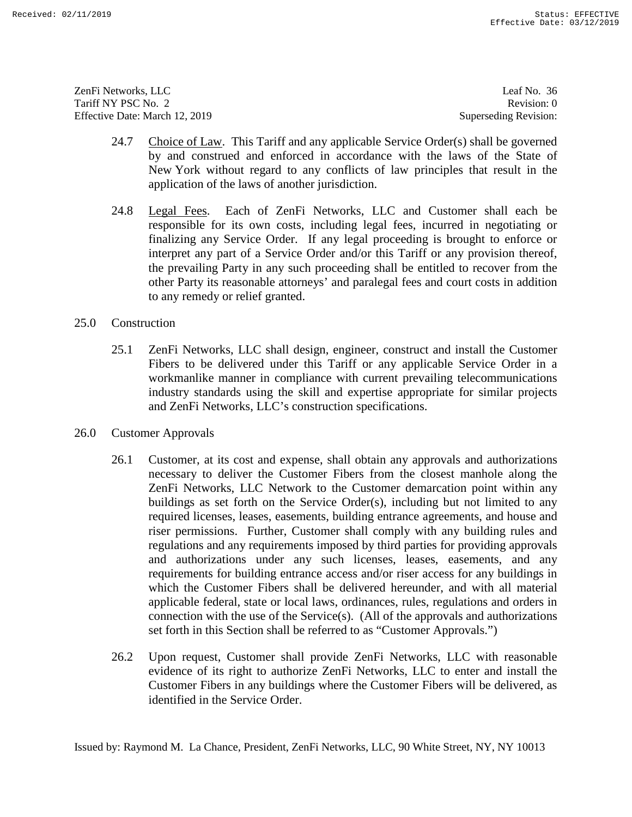ZenFi Networks, LLC ZenFi Networks, LLC Leaf No. 36 Tariff NY PSC No. 2 Tariff NY PSC No. 2 Revision: 0<br>
Effective Date: March 12, 2019 Superseding Revision: 0

Leaf No. 36 Revision: 0 Superseding Revision:

- 24.7 Choice of Law. This Tariff and any applicable Service Order(s) shall be governed by and construed and enforced in accordance with the laws of the State of New York without regard to any conflicts of law principles that result in the application of the laws of another jurisdiction.<br>24.8 Legal Fees. Each of ZenFi Networks, LLC and Customer shall each be application of the laws of another jurisdiction.
- 24.8 Legal Fees. Each of ZenFi Networks, LLC and Customer shall each be responsible for its own costs, including legal fees, incurred in negotiating or finalizing any Service Order. If any legal proceeding is brought to enforce or interpret any part of a Service Order and/or this Tariff or any provision thereof, the prevailing Party in any such proceeding shall be entitled to recover from the other Party its reasonable attorneys' and paralegal fees and court costs in addition to any remedy or relief granted. responsible for its own costs, including legal fees, incurred in negotiating or<br>finalizing any Service Order. If any legal proceeding is brought to enforce or<br>interpret any part of a Service Order and/or this Tariff or any
- 25.0 Construction
- 25.1 ZenFi Networks, LLC shall design, engineer, construct and install the Customer Fibers to be delivered under this Tariff or any applicable Service Order in a workmanlike manner in compliance with current prevailing telecommunications industry standards using the skill and expertise appropriate for similar projects and ZenFi Networks, LLC's construction specifications. to any remedy or relief granted.<br>
25.0 Construction<br>
25.1 ZenFi Networks, LLC shall design, engineer, construct and install the Customer<br>
Fibers to be delivered under this Tariff or any applicable Service Order in a<br>
workm
- 26.0 Customer Approvals
- 26.1 Customer, at its cost and expense, shall obtain any approvals and authorizations necessary to deliver the Customer Fibers from the closest manhole along the ZenFi Networks, LLC Network to the Customer demarcation point within any buildings as set forth on the Service Order(s), including but not limited to any required licenses, leases, easements, building entrance agreements, and house and riser permissions. Further, Customer shall comply with any building rules and regulations and any requirements imposed by third parties for providing approvals and authorizations under any such licenses, leases, easements, and any requirements for building entrance access and/or riser access for any buildings in which the Customer Fibers shall be delivered hereunder, and with all material applicable federal, state or local laws, ordinances, rules, regulations and orders in connection with the use of the Service(s). (All of the approvals and authorizations set forth in this Section shall be referred to as "Customer Approvals.") 24.7 Choice of Law. This Tariff and my applicable Service Order(s) shall be governed by and construed and enforced in accordance with the laws of the State of New York sitted to the state of specification that regard the industry standards using the skill and expertise appropriate for similar projects<br>and ZenFi Networks, LLC's construction specifications.<br>26.0 Customer Approvals<br>26.1 Customer, at its cost and expense, shall obtain any appr ZenFi Networks, LLC Network to the Customer demarcation point within any buildings as set forth on the Service Order(s), including but not limited to any required licenses, leases, easements, building entrance agreements, and authorizations under any such licenses, leases, easements, and any requirements for building entrance access and/or riser access for any buildings in which the Customer Fibers shall be delivered hereunder, and with all
	- 26.2 Upon request, Customer shall provide ZenFi Networks, LLC with reasonable evidence of its right to authorize ZenFi Networks, LLC to enter and install the Customer Fibers in any buildings where the Customer Fibers will be delivered, as identified in the Service Order. identified in the Service Order. connection with the use of the Service(s). (All of the approvals and authorizations<br>set forth in this Section shall be referred to as "Customer Approvals.")<br>26.2 Upon request, Customer shall provide ZenFi Networks, LLC wit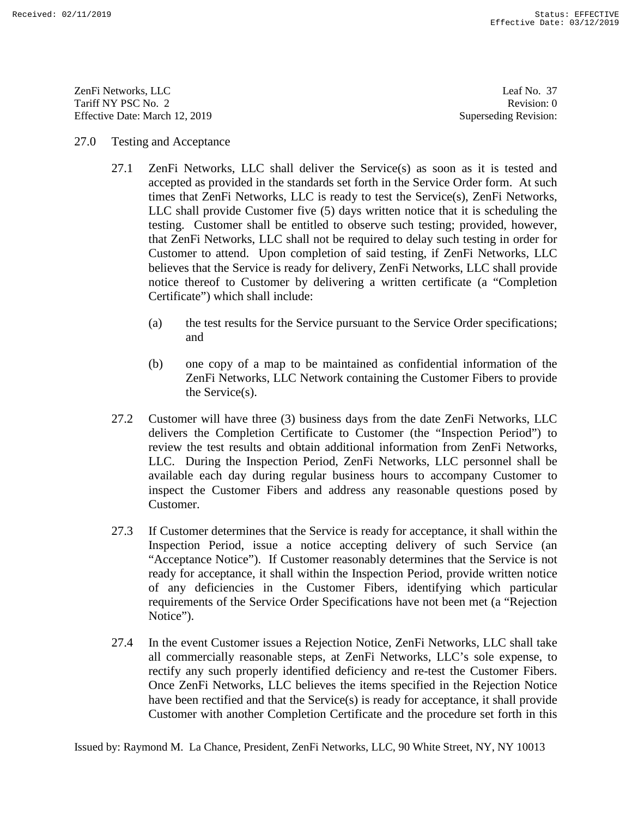ZenFi Networks, LLC ZenFi Networks, LLC Leaf No. 37 Tariff NY PSC No. 2 Tariff NY PSC No. 2 Revision: 0<br>
Effective Date: March 12, 2019 Superseding Revision: 0

Leaf No. 37 Revision: 0 Superseding Revision:

## 27.0 Testing and Acceptance

- 27.1 ZenFi Networks, LLC shall deliver the Service(s) as soon as it is tested and accepted as provided in the standards set forth in the Service Order form. At such times that ZenFi Networks, LLC is ready to test the Service(s), ZenFi Networks, LLC shall provide Customer five (5) days written notice that it is scheduling the testing. Customer shall be entitled to observe such testing; provided, however, that ZenFi Networks, LLC shall not be required to delay such testing in order for Customer to attend. Upon completion of said testing, if ZenFi Networks, LLC believes that the Service is ready for delivery, ZenFi Networks, LLC shall provide notice thereof to Customer by delivering a written certificate (a "Completion Certificate") which shall include: 27.0 Testing and Acceptance<br>
27.1 Vestinal Mechanics and Equivar the Service(s) as soon as it is tested and<br>
27.1 Vestinal developed as provided in the standards set forth in the Service(s), 24: The Newtorks, LLC is reade testing. Customer shall be entitled to observe such testing; provided, however, that ZenFi Networks, LLC shall not be required to delay such testing in order for Customer to attend. Upon completion of said testing, if ZenF Customer Ray-Yann **Extreme Ray-Yann** Extreme Ray-Yann **Extreme Completion** Certification Certification Certification Certification Certification Certification Certification Certification Certification Certification Certif
	- (a) the test results for the Service pursuant to the Service Order specifications; and Certificate") which shall include:<br>
	(a) the test results for the Service pursuant to the Service Order specifications;<br>
	and
	- (b) one copy of a map to be maintained as confidential information of the (b) one copy of a map to be maintained as confidential information of the ZenFi Networks, LLC Network containing the Customer Fibers to provide ZenFi Networks, LLC Network containing the Customer Fibers to provide the Service(s).
	- 27.2 Customer will have three (3) business days from the date ZenFi Networks, LLC delivers the Completion Certificate to Customer (the "Inspection Period") to review the test results and obtain additional information from ZenFi Networks, LLC. During the Inspection Period, ZenFi Networks, LLC personnel shall be available each day during regular business hours to accompany Customer to inspect the Customer Fibers and address any reasonable questions posed by Customer. available each day during regular business hours to accompany Customer to<br>inspect the Customer Fibers and address any reasonable questions posed by<br>Customer.<br>27.3 If Customer determines that the Service is ready for accept the Service(s).<br>
	27.2 Customer will have three (3) business days from the date ZenFi Networks, LLC<br>
	delivers the Completion Certificate to Customer (the "Inspection Period") to<br>
	review the test results and obtain additiona
	- 27.3 If Customer determines that the Service is ready for acceptance, it shall within the "Acceptance Notice"). If Customer reasonably determines that the Service is not ready for acceptance, it shall within the Inspection Period, provide written notice of any deficiencies in the Customer Fibers, identifying which particular requirements of the Service Order Specifications have not been met (a "Rejection Notice"). "Acceptance Notice"). If Customer reasonably determines that the Service is not<br>ready for acceptance, it shall within the Inspection Period, provide written notice<br>of any deficiencies in the Customer Fibers, identifying wh
	- 27.4 In the event Customer issues a Rejection Notice, ZenFi Networks, LLC shall take all commercially reasonable steps, at ZenFi Networks, LLC's sole expense, to rectify any such properly identified deficiency and re-test the Customer Fibers. Notice").<br>
	27.4 In the event Customer issues a Rejection Notice, ZenFi Networks, LLC shall take<br>
	all commercially reasonable steps, at ZenFi Networks, LLC's sole expense, to<br>
	rectify any such properly identified deficiency have been rectified and that the Service(s) is ready for acceptance, it shall provide have been rectified and that the Service(s) is ready for acceptance, it shall provide Customer with another Completion Certificate and the procedure set forth in this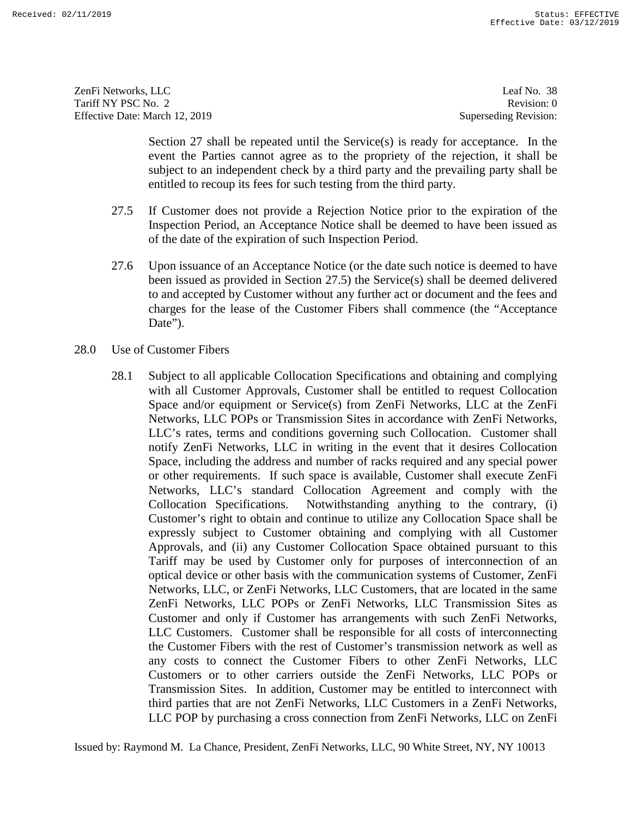ZenFi Networks, LLC ZenFi Networks, LLC Leaf No. 38 Tariff NY PSC No. 2 Tariff NY PSC No. 2 Revision: 0<br>
Effective Date: March 12, 2019 Superseding Revision: 0

Leaf No. 38 Revision: 0 Superseding Revision:

Section 27 shall be repeated until the Service(s) is ready for acceptance. In the event the Parties cannot agree as to the propriety of the rejection, it shall be subject to an independent check by a third party and the prevailing party shall be entitled to recoup its fees for such testing from the third party.

- 27.5 If Customer does not provide a Rejection Notice prior to the expiration of the Inspection Period, an Acceptance Notice shall be deemed to have been issued as of the date of the expiration of such Inspection Period.
- 27.6 Upon issuance of an Acceptance Notice (or the date such notice is deemed to have been issued as provided in Section 27.5) the Service(s) shall be deemed delivered Inspection Period, an Acceptance Notice shall be deemed to have been issued as<br>of the date of the expiration of such Inspection Period.<br>27.6 Upon issuance of an Acceptance Notice (or the date such notice is deemed to have<br> charges for the lease of the Customer Fibers shall commence (the "Acceptance Date"). Date").
- 28.0 Use of Customer Fibers
- 28.1 Subject to all applicable Collocation Specifications and obtaining and complying 28.0 Use of Customer Fibers 28.1 Subject to all applicable Collocation Specifications and obtaining and complying with all Customer Approvals, Customer shall be entitled to request Collocation with all Customer Approvals, Customer shall be entitled to request Collocation Space and/or equipment or Service(s) from ZenFi Networks, LLC at the ZenFi Networks, LLC POPs or Transmission Sites in accordance with ZenFi Networks, LLC's rates, terms and conditions governing such Collocation. Customer shall notify ZenFi Networks, LLC in writing in the event that it desires Collocation Space, including the address and number of racks required and any special power or other requirements. If such space is available, Customer shall execute ZenFi Networks, LLC's standard Collocation Agreement and comply with the Collocation Specifications. Notwithstanding anything to the contrary, (i) Customer's right to obtain and continue to utilize any Collocation Space shall be expressly subject to Customer obtaining and complying with all Customer Approvals, and (ii) any Customer Collocation Space obtained pursuant to this Tariff may be used by Customer only for purposes of interconnection of an optical device or other basis with the communication systems of Customer, ZenFi Networks, LLC, or ZenFi Networks, LLC Customers, that are located in the same ZenFi Networks, LLC POPs or ZenFi Networks, LLC Transmission Sites as Customer and only if Customer has arrangements with such ZenFi Networks, LLC Customers. Customer shall be responsible for all costs of interconnecting Customer and only if Customer has arrangements with such ZenFi Networks, LLC Customers. Customer shall be responsible for all costs of interconnecting the Customer Fibers with the rest of Customer's transmission network as well as any costs to connect the Customer Fibers to other ZenFi Networks, LLC Customers or to other carriers outside the ZenFi Networks, LLC POPs or Transmission Sites. In addition, Customer may be entitled to interconnect with third parties that are not ZenFi Networks, LLC Customers in a ZenFi Networks, LLC POP by purchasing a cross connection from ZenFi Networks, LLC on ZenFi Section 27 shall be repeated multine Servicety) is ready for acceptance. In the surject to are event the Parties cannot agree as to the propriety of the rejection. it shall be surjected to are independent check by a rhind Space and/or equipment or Service(s) from ZenFi Networks, LLC at the ZenFi<br>Networks, LLC POPs or Transmission Sites in accordance with ZenFi Networks,<br>LLC's rates, terms and conditions governing such Collocation. Customer or other requirements. If such space is available, Customer shall execute ZenFi<br>Networks, LLC's standard Collocation Agreement and comply with the<br>Collocation Specifications. Notwithstanding anything to the contrary, (i)<br>C Example 18.<sup>2</sup> 17.3044 Monoto, J. 17.1 (18.19) Facebook 11.0<br>
Teachers 2012 11.28 (18.19) Facebook 11.0<br>
Teachers 2013 11.28 (18.19) Facebook 11.0<br>
Teachers 2013 11.28 (18.19) Facebook 11.0<br>
Electric Data 2013 12.49 (18.1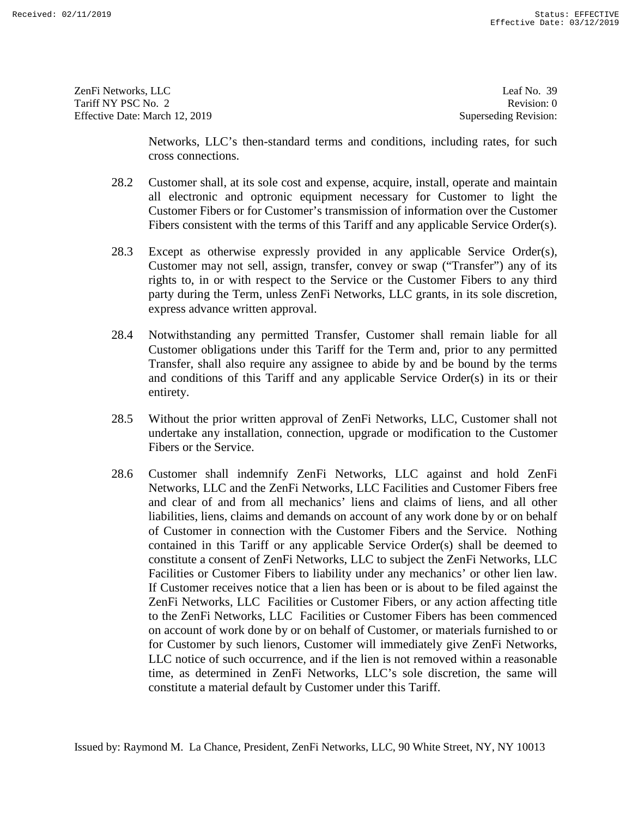ZenFi Networks, LLC ZenFi Networks, LLC Leaf No. 39 Tariff NY PSC No. 2 Tariff NY PSC No. 2 Revision: 0<br>
Effective Date: March 12, 2019 Superseding Revision: 0

Leaf No. 39 Revision: 0 Superseding Revision:

Networks, LLC's then-standard terms and conditions, including rates, for such cross connections.

- 28.2 Customer shall, at its sole cost and expense, acquire, install, operate and maintain all electronic and optronic equipment necessary for Customer to light the Customer Fibers or for Customer's transmission of information over the Customer Fibers consistent with the terms of this Tariff and any applicable Service Order(s).
- 28.3 Except as otherwise expressly provided in any applicable Service Order(s), Customer may not sell, assign, transfer, convey or swap ("Transfer") any of its rights to, in or with respect to the Service or the Customer Fibers to any third party during the Term, unless ZenFi Networks, LLC grants, in its sole discretion, express advance written approval. Fibers consistent with the terms of this Tariff and any applicable Service Order(s).<br>28.3 Except as otherwise expressly provided in any applicable Service Order(s),<br>Customer may not sell, assign, transfer, convey or swap (
- 28.4 Notwithstanding any permitted Transfer, Customer shall remain liable for all Customer obligations under this Tariff for the Term and, prior to any permitted Transfer, shall also require any assignee to abide by and be bound by the terms and conditions of this Tariff and any applicable Service Order(s) in its or their entirety. entirety. express advance written approval.<br>
28.4 Notwithstanding any permitted Transfer, Customer shall remain liable for all<br>
Customer obligations under this Tariff for the Term and, prior to any permitted<br>
Transfer, shall also re
- 28.5 Without the prior written approval of ZenFi Networks, LLC, Customer shall not undertake any installation, connection, upgrade or modification to the Customer Fibers or the Service. undertake any installation, connection, upgrade or modification to the Customer Fibers or the Service.
- 28.6 Customer shall indemnify ZenFi Networks, LLC against and hold ZenFi Networks, LLC and the ZenFi Networks, LLC Facilities and Customer Fibers free and clear of and from all mechanics' liens and claims of liens, and all Networks, LLC and the ZenFi Networks, LLC Facilities and Customer Fibers free and clear of and from all mechanics' liens and claims of liens, and all other liabilities, liens, claims and demands on account of any work done by or on behalf of Customer in connection with the Customer Fibers and the Service. Nothing contained in this Tariff or any applicable Service Order(s) shall be deemed to constitute a consent of ZenFi Networks, LLC to subject the ZenFi Networks, LLC Facilities or Customer Fibers to liability under any mechanics' or other lien law. If Customer receives notice that a lien has been or is about to be filed against the ZenFi Networks, LLC Facilities or Customer Fibers, or any action affecting title to the ZenFi Networks, LLC Facilities or Customer Fibers has been commenced on account of work done by or on behalf of Customer, or materials furnished to or for Customer by such lienors, Customer will immediately give ZenFi Networks, LLC notice of such occurrence, and if the lien is not removed within a reasonable time, as determined in ZenFi Networks, LLC's sole discretion, the same will constitute a material default by Customer under this Tariff. constitute a material default by Customer under this Tariff. Newtorks, LLC's then-standard terms and conditions, including rates, for such<br>cross connections.<br>
28.2 Customer shall, at its sole cost and expense, acquire, install, operate and maintain<br>
all electronic and optronic expe constitute a consent of ZenFi Networks, LLC to subject the ZenFi Networks, LLC<br>Facilities or Customer Fibers to liability under any mechanics' or other lien law.<br>If Customer receives notice that a lien has been or is about to the ZenFi Networks, LLC Facilities or Customer Fibers has been commenced<br>on account of work done by or on behalf of Customer, or materials furnished to or<br>for Customer by such lienors, Customer will immediately give Zen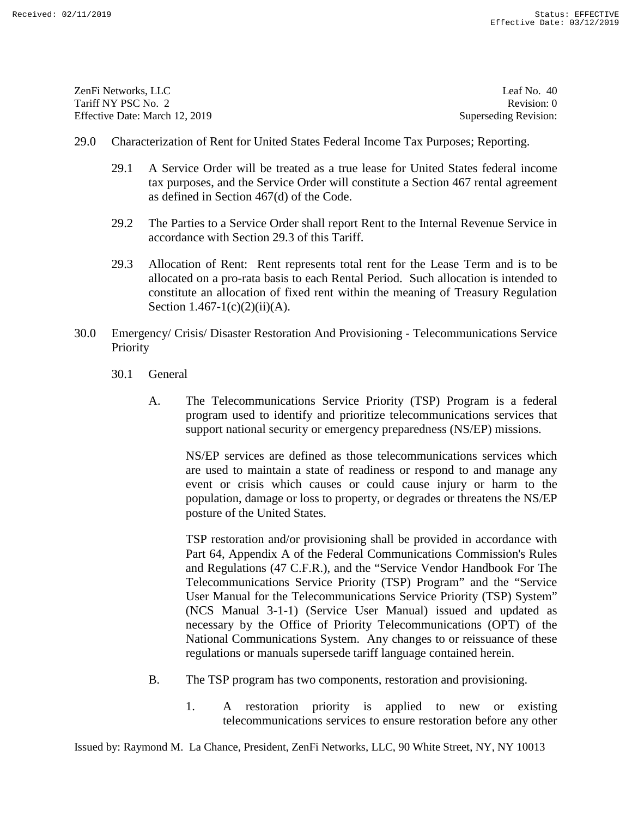ZenFi Networks, LLC ZenFi Networks, LLC Leaf No. 40 Tariff NY PSC No. 2 Tariff NY PSC No. 2 Revision: 0<br>
Effective Date: March 12, 2019 Superseding Revision: 0

Leaf No. 40 Revision: 0 Superseding Revision:

- 29.0 Characterization of Rent for United States Federal Income Tax Purposes; Reporting.
	- 29.1 A Service Order will be treated as a true lease for United States federal income tax purposes, and the Service Order will constitute a Section 467 rental agreement as defined in Section 467(d) of the Code. 29.1 A Service Order will be treated as a true lease for United States federal income<br>tax purposes, and the Service Order will constitute a Section 467 rental agreement<br>as defined in Section 467(d) of the Code.<br>29.2 The Pa
	- 29.2 The Parties to a Service Order shall report Rent to the Internal Revenue Service in accordance with Section 29.3 of this Tariff. accordance with Section 29.3 of this Tariff.
	- 29.3 Allocation of Rent: Rent represents total rent for the Lease Term and is to be allocated on a pro-rata basis to each Rental Period. Such allocation is intended to constitute an allocation of fixed rent within the meaning of Treasury Regulation Section  $1.467 - 1(c)(2)(ii)(A)$ . 29.3 Allocation of Rent: Rent represents total rent for the Lease Term and is to be allocated on a pro-rata basis to each Rental Period. Such allocation is intended to constitute an allocation of fixed rent within the mea
- 30.0 Emergency/ Crisis/ Disaster Restoration And Provisioning Telecommunications Service<br>Priority<br>30.1 General<br>A. The Telecommunications Service Priority (TSP) Program is a federal<br>program used to identify and prioritize **Priority** 
	- 30.1 General
		- A. The Telecommunications Service Priority (TSP) Program is a federal program used to identify and prioritize telecommunications services that support national security or emergency preparedness (NS/EP) missions.

NS/EP services are defined as those telecommunications services which are used to maintain a state of readiness or respond to and manage any event or crisis which causes or could cause injury or harm to the support national security or emergency preparedness (NS/EP) missions.<br>NS/EP services are defined as those telecommunications services which<br>are used to maintain a state of readiness or respond to and manage any<br>event or cr posture of the United States.

TSP restoration and/or provisioning shall be provided in accordance with Part 64, Appendix A of the Federal Communications Commission's Rules and Regulations (47 C.F.R.), and the "Service Vendor Handbook For The posture of the United States.<br>TSP restoration and/or provisioning shall be provided in accordance with<br>Part 64, Appendix A of the Federal Communications Commission's Rules<br>and Regulations (47 C.F.R.), and the "Service Vend User Manual for the Telecommunications Service Priority (TSP) System" User Manual for the Telecommunications Service Priority (TSP) System" (NCS Manual 3-1-1) (Service User Manual) issued and updated as necessary by the Office of Priority Telecommunications (OPT) of the National Communications System. Any changes to or reissuance of these regulations or manuals supersede tariff language contained herein. regulations or manuals supersede tariff language contained herein. 29.0 Chancelerization of Rent for United States Federal Income Tax Purposes; Reporting the Meridian State Colera and are lease for United States Eelent lincome as defined in Section 467(d) of the Code.<br>
29.2 The Parries t (NCS Manual 3-1-1) (Service User Manual) issued and updated as necessary by the Office of Priority Telecommunications (OPT) of the National Communications System. Any changes to or reissuance of these The multiplecomponent of the services of the services to ensure restorations of Received:  $\frac{1}{2}$  Status: EFFECTIVE COMMUNICATES (2011) Status: Experiment of the service of the service of the service of the service of t

- B. The TSP program has two components, restoration and provisioning.<br>
1. A restoration priority is applied to new or existing
	- 1. A restoration priority is applied to new or existing telecommunications services to ensure restoration before any other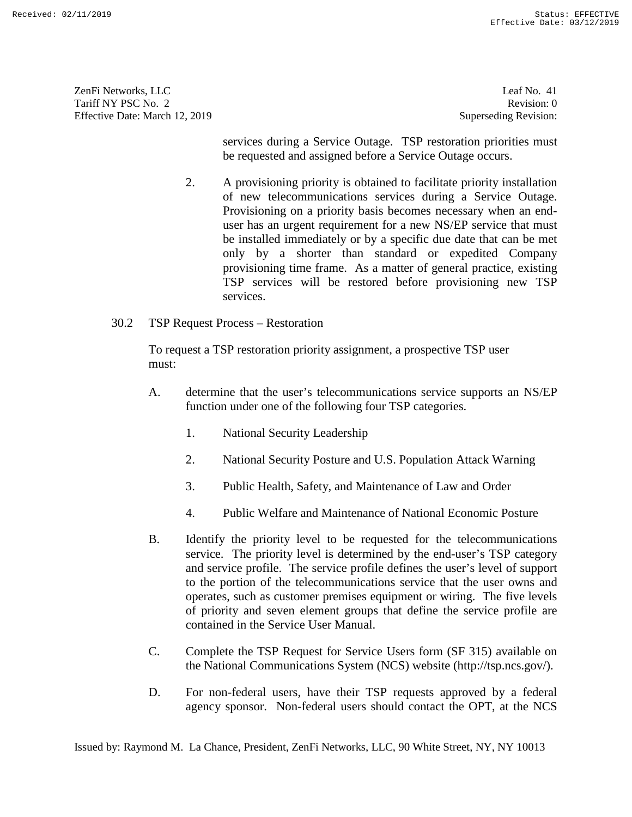ZenFi Networks, LLC ZenFi Networks, LLC Leaf No. 41 Tariff NY PSC No. 2 Tariff NY PSC No. 2 Revision: 0<br>
Effective Date: March 12, 2019 Superseding Revision: 0

Leaf No. 41 Revision: 0 Superseding Revision:

services during a Service Outage. TSP restoration priorities must be requested and assigned before a Service Outage occurs.

- 2. A provisioning priority is obtained to facilitate priority installation of new telecommunications services during a Service Outage. Provisioning on a priority basis becomes necessary when an enduser has an urgent requirement for a new NS/EP service that must be installed immediately or by a specific due date that can be met only by a shorter than standard or expedited Company provisioning time frame. As a matter of general practice, existing TSP services will be restored before provisioning new TSP services. services. services during a Service Ontage. TSP restoration priorities must<br>service Service Outage occurs.<br>
2. A provisioning priority is obtained to facilitate priority installation<br>
2. A provisioning priority is obtained to facili user has an urgent requirement for a new NS/EP service that must<br>be installed immediately or by a specific due date that can be met<br>only by a shorter than standard or expedited Company<br>provisioning time frame. As a matter **EXAMPLE 2017**<br> **EXAMPLE 2018**<br> **EXAMPLE 2018**<br> **EXAMPLE 2018**<br> **EXAMPLE 2018**<br> **EXAMPLE 2018**<br> **EXAMPLE 2018**<br> **EXAMPLE 2018**<br> **EXAMPLE 2018**<br> **EXAMPLE 2018**<br> **EXAMPLE 2018**<br> **EXAMPLE 2018**<br> **EXAMPLE 2018**<br> **EXAMPLE 2018** 
	- 30.2 TSP Request Process Restoration

30.2 TSP Request Process – Restoration<br>To request a TSP restoration priority assignment, a prospective TSP user must:

- A. determine that the user's telecommunications service supports an NS/EP function under one of the following four TSP categories. must:<br>
A. determine that the user's telecommunications service supports an NS/EP<br>
function under one of the following four TSP categories.<br>
1. National Security Leadership<br>
2. National Security Posture and U.S. Population
	- 1. National Security Leadership
	- 2. National Security Posture and U.S. Population Attack Warning
	- 3. Public Health, Safety, and Maintenance of Law and Order
	- 4. Public Welfare and Maintenance of National Economic Posture
- B. Identify the priority level to be requested for the telecommunications service. The priority level is determined by the end-user's TSP category and service profile. The service profile defines the user's level of support to the portion of the telecommunications service that the user owns and operates, such as customer premises equipment or wiring. The five levels of priority and seven element groups that define the service profile are contained in the Service User Manual. 4. Public Welfare and Maintenance of National Economic Posture<br>B. Identify the priority level to be requested for the telecommunications<br>service. The priority level is determined by the end-user's TSP category<br>and service Superates, such as customer premises equipment or wiring. The five levels<br>of priority and seven element groups that define the service profile are<br>contained in the Service User Manual.<br>C. Complete the TSP Request for Servi
- C. Complete the TSP Request for Service Users form (SF 315) available on the National Communications System (NCS) website (http://tsp.ncs.gov/).
- D. For non-federal users, have their TSP requests approved by a federal agency sponsor. Non-federal users should contact the OPT, at the NCS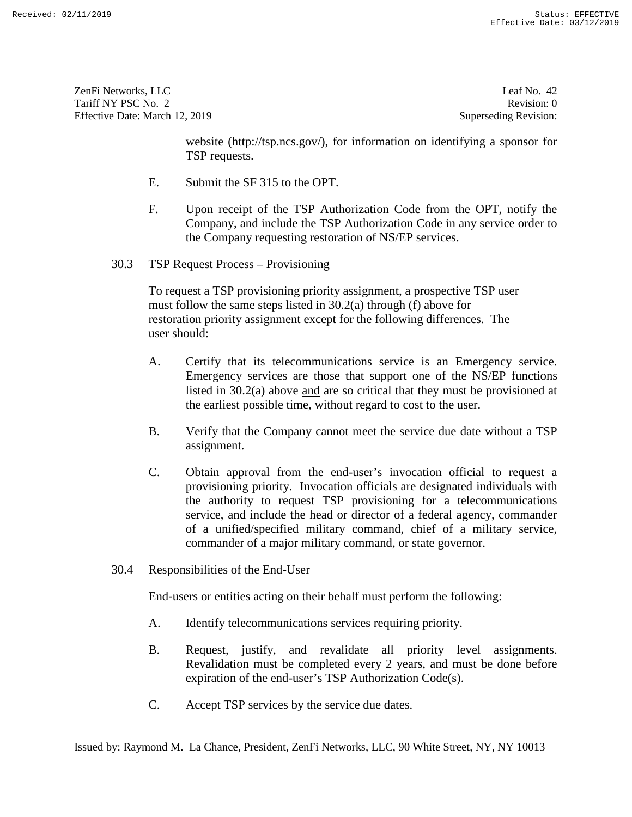ZenFi Networks, LLC Tariff NY PSC No. 2 Effective Date: March 12, 2019 ZenFi Networks, LLC Leaf No. 42<br>
Tariff NY PSC No. 2 Revision: 0<br>
Effective Date: March 12, 2019 Superseding Revision: 0

Leaf No. 42 Revision: 0 Superseding Revision:

website (http://tsp.ncs.gov/), for information on identifying a sponsor for TSP requests.

- E. Submit the SF 315 to the OPT.
- F. Upon receipt of the TSP Authorization Code from the OPT, notify the Company, and include the TSP Authorization Code in any service order to the Company requesting restoration of NS/EP services.<br>
30.3 TSP Request Process – Provisioning
- 30.3 TSP Request Process Provisioning

To request a TSP provisioning priority assignment, a prospective TSP user To request a TSP provisioning priority assignment, a prospective TSP user must follow the same steps listed in 30.2(a) through (f) above for restoration priority assignment except for the following differences. The user should:

- A. Certify that its telecommunications service is an Emergency service. Emergency services are those that support one of the NS/EP functions listed in 30.2(a) above and are so critical that they must be provisioned at the earliest possible time, without regard to cost to the user. restoration priority assignment except for the following differences. The<br>user should:<br>A. Certify that its telecommunications service is an Emergency service.<br>Emergency services are those that support one of the NS/EP func
- B. Verify that the Company cannot meet the service due date without a TSP assignment.
- C. Obtain approval from the end-user's invocation official to request a the earliest possible time, without regard to cost to the user.<br>
B. Verify that the Company cannot meet the service due date without a TSP<br>
assignment.<br>
C. Obtain approval from the end-user's invocation official to request the authority to request TSP provisioning for a telecommunications<br>service, and include the head or director of a federal agency, commander<br>of a unified/specified military command, chief of a military service,<br>commander of service, and include the head or director of a federal agency, commander of a unified/specified military command, chief of a military service, commander of a major military command, or state governor. website intro<sup>17/</sup>repnes.gov), for information on identifying a sponsor for<br>
TSP requests.<br>
E. Submit the SF 315 to the OPT.<br>
F. Lipon receipt of the TSP Authorization Code from the OPT, notify the<br>
Company, and include t Expresses and the end-user of the end-user of the end-user of the end-user of the end-user of the end-user of the end-user of the end-user of the end-user of the end-user of the end-user of the end-user of the end-user of
	- 30.4 Responsibilities of the End-User 30.4 Responsibilities of the End-User

End-users or entities acting on their behalf must perform the following: End-users or entities acting on their behalf must perform the following:

- A. Identify telecommunications services requiring priority.
- B. Request, justify, and revalidate all priority level assignments. A. Identify telecommunications services requiring priority.<br>
B. Request, justify, and revalidate all priority level assignments.<br>
Revalidation must be completed every 2 years, and must be done before expiration of the end-user's TSP Authorization Code(s).
- C. Accept TSP services by the service due dates.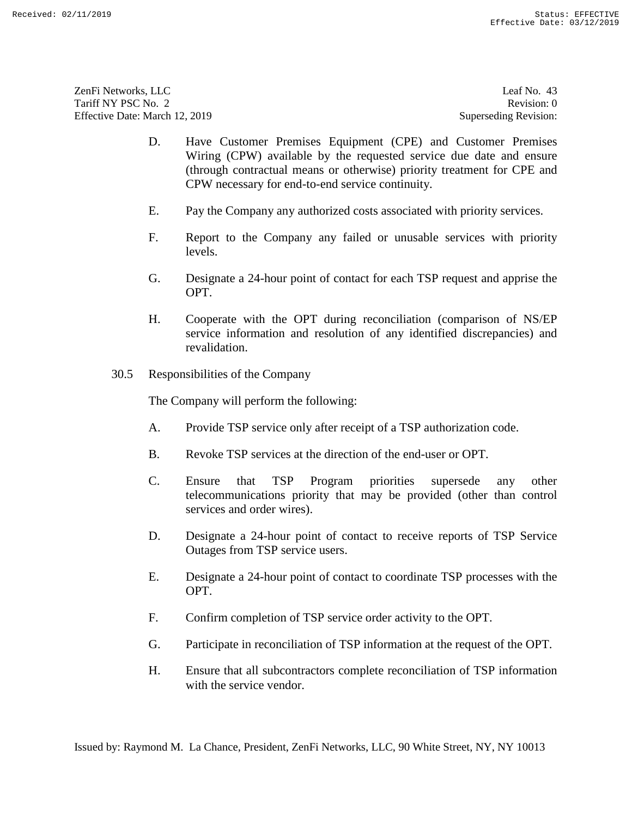ZenFi Networks, LLC ZenFi Networks, LLC Leaf No. 43 Tariff NY PSC No. 2 Tariff NY PSC No. 2 Revision: 0<br>
Effective Date: March 12, 2019 Superseding Revision: 0

Leaf No. 43 Revision: 0 Superseding Revision:

- D. Have Customer Premises Equipment (CPE) and Customer Premises Wiring (CPW) available by the requested service due date and ensure (through contractual means or otherwise) priority treatment for CPE and CPW necessary for end-to-end service continuity. 10. Writing (CPW) available by the requested service due date and ensure<br>(through contractual means or otherwise) primity treatment for CPFs and<br>(through contractual means or otherwise) primity treatment for CPFs and<br>CPW Ensure that all subcontracts complete reconciliation of TSP internal subcontractors complete reconciliation of TSP information of TSP in the service of TSP information with the service vendor of TSP in the service vendor
	- E. Pay the Company any authorized costs associated with priority services.
	- F. Report to the Company any failed or unusable services with priority levels.
	- G. Designate a 24-hour point of contact for each TSP request and apprise the OPT.
	- H. Cooperate with the OPT during reconciliation (comparison of NS/EP service information and resolution of any identified discrepancies) and revalidation. F. Report to the Company any failed or unusable services with priority<br>levels.<br>
	G. Designate a 24-hour point of contact for each TSP request and apprise the<br>
	OPT.<br>
	H. Cooperate with the OPT during reconciliation (compariso
	- 30.5 Responsibilities of the Company

The Company will perform the following:

- A. Provide TSP service only after receipt of a TSP authorization code. A. Provide TSP service only after receipt of a TSP authorization code.
- B. Revoke TSP services at the direction of the end-user or OPT.
- C. Ensure that TSP Program priorities supersede any other telecommunications priority that may be provided (other than control services and order wires). B. Revoke TSP services at the direction of the end-user or OPT.<br>
C. Ensure that TSP Program priorities supersede any other<br>
telecommunications priority that may be provided (other than control<br>
services and order wires).<br>
- D. Designate a 24-hour point of contact to receive reports of TSP Service Outages from TSP service users.
- E. Designate a 24-hour point of contact to coordinate TSP processes with the OPT. Outages from TSP service users.<br>
E. Designate a 24-hour point of contact to coordinate TSP processes with the<br>
OPT.<br>
F. Confirm completion of TSP service order activity to the OPT.<br>
G. Participate in reconciliation of TSP
- F. Confirm completion of TSP service order activity to the OPT.
- G. Participate in reconciliation of TSP information at the request of the OPT.
- H. Ensure that all subcontractors complete reconciliation of TSP information with the service vendor.